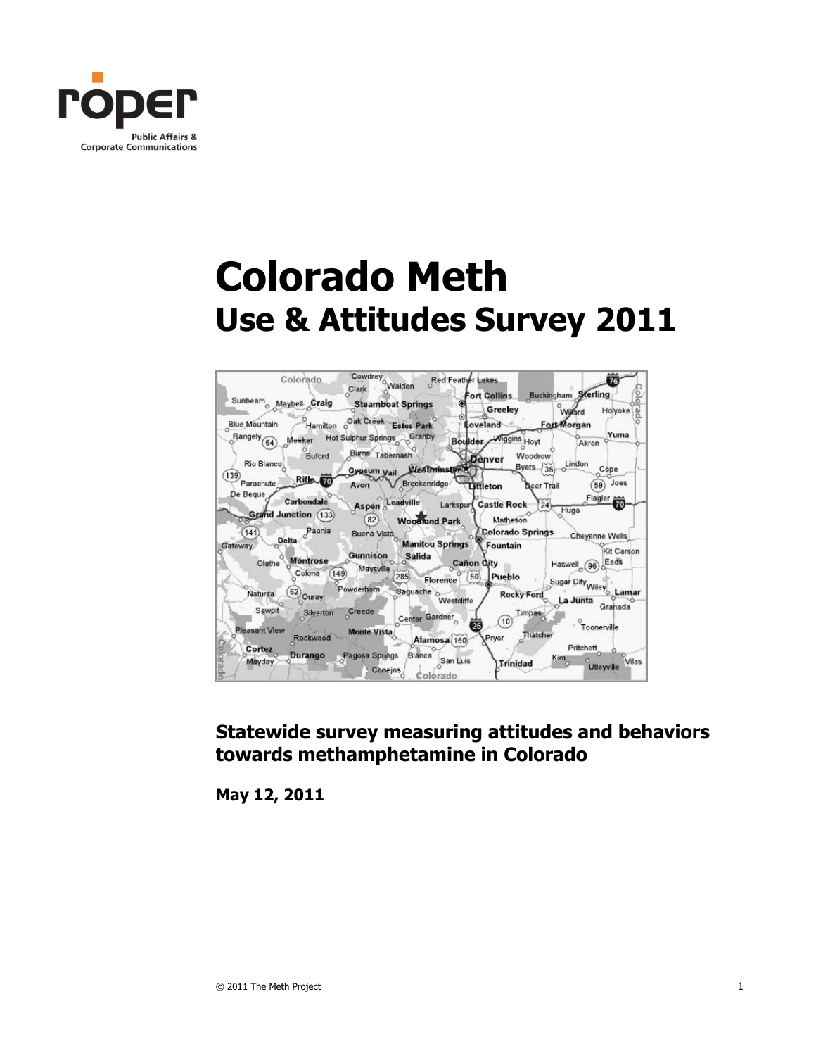

# **Colorado Meth Use & Attitudes Survey 2011**



### **Statewide survey measuring attitudes and behaviors towards methamphetamine in Colorado**

**May 12, 2011**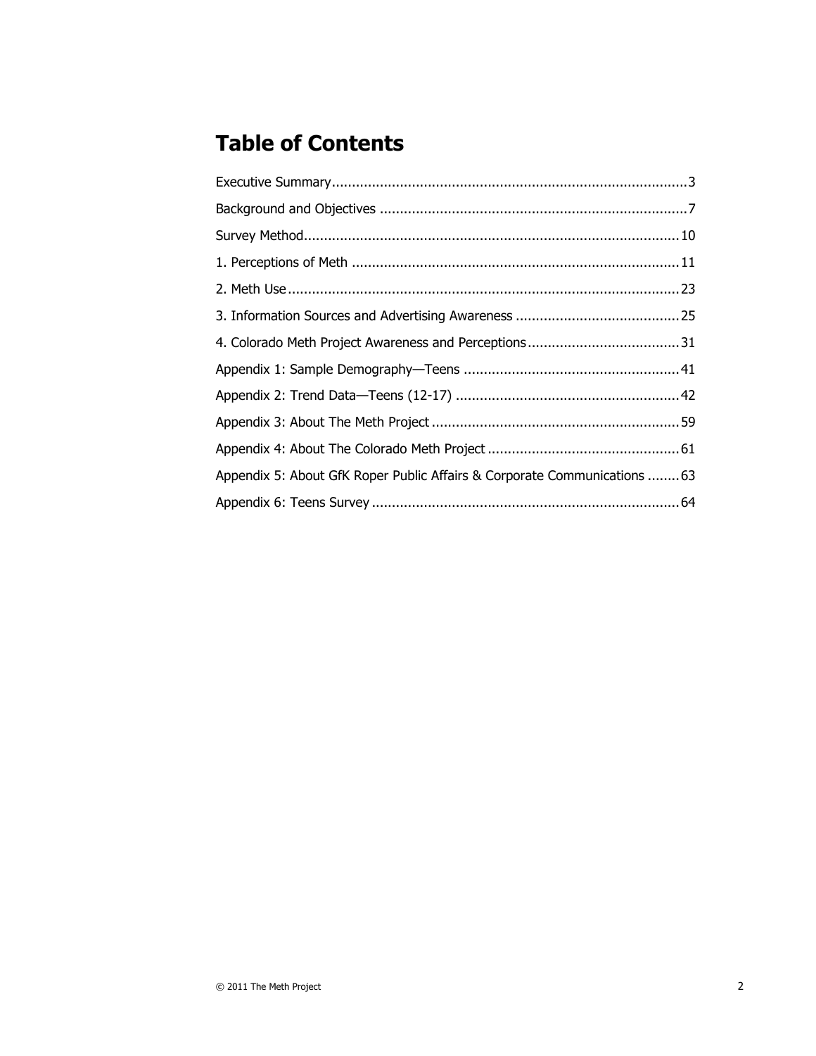# **Table of Contents**

| Appendix 5: About GfK Roper Public Affairs & Corporate Communications  63 |  |
|---------------------------------------------------------------------------|--|
|                                                                           |  |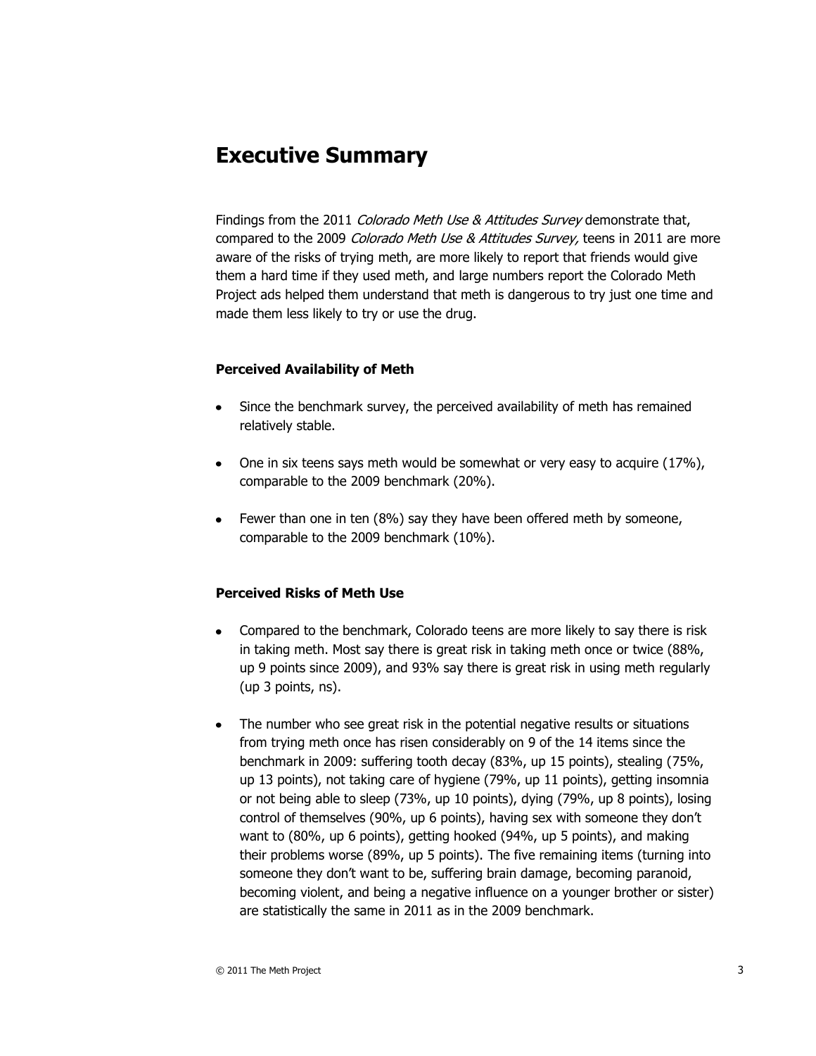# **Executive Summary**

Findings from the 2011 Colorado Meth Use & Attitudes Survey demonstrate that, compared to the 2009 *Colorado Meth Use & Attitudes Survey*, teens in 2011 are more aware of the risks of trying meth, are more likely to report that friends would give them a hard time if they used meth, and large numbers report the Colorado Meth Project ads helped them understand that meth is dangerous to try just one time and made them less likely to try or use the drug.

#### **Perceived Availability of Meth**

- Since the benchmark survey, the perceived availability of meth has remained relatively stable.
- One in six teens says meth would be somewhat or very easy to acquire (17%), comparable to the 2009 benchmark (20%).
- Fewer than one in ten (8%) say they have been offered meth by someone, comparable to the 2009 benchmark (10%).

#### **Perceived Risks of Meth Use**

- Compared to the benchmark, Colorado teens are more likely to say there is risk in taking meth. Most say there is great risk in taking meth once or twice (88%, up 9 points since 2009), and 93% say there is great risk in using meth regularly (up 3 points, ns).
- The number who see great risk in the potential negative results or situations from trying meth once has risen considerably on 9 of the 14 items since the benchmark in 2009: suffering tooth decay (83%, up 15 points), stealing (75%, up 13 points), not taking care of hygiene (79%, up 11 points), getting insomnia or not being able to sleep (73%, up 10 points), dying (79%, up 8 points), losing control of themselves (90%, up 6 points), having sex with someone they don't want to (80%, up 6 points), getting hooked (94%, up 5 points), and making their problems worse (89%, up 5 points). The five remaining items (turning into someone they don't want to be, suffering brain damage, becoming paranoid, becoming violent, and being a negative influence on a younger brother or sister) are statistically the same in 2011 as in the 2009 benchmark.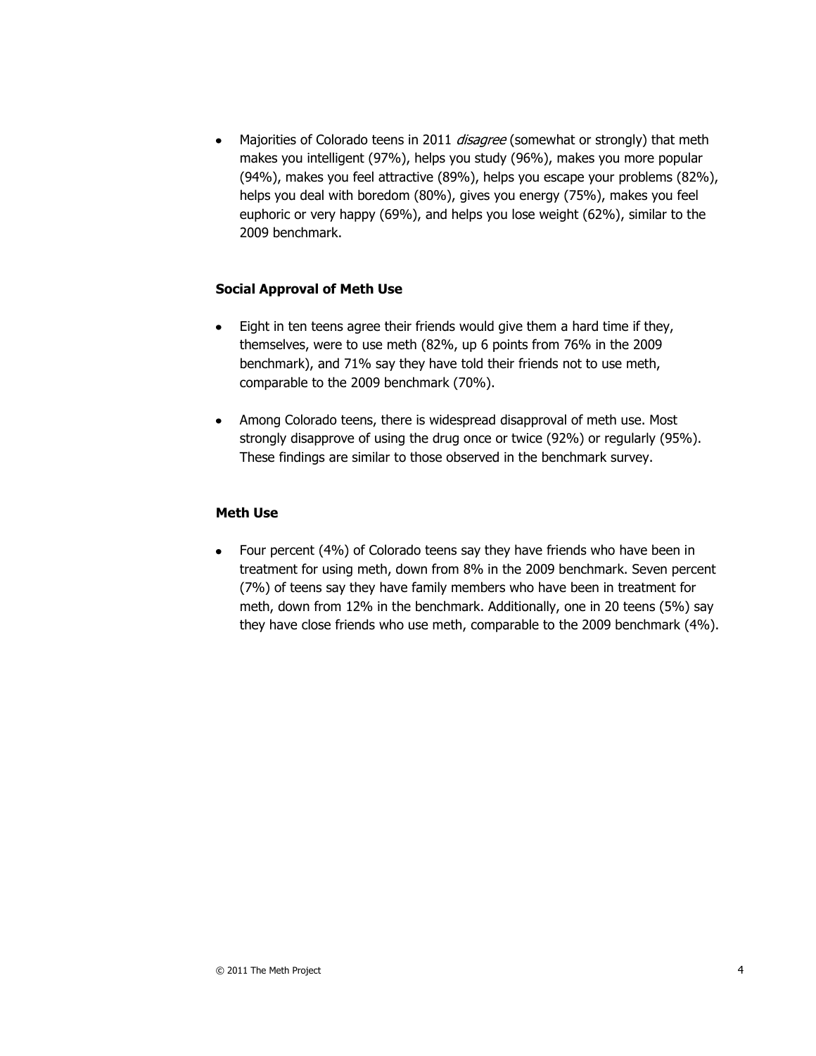Majorities of Colorado teens in 2011 *disagree* (somewhat or strongly) that meth makes you intelligent (97%), helps you study (96%), makes you more popular (94%), makes you feel attractive (89%), helps you escape your problems (82%), helps you deal with boredom (80%), gives you energy (75%), makes you feel euphoric or very happy (69%), and helps you lose weight (62%), similar to the 2009 benchmark.

#### **Social Approval of Meth Use**

- Eight in ten teens agree their friends would give them a hard time if they, themselves, were to use meth (82%, up 6 points from 76% in the 2009 benchmark), and 71% say they have told their friends not to use meth, comparable to the 2009 benchmark (70%).
- Among Colorado teens, there is widespread disapproval of meth use. Most strongly disapprove of using the drug once or twice (92%) or regularly (95%). These findings are similar to those observed in the benchmark survey.

#### **Meth Use**

• Four percent (4%) of Colorado teens say they have friends who have been in treatment for using meth, down from 8% in the 2009 benchmark. Seven percent (7%) of teens say they have family members who have been in treatment for meth, down from 12% in the benchmark. Additionally, one in 20 teens (5%) say they have close friends who use meth, comparable to the 2009 benchmark (4%).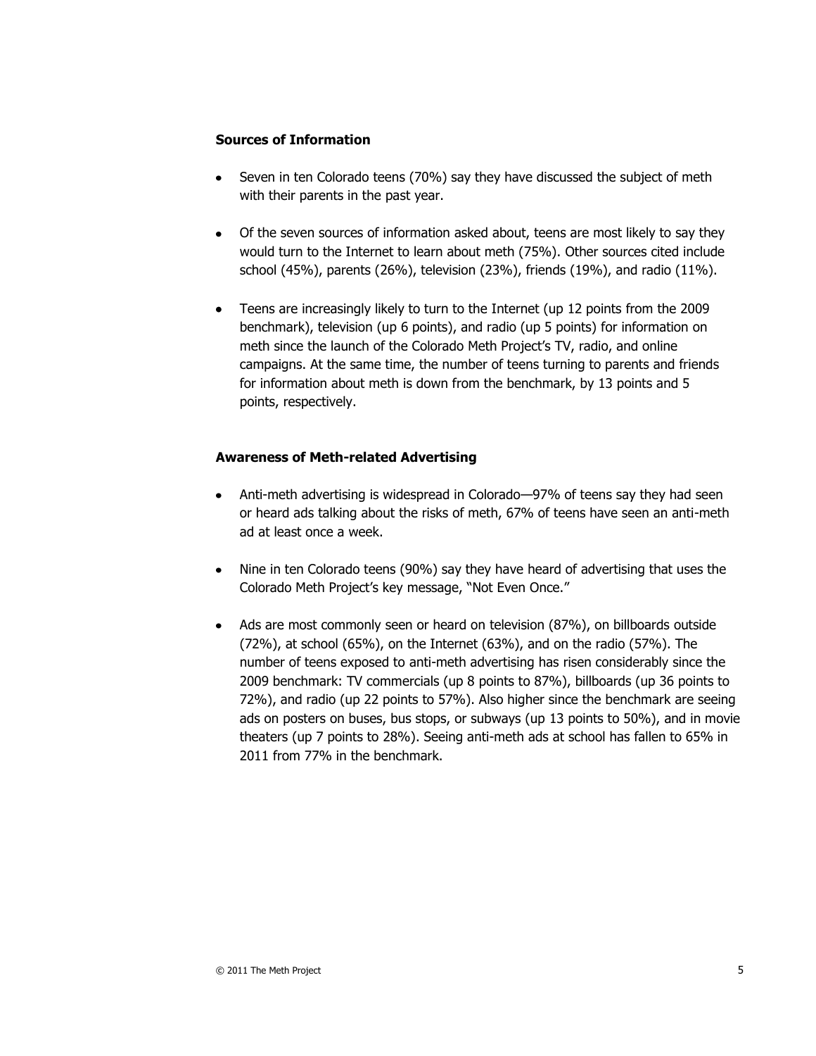#### **Sources of Information**

- Seven in ten Colorado teens (70%) say they have discussed the subject of meth with their parents in the past year.
- Of the seven sources of information asked about, teens are most likely to say they would turn to the Internet to learn about meth (75%). Other sources cited include school (45%), parents (26%), television (23%), friends (19%), and radio (11%).
- Teens are increasingly likely to turn to the Internet (up 12 points from the 2009 benchmark), television (up 6 points), and radio (up 5 points) for information on meth since the launch of the Colorado Meth Project's TV, radio, and online campaigns. At the same time, the number of teens turning to parents and friends for information about meth is down from the benchmark, by 13 points and 5 points, respectively.

#### **Awareness of Meth-related Advertising**

- Anti-meth advertising is widespread in Colorado—97% of teens say they had seen or heard ads talking about the risks of meth, 67% of teens have seen an anti-meth ad at least once a week.
- Nine in ten Colorado teens (90%) say they have heard of advertising that uses the Colorado Meth Project's key message, "Not Even Once."
- Ads are most commonly seen or heard on television (87%), on billboards outside (72%), at school (65%), on the Internet (63%), and on the radio (57%). The number of teens exposed to anti-meth advertising has risen considerably since the 2009 benchmark: TV commercials (up 8 points to 87%), billboards (up 36 points to 72%), and radio (up 22 points to 57%). Also higher since the benchmark are seeing ads on posters on buses, bus stops, or subways (up 13 points to 50%), and in movie theaters (up 7 points to 28%). Seeing anti-meth ads at school has fallen to 65% in 2011 from 77% in the benchmark.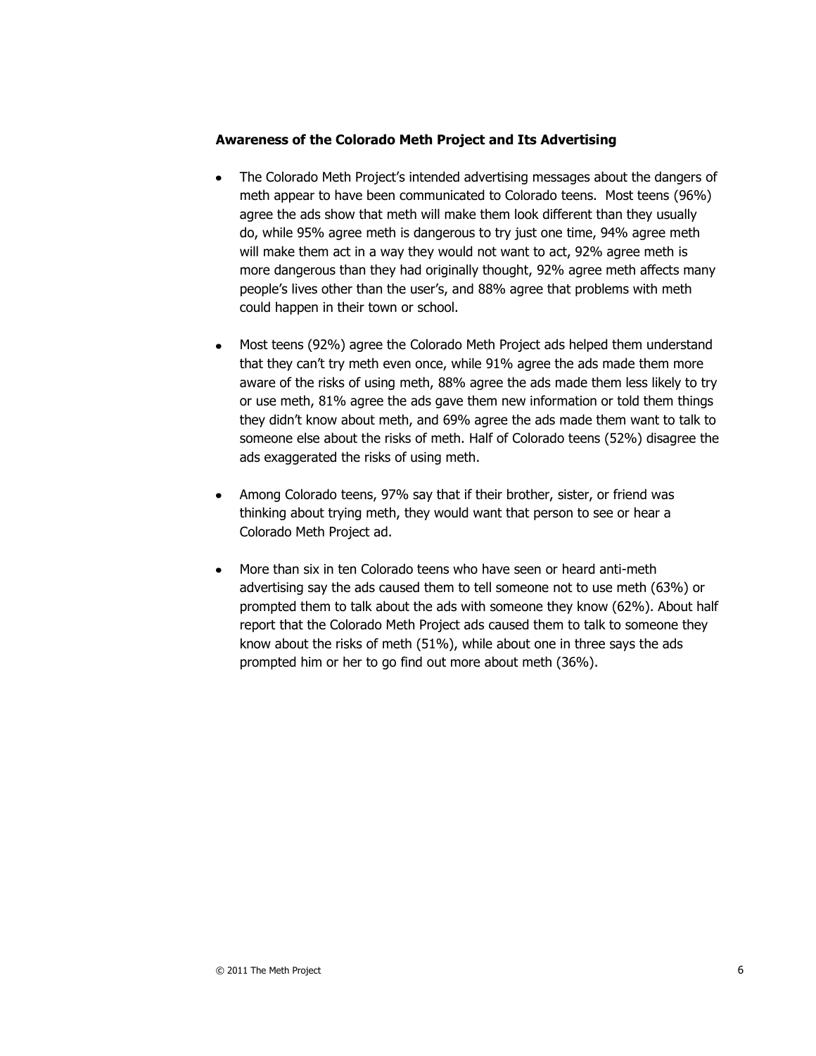#### **Awareness of the Colorado Meth Project and Its Advertising**

- The Colorado Meth Project's intended advertising messages about the dangers of meth appear to have been communicated to Colorado teens. Most teens (96%) agree the ads show that meth will make them look different than they usually do, while 95% agree meth is dangerous to try just one time, 94% agree meth will make them act in a way they would not want to act, 92% agree meth is more dangerous than they had originally thought, 92% agree meth affects many people's lives other than the user's, and 88% agree that problems with meth could happen in their town or school.
- Most teens (92%) agree the Colorado Meth Project ads helped them understand that they can't try meth even once, while 91% agree the ads made them more aware of the risks of using meth, 88% agree the ads made them less likely to try or use meth, 81% agree the ads gave them new information or told them things they didn't know about meth, and 69% agree the ads made them want to talk to someone else about the risks of meth. Half of Colorado teens (52%) disagree the ads exaggerated the risks of using meth.
- Among Colorado teens, 97% say that if their brother, sister, or friend was thinking about trying meth, they would want that person to see or hear a Colorado Meth Project ad.
- More than six in ten Colorado teens who have seen or heard anti-meth advertising say the ads caused them to tell someone not to use meth (63%) or prompted them to talk about the ads with someone they know (62%). About half report that the Colorado Meth Project ads caused them to talk to someone they know about the risks of meth (51%), while about one in three says the ads prompted him or her to go find out more about meth (36%).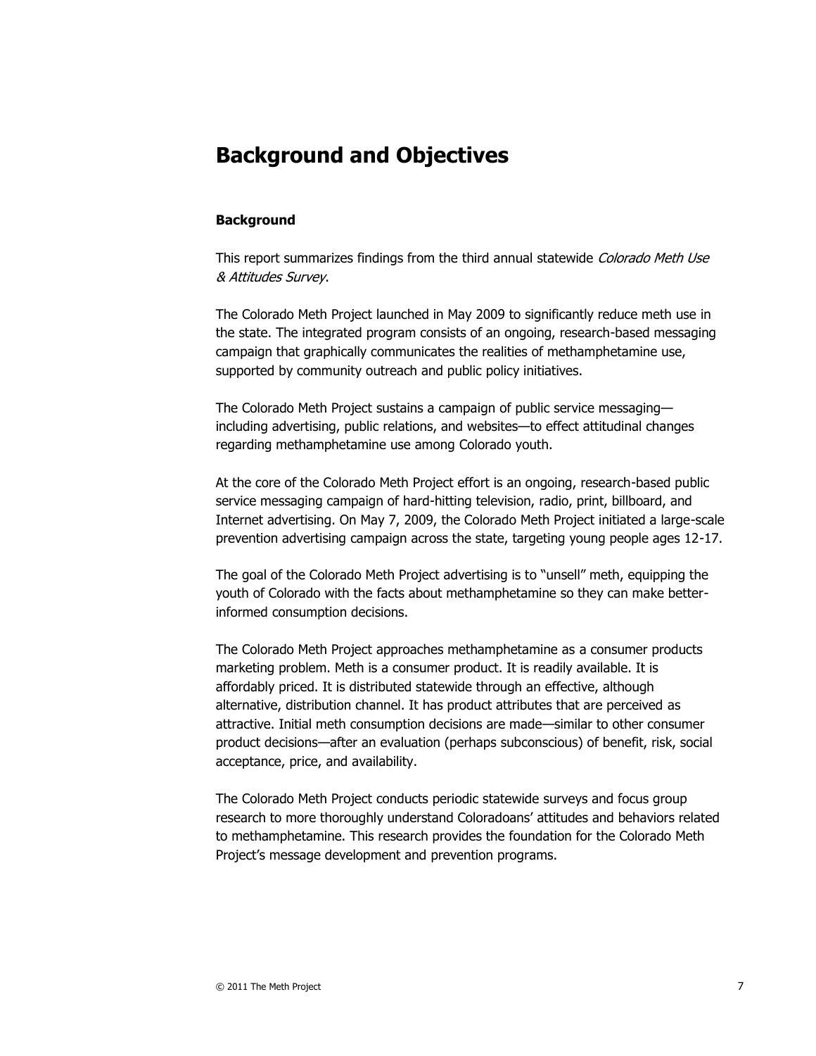# **Background and Objectives**

#### **Background**

This report summarizes findings from the third annual statewide Colorado Meth Use & Attitudes Survey.

The Colorado Meth Project launched in May 2009 to significantly reduce meth use in the state. The integrated program consists of an ongoing, research-based messaging campaign that graphically communicates the realities of methamphetamine use, supported by community outreach and public policy initiatives.

The Colorado Meth Project sustains a campaign of public service messaging including advertising, public relations, and websites—to effect attitudinal changes regarding methamphetamine use among Colorado youth.

At the core of the Colorado Meth Project effort is an ongoing, research-based public service messaging campaign of hard-hitting television, radio, print, billboard, and Internet advertising. On May 7, 2009, the Colorado Meth Project initiated a large-scale prevention advertising campaign across the state, targeting young people ages 12-17.

The goal of the Colorado Meth Project advertising is to "unsell" meth, equipping the youth of Colorado with the facts about methamphetamine so they can make betterinformed consumption decisions.

The Colorado Meth Project approaches methamphetamine as a consumer products marketing problem. Meth is a consumer product. It is readily available. It is affordably priced. It is distributed statewide through an effective, although alternative, distribution channel. It has product attributes that are perceived as attractive. Initial meth consumption decisions are made—similar to other consumer product decisions—after an evaluation (perhaps subconscious) of benefit, risk, social acceptance, price, and availability.

The Colorado Meth Project conducts periodic statewide surveys and focus group research to more thoroughly understand Coloradoans' attitudes and behaviors related to methamphetamine. This research provides the foundation for the Colorado Meth Project's message development and prevention programs.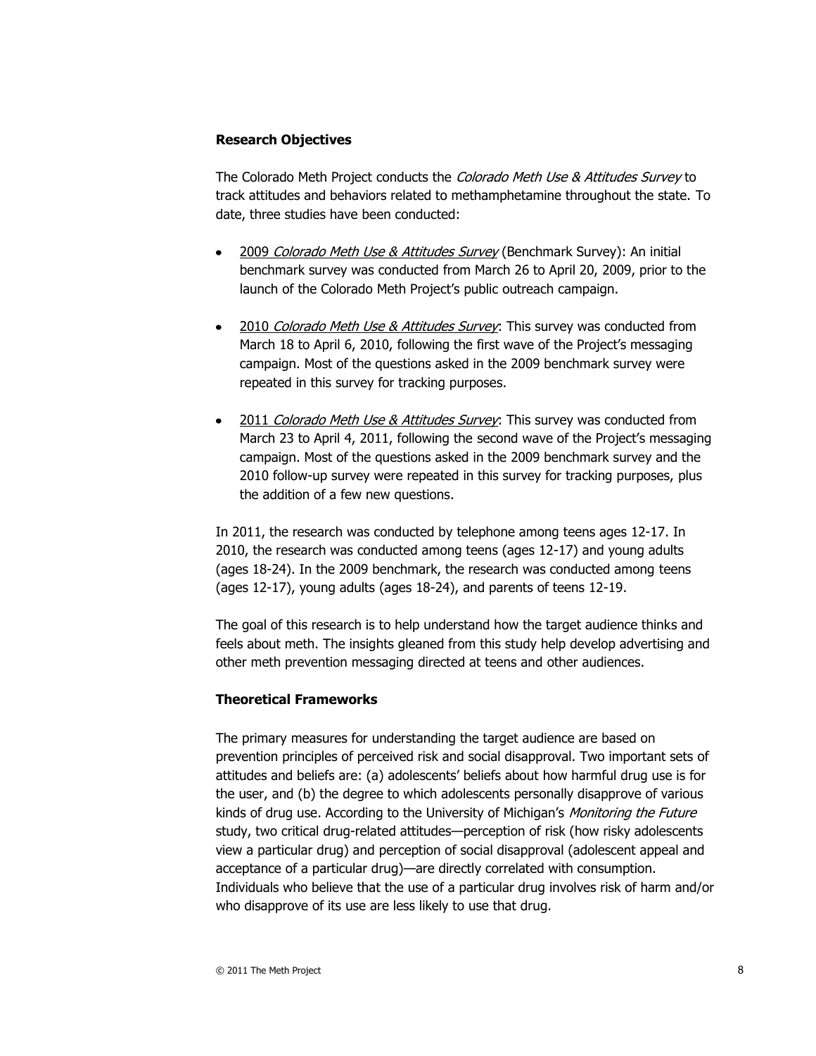#### **Research Objectives**

The Colorado Meth Project conducts the Colorado Meth Use & Attitudes Survey to track attitudes and behaviors related to methamphetamine throughout the state. To date, three studies have been conducted:

- 2009 Colorado Meth Use & Attitudes Survey (Benchmark Survey): An initial benchmark survey was conducted from March 26 to April 20, 2009, prior to the launch of the Colorado Meth Project's public outreach campaign.
- 2010 *Colorado Meth Use & Attitudes Survey*: This survey was conducted from March 18 to April 6, 2010, following the first wave of the Project's messaging campaign. Most of the questions asked in the 2009 benchmark survey were repeated in this survey for tracking purposes.
- 2011 Colorado Meth Use & Attitudes Survey: This survey was conducted from March 23 to April 4, 2011, following the second wave of the Project's messaging campaign. Most of the questions asked in the 2009 benchmark survey and the 2010 follow-up survey were repeated in this survey for tracking purposes, plus the addition of a few new questions.

In 2011, the research was conducted by telephone among teens ages 12-17. In 2010, the research was conducted among teens (ages 12-17) and young adults (ages 18-24). In the 2009 benchmark, the research was conducted among teens (ages 12-17), young adults (ages 18-24), and parents of teens 12-19.

The goal of this research is to help understand how the target audience thinks and feels about meth. The insights gleaned from this study help develop advertising and other meth prevention messaging directed at teens and other audiences.

#### **Theoretical Frameworks**

The primary measures for understanding the target audience are based on prevention principles of perceived risk and social disapproval. Two important sets of attitudes and beliefs are: (a) adolescents' beliefs about how harmful drug use is for the user, and (b) the degree to which adolescents personally disapprove of various kinds of drug use. According to the University of Michigan's *Monitoring the Future* study, two critical drug-related attitudes—perception of risk (how risky adolescents view a particular drug) and perception of social disapproval (adolescent appeal and acceptance of a particular drug)—are directly correlated with consumption. Individuals who believe that the use of a particular drug involves risk of harm and/or who disapprove of its use are less likely to use that drug.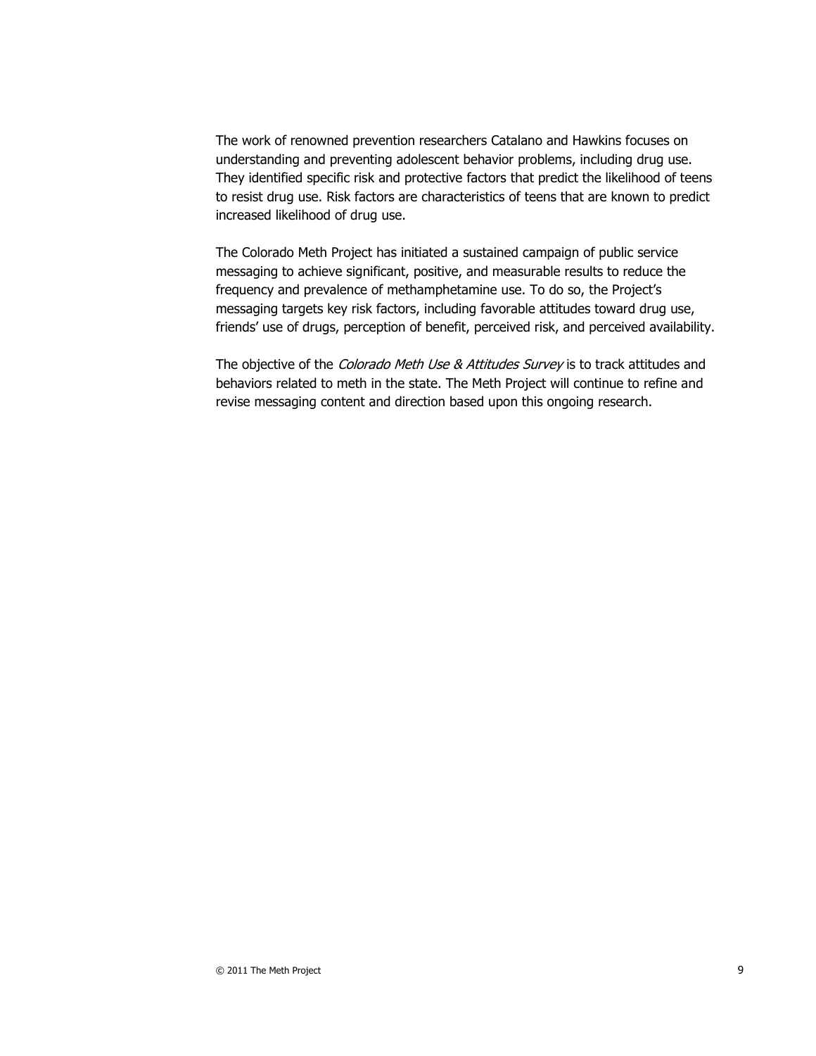The work of renowned prevention researchers Catalano and Hawkins focuses on understanding and preventing adolescent behavior problems, including drug use. They identified specific risk and protective factors that predict the likelihood of teens to resist drug use. Risk factors are characteristics of teens that are known to predict increased likelihood of drug use.

The Colorado Meth Project has initiated a sustained campaign of public service messaging to achieve significant, positive, and measurable results to reduce the frequency and prevalence of methamphetamine use. To do so, the Project's messaging targets key risk factors, including favorable attitudes toward drug use, friends' use of drugs, perception of benefit, perceived risk, and perceived availability.

The objective of the *Colorado Meth Use & Attitudes Survey* is to track attitudes and behaviors related to meth in the state. The Meth Project will continue to refine and revise messaging content and direction based upon this ongoing research.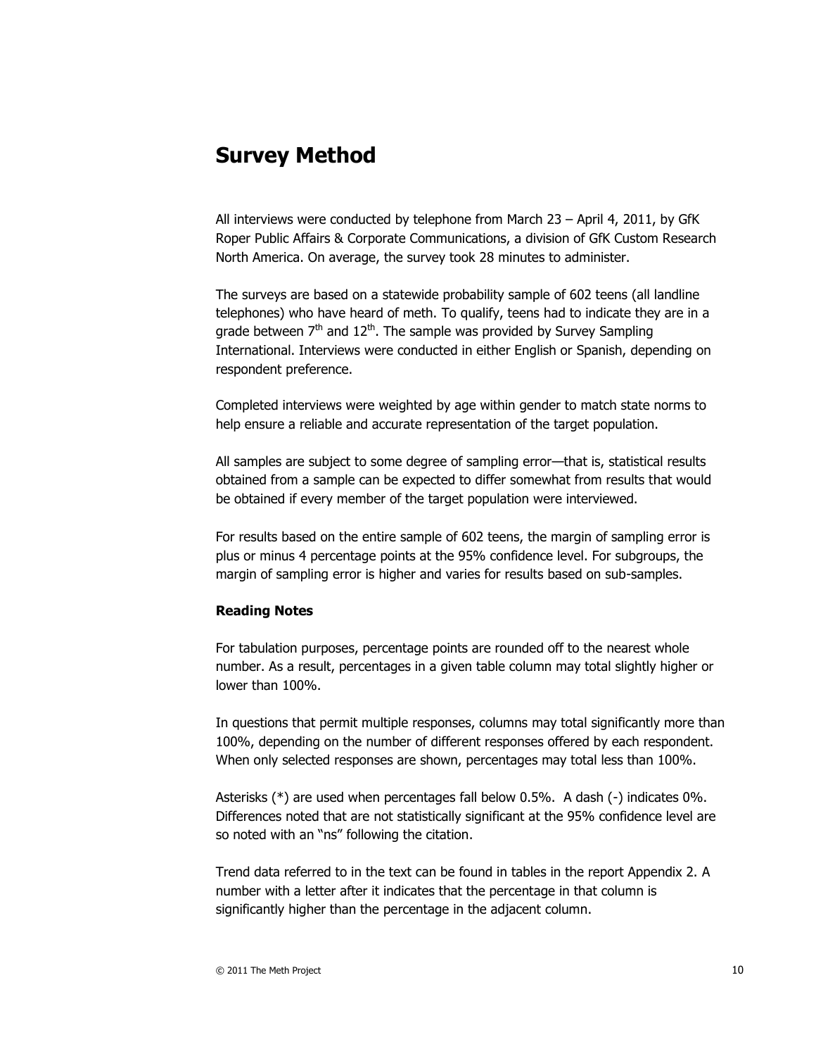## **Survey Method**

All interviews were conducted by telephone from March 23 – April 4, 2011, by GfK Roper Public Affairs & Corporate Communications, a division of GfK Custom Research North America. On average, the survey took 28 minutes to administer.

The surveys are based on a statewide probability sample of 602 teens (all landline telephones) who have heard of meth. To qualify, teens had to indicate they are in a grade between  $7<sup>th</sup>$  and  $12<sup>th</sup>$ . The sample was provided by Survey Sampling International. Interviews were conducted in either English or Spanish, depending on respondent preference.

Completed interviews were weighted by age within gender to match state norms to help ensure a reliable and accurate representation of the target population.

All samples are subject to some degree of sampling error—that is, statistical results obtained from a sample can be expected to differ somewhat from results that would be obtained if every member of the target population were interviewed.

For results based on the entire sample of 602 teens, the margin of sampling error is plus or minus 4 percentage points at the 95% confidence level. For subgroups, the margin of sampling error is higher and varies for results based on sub-samples.

#### **Reading Notes**

For tabulation purposes, percentage points are rounded off to the nearest whole number. As a result, percentages in a given table column may total slightly higher or lower than 100%.

In questions that permit multiple responses, columns may total significantly more than 100%, depending on the number of different responses offered by each respondent. When only selected responses are shown, percentages may total less than 100%.

Asterisks (\*) are used when percentages fall below 0.5%. A dash (-) indicates 0%. Differences noted that are not statistically significant at the 95% confidence level are so noted with an "ns" following the citation.

Trend data referred to in the text can be found in tables in the report Appendix 2. A number with a letter after it indicates that the percentage in that column is significantly higher than the percentage in the adjacent column.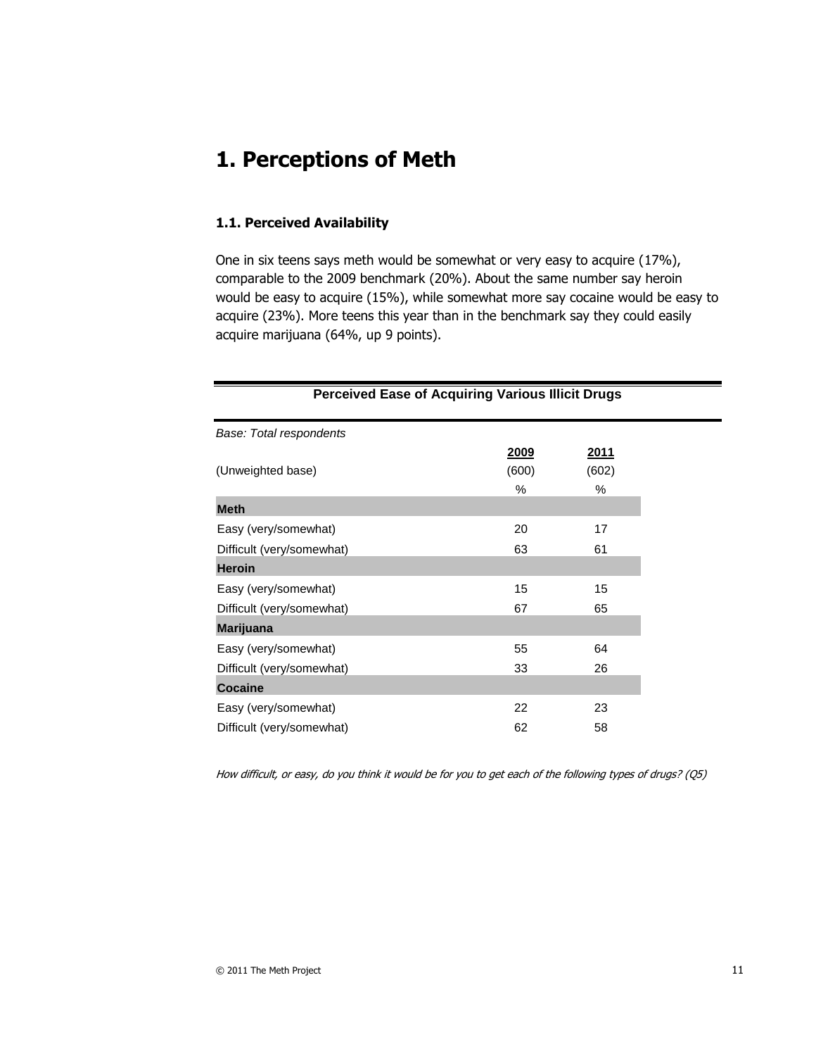# **1. Perceptions of Meth**

#### **1.1. Perceived Availability**

One in six teens says meth would be somewhat or very easy to acquire (17%), comparable to the 2009 benchmark (20%). About the same number say heroin would be easy to acquire (15%), while somewhat more say cocaine would be easy to acquire (23%). More teens this year than in the benchmark say they could easily acquire marijuana (64%, up 9 points).

| <b>Perceived Ease of Acquiring Various Illicit Drugs</b> |       |             |
|----------------------------------------------------------|-------|-------------|
| Base: Total respondents                                  |       |             |
|                                                          | 2009  | <u>2011</u> |
| (Unweighted base)                                        | (600) | (602)       |
|                                                          | %     | %           |
| <b>Meth</b>                                              |       |             |
| Easy (very/somewhat)                                     | 20    | 17          |
| Difficult (very/somewhat)                                | 63    | 61          |
| <b>Heroin</b>                                            |       |             |
| Easy (very/somewhat)                                     | 15    | 15          |
| Difficult (very/somewhat)                                | 67    | 65          |
| <b>Marijuana</b>                                         |       |             |
| Easy (very/somewhat)                                     | 55    | 64          |
| Difficult (very/somewhat)                                | 33    | 26          |
| <b>Cocaine</b>                                           |       |             |
| Easy (very/somewhat)                                     | 22    | 23          |
| Difficult (very/somewhat)                                | 62    | 58          |

How difficult, or easy, do you think it would be for you to get each of the following types of drugs? (Q5)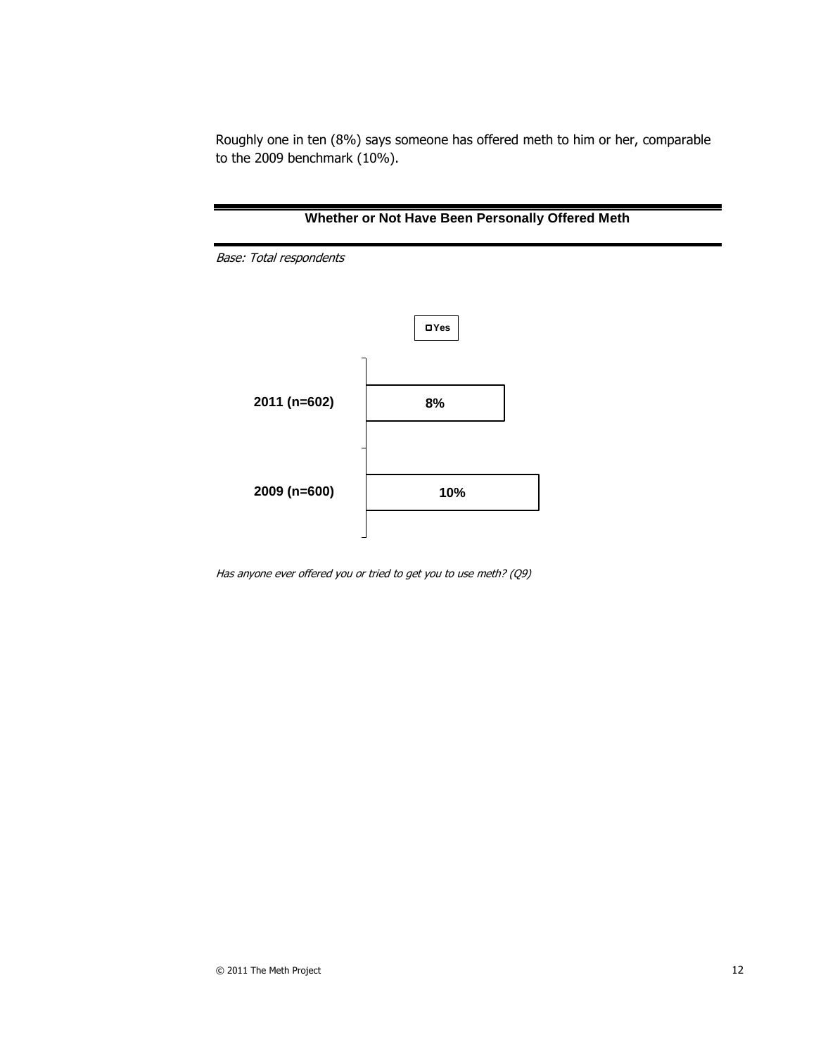Roughly one in ten (8%) says someone has offered meth to him or her, comparable to the 2009 benchmark (10%).



Has anyone ever offered you or tried to get you to use meth? (Q9)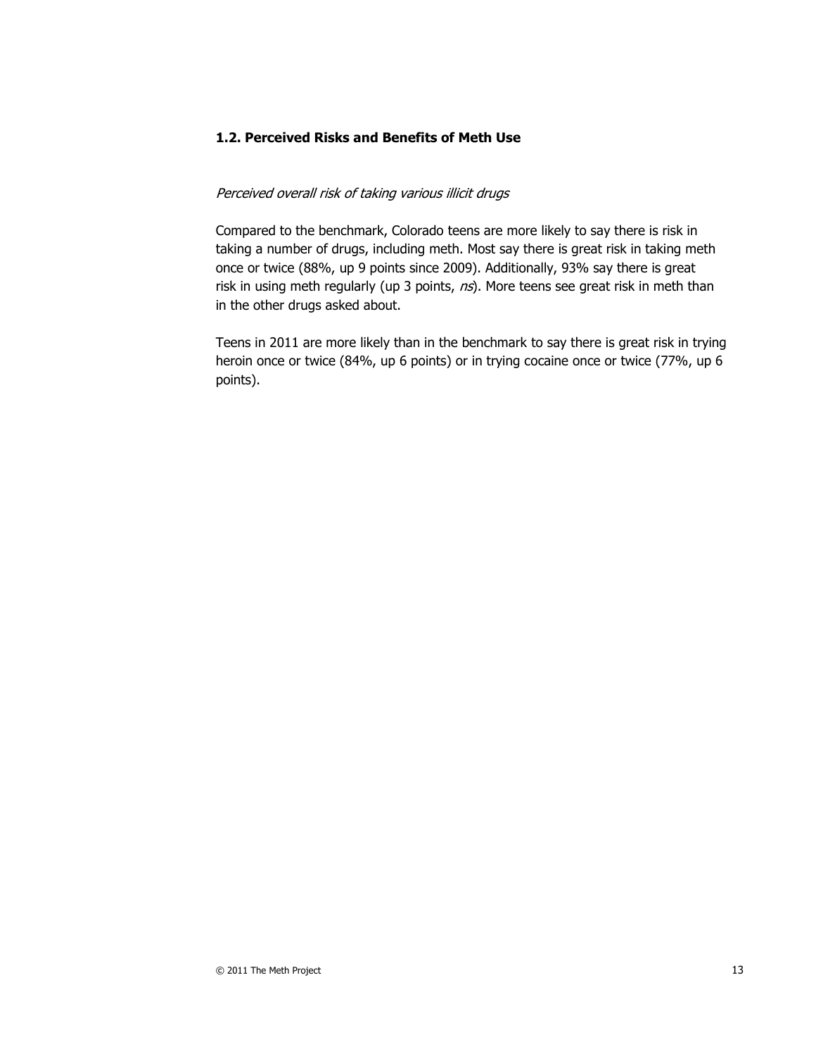#### **1.2. Perceived Risks and Benefits of Meth Use**

#### Perceived overall risk of taking various illicit drugs

Compared to the benchmark, Colorado teens are more likely to say there is risk in taking a number of drugs, including meth. Most say there is great risk in taking meth once or twice (88%, up 9 points since 2009). Additionally, 93% say there is great risk in using meth regularly (up 3 points,  $ns$ ). More teens see great risk in meth than in the other drugs asked about.

Teens in 2011 are more likely than in the benchmark to say there is great risk in trying heroin once or twice (84%, up 6 points) or in trying cocaine once or twice (77%, up 6 points).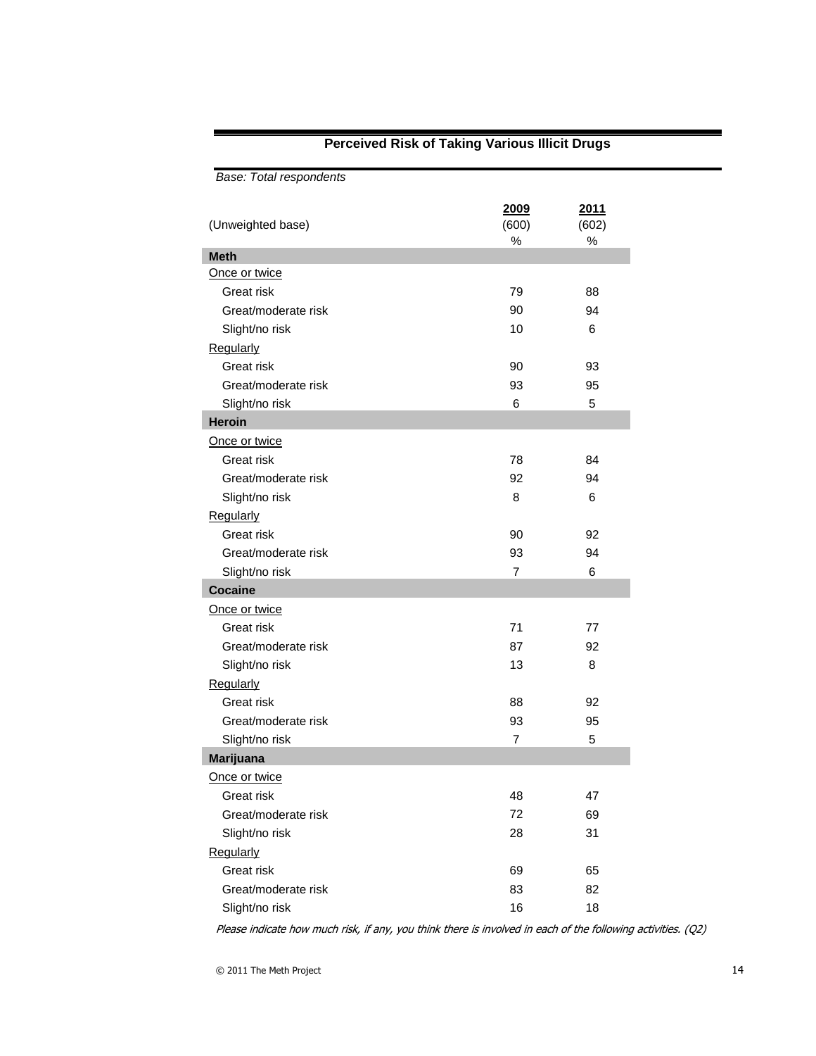| Base: Total respondents |                       |                       |  |
|-------------------------|-----------------------|-----------------------|--|
| (Unweighted base)       | 2009<br>(600)<br>$\%$ | 2011<br>(602)<br>$\%$ |  |
| <b>Meth</b>             |                       |                       |  |
| Once or twice           |                       |                       |  |
| Great risk              | 79                    | 88                    |  |
| Great/moderate risk     | 90                    | 94                    |  |
| Slight/no risk          | 10                    | 6                     |  |
| Regularly               |                       |                       |  |
| Great risk              | 90                    | 93                    |  |
| Great/moderate risk     | 93                    | 95                    |  |
| Slight/no risk          | 6                     | 5                     |  |
| <b>Heroin</b>           |                       |                       |  |
| Once or twice           |                       |                       |  |
| Great risk              | 78                    | 84                    |  |
| Great/moderate risk     | 92                    | 94                    |  |
| Slight/no risk          | 8                     | 6                     |  |
| Regularly               |                       |                       |  |
| Great risk              | 90                    | 92                    |  |
| Great/moderate risk     | 93                    | 94                    |  |
| Slight/no risk          | $\overline{7}$        | 6                     |  |
| <b>Cocaine</b>          |                       |                       |  |
| Once or twice           |                       |                       |  |
| Great risk              | 71                    | 77                    |  |
| Great/moderate risk     | 87                    | 92                    |  |
| Slight/no risk          | 13                    | 8                     |  |
| Regularly               |                       |                       |  |
| Great risk              | 88                    | 92                    |  |
| Great/moderate risk     | 93                    | 95                    |  |
| Slight/no risk          | $\overline{7}$        | 5                     |  |
| <b>Marijuana</b>        |                       |                       |  |
| Once or twice           |                       |                       |  |
| Great risk              | 48                    | 47                    |  |
| Great/moderate risk     | 72                    | 69                    |  |
| Slight/no risk          | 28                    | 31                    |  |
| Regularly               |                       |                       |  |
| Great risk              | 69                    | 65                    |  |
| Great/moderate risk     | 83                    | 82                    |  |
| Slight/no risk          | 16                    | 18                    |  |

### **Perceived Risk of Taking Various Illicit Drugs**

Please indicate how much risk, if any, you think there is involved in each of the following activities. (Q2)

I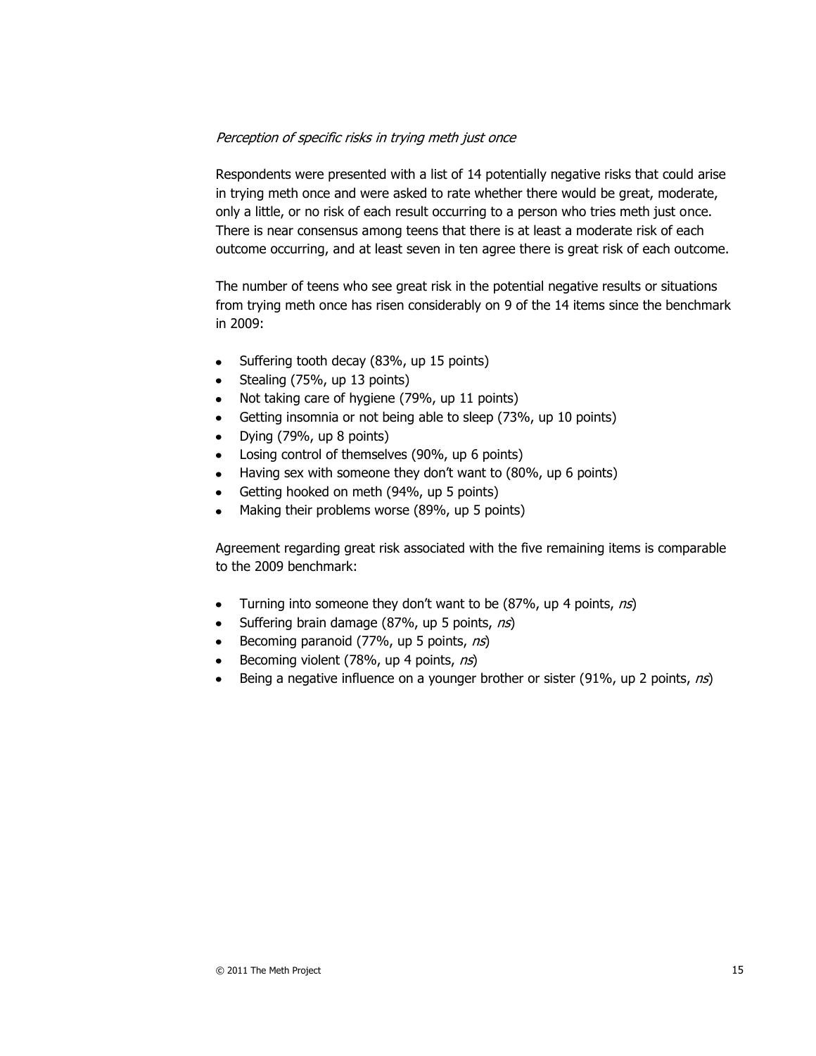#### Perception of specific risks in trying meth just once

Respondents were presented with a list of 14 potentially negative risks that could arise in trying meth once and were asked to rate whether there would be great, moderate, only a little, or no risk of each result occurring to a person who tries meth just once. There is near consensus among teens that there is at least a moderate risk of each outcome occurring, and at least seven in ten agree there is great risk of each outcome.

The number of teens who see great risk in the potential negative results or situations from trying meth once has risen considerably on 9 of the 14 items since the benchmark in 2009:

- Suffering tooth decay (83%, up 15 points)  $\bullet$
- Stealing (75%, up 13 points)
- Not taking care of hygiene (79%, up 11 points)
- Getting insomnia or not being able to sleep (73%, up 10 points)  $\bullet$
- Dying (79%, up 8 points)
- Losing control of themselves (90%, up 6 points)  $\bullet$
- Having sex with someone they don't want to (80%, up 6 points)  $\bullet$
- Getting hooked on meth (94%, up 5 points)
- Making their problems worse (89%, up 5 points)

Agreement regarding great risk associated with the five remaining items is comparable to the 2009 benchmark:

- Turning into someone they don't want to be (87%, up 4 points, ns)  $\bullet$
- Suffering brain damage (87%, up 5 points, ns)
- Becoming paranoid (77%, up 5 points, ns)  $\bullet$
- Becoming violent  $(78\%$ , up 4 points, ns)
- Being a negative influence on a younger brother or sister (91%, up 2 points,  $n\hat{s}$ )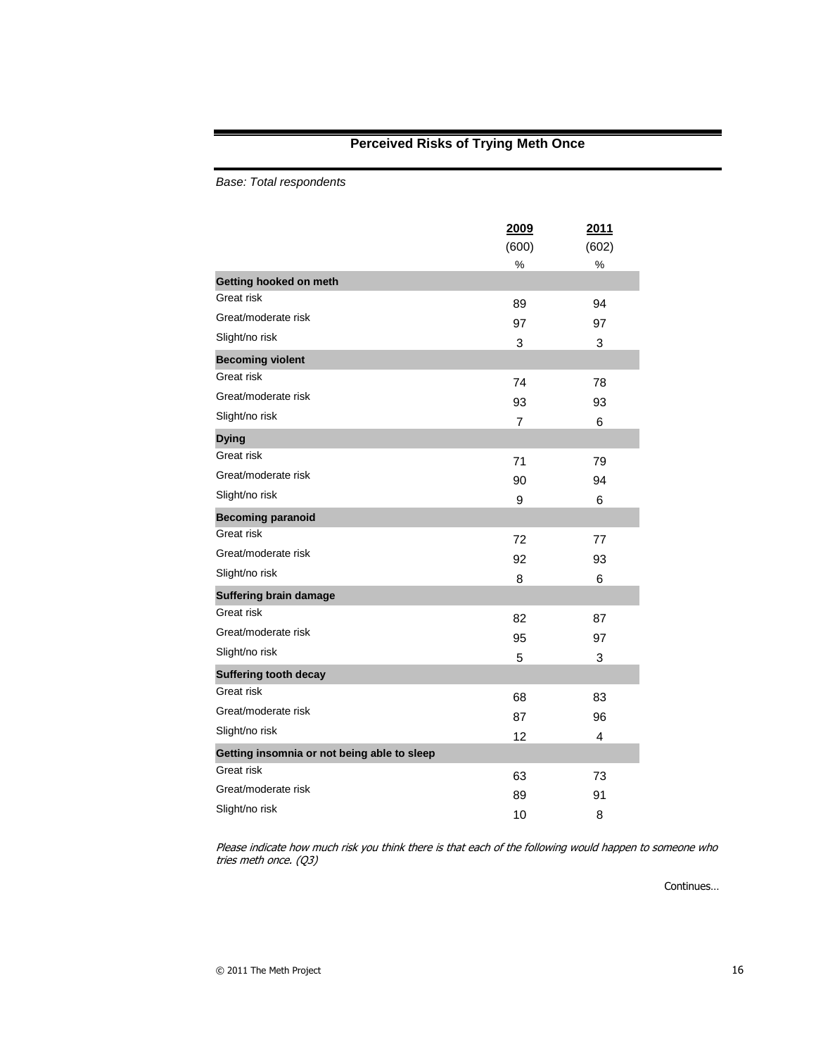### **Perceived Risks of Trying Meth Once**

*Base: Total respondents*

|                                             | 2009  | 2011  |
|---------------------------------------------|-------|-------|
|                                             | (600) | (602) |
|                                             | %     | %     |
| Getting hooked on meth                      |       |       |
| Great risk                                  | 89    | 94    |
| Great/moderate risk                         | 97    | 97    |
| Slight/no risk                              | 3     | 3     |
| <b>Becoming violent</b>                     |       |       |
| Great risk                                  | 74    | 78    |
| Great/moderate risk                         | 93    | 93    |
| Slight/no risk                              | 7     | 6     |
| <b>Dying</b>                                |       |       |
| Great risk                                  | 71    | 79    |
| Great/moderate risk                         | 90    | 94    |
| Slight/no risk                              | 9     | 6     |
| <b>Becoming paranoid</b>                    |       |       |
| Great risk                                  | 72    | 77    |
| Great/moderate risk                         | 92    | 93    |
| Slight/no risk                              | 8     | 6     |
| <b>Suffering brain damage</b>               |       |       |
| Great risk                                  | 82    | 87    |
| Great/moderate risk                         | 95    | 97    |
| Slight/no risk                              | 5     | 3     |
| <b>Suffering tooth decay</b>                |       |       |
| Great risk                                  | 68    | 83    |
| Great/moderate risk                         | 87    | 96    |
| Slight/no risk                              | 12    | 4     |
| Getting insomnia or not being able to sleep |       |       |
| Great risk                                  | 63    | 73    |
| Great/moderate risk                         | 89    | 91    |
| Slight/no risk                              | 10    | 8     |

Please indicate how much risk you think there is that each of the following would happen to someone who tries meth once. (Q3)

Continues…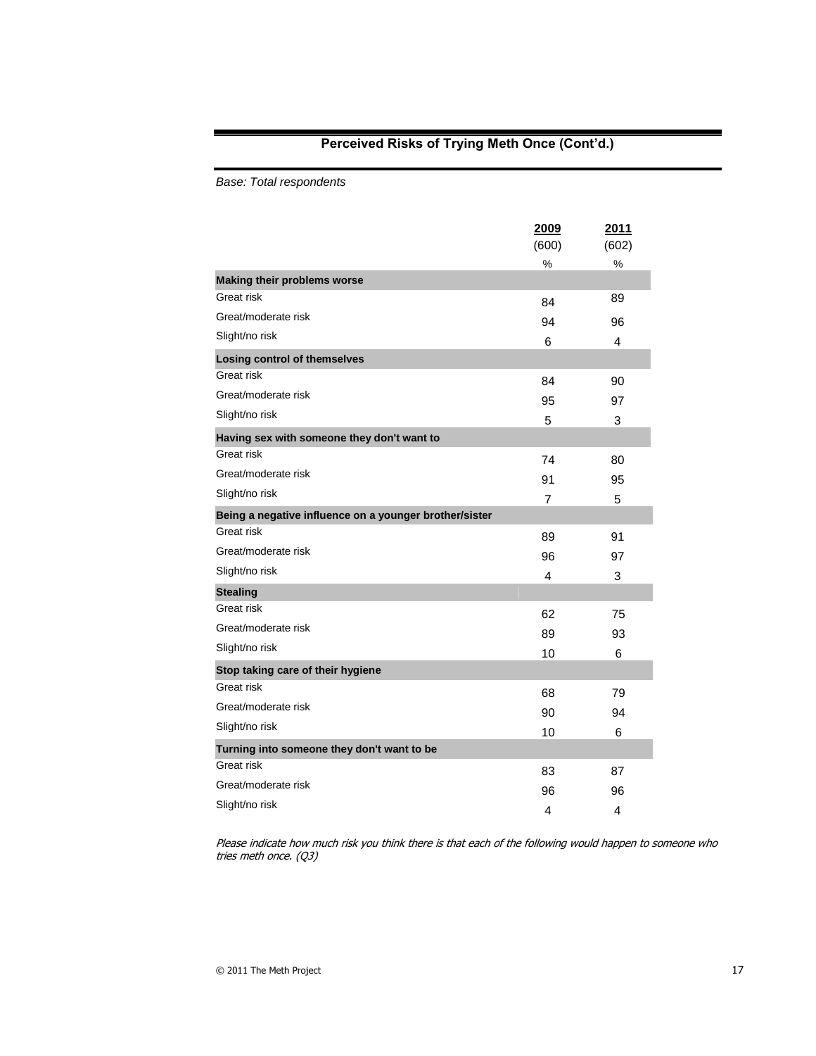### **Perceived Risks of Trying Meth Once (Cont'd.)**

*Base: Total respondents*

|                                                        | 2009           | 2011       |
|--------------------------------------------------------|----------------|------------|
|                                                        | (600)<br>%     | (602)<br>% |
| <b>Making their problems worse</b>                     |                |            |
| Great risk                                             | 84             | 89         |
| Great/moderate risk                                    | 94             | 96         |
| Slight/no risk                                         | 6              | 4          |
| <b>Losing control of themselves</b>                    |                |            |
| Great risk                                             | 84             | 90         |
| Great/moderate risk                                    | 95             | 97         |
| Slight/no risk                                         | 5              | 3          |
| Having sex with someone they don't want to             |                |            |
| Great risk                                             | 74             | 80         |
| Great/moderate risk                                    | 91             | 95         |
| Slight/no risk                                         | $\overline{7}$ | 5          |
| Being a negative influence on a younger brother/sister |                |            |
| Great risk                                             | 89             | 91         |
| Great/moderate risk                                    | 96             | 97         |
| Slight/no risk                                         | 4              | 3          |
| <b>Stealing</b>                                        |                |            |
| Great risk                                             | 62             | 75         |
| Great/moderate risk                                    | 89             | 93         |
| Slight/no risk                                         | 10             | 6          |
| Stop taking care of their hygiene                      |                |            |
| Great risk                                             | 68             | 79         |
| Great/moderate risk                                    | 90             | 94         |
| Slight/no risk                                         | 10             | 6          |
| Turning into someone they don't want to be             |                |            |
| Great risk                                             | 83             | 87         |
| Great/moderate risk                                    | 96             | 96         |
| Slight/no risk                                         | 4              | 4          |

Please indicate how much risk you think there is that each of the following would happen to someone who tries meth once. (Q3)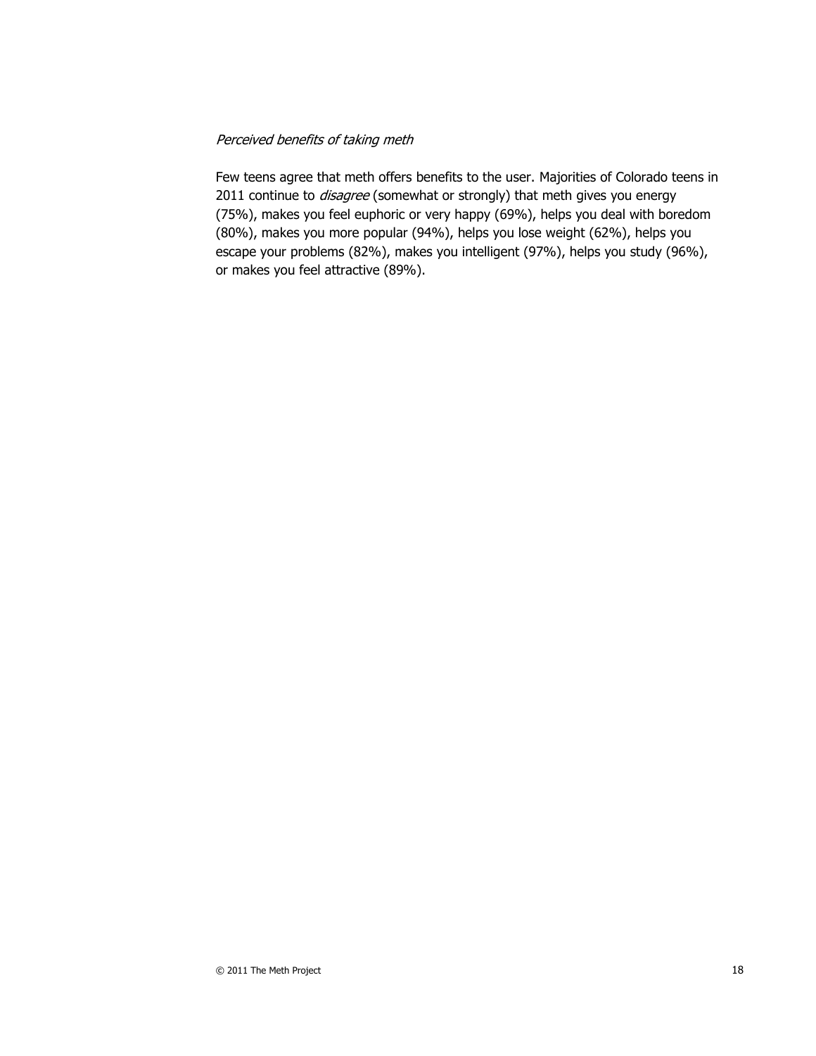#### Perceived benefits of taking meth

Few teens agree that meth offers benefits to the user. Majorities of Colorado teens in 2011 continue to *disagree* (somewhat or strongly) that meth gives you energy (75%), makes you feel euphoric or very happy (69%), helps you deal with boredom (80%), makes you more popular (94%), helps you lose weight (62%), helps you escape your problems (82%), makes you intelligent (97%), helps you study (96%), or makes you feel attractive (89%).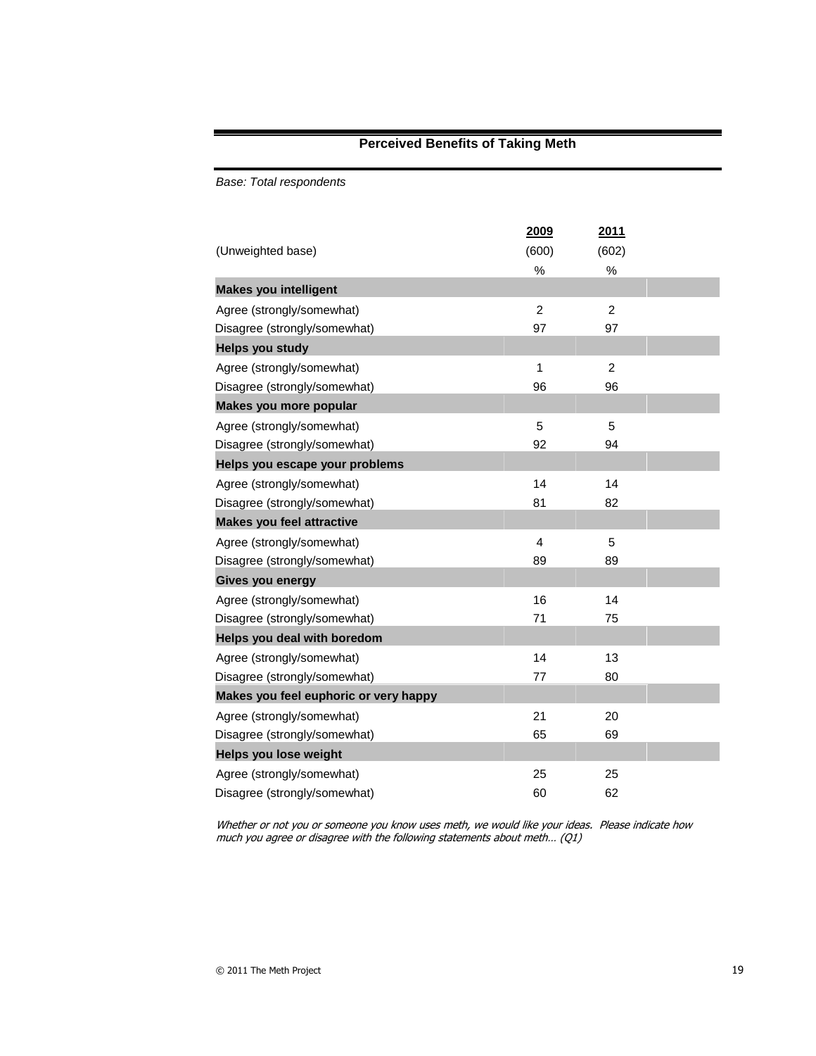### **Perceived Benefits of Taking Meth**

*Base: Total respondents*

|                                       | 2009           | 2011           |
|---------------------------------------|----------------|----------------|
| (Unweighted base)                     | (600)          | (602)          |
|                                       | $\%$           | $\%$           |
| <b>Makes you intelligent</b>          |                |                |
| Agree (strongly/somewhat)             | $\overline{2}$ | $\overline{2}$ |
| Disagree (strongly/somewhat)          | 97             | 97             |
| <b>Helps you study</b>                |                |                |
| Agree (strongly/somewhat)             | 1              | $\overline{2}$ |
| Disagree (strongly/somewhat)          | 96             | 96             |
| Makes you more popular                |                |                |
| Agree (strongly/somewhat)             | 5              | 5              |
| Disagree (strongly/somewhat)          | 92             | 94             |
| Helps you escape your problems        |                |                |
| Agree (strongly/somewhat)             | 14             | 14             |
| Disagree (strongly/somewhat)          | 81             | 82             |
| <b>Makes you feel attractive</b>      |                |                |
| Agree (strongly/somewhat)             | 4              | 5              |
| Disagree (strongly/somewhat)          | 89             | 89             |
| Gives you energy                      |                |                |
| Agree (strongly/somewhat)             | 16             | 14             |
| Disagree (strongly/somewhat)          | 71             | 75             |
| Helps you deal with boredom           |                |                |
| Agree (strongly/somewhat)             | 14             | 13             |
| Disagree (strongly/somewhat)          | 77             | 80             |
| Makes you feel euphoric or very happy |                |                |
| Agree (strongly/somewhat)             | 21             | 20             |
| Disagree (strongly/somewhat)          | 65             | 69             |
| Helps you lose weight                 |                |                |
| Agree (strongly/somewhat)             | 25             | 25             |
| Disagree (strongly/somewhat)          | 60             | 62             |

Whether or not you or someone you know uses meth, we would like your ideas. Please indicate how much you agree or disagree with the following statements about meth… (Q1)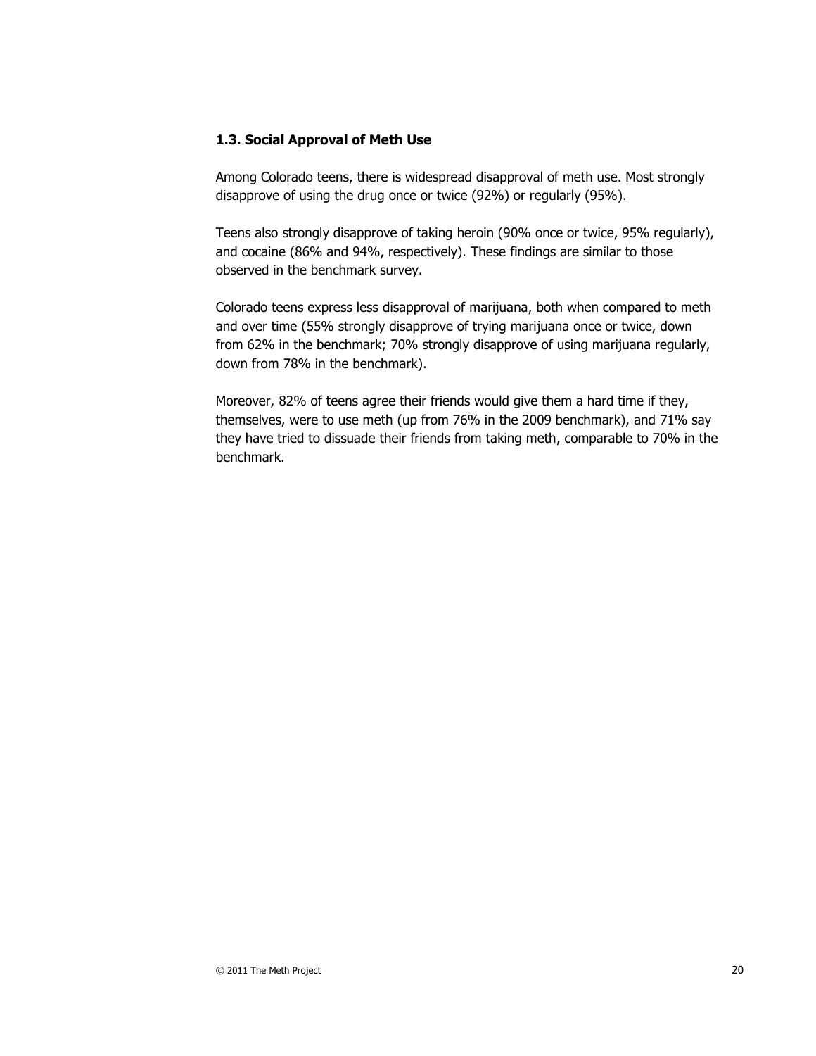#### **1.3. Social Approval of Meth Use**

Among Colorado teens, there is widespread disapproval of meth use. Most strongly disapprove of using the drug once or twice (92%) or regularly (95%).

Teens also strongly disapprove of taking heroin (90% once or twice, 95% regularly), and cocaine (86% and 94%, respectively). These findings are similar to those observed in the benchmark survey.

Colorado teens express less disapproval of marijuana, both when compared to meth and over time (55% strongly disapprove of trying marijuana once or twice, down from 62% in the benchmark; 70% strongly disapprove of using marijuana regularly, down from 78% in the benchmark).

Moreover, 82% of teens agree their friends would give them a hard time if they, themselves, were to use meth (up from 76% in the 2009 benchmark), and 71% say they have tried to dissuade their friends from taking meth, comparable to 70% in the benchmark.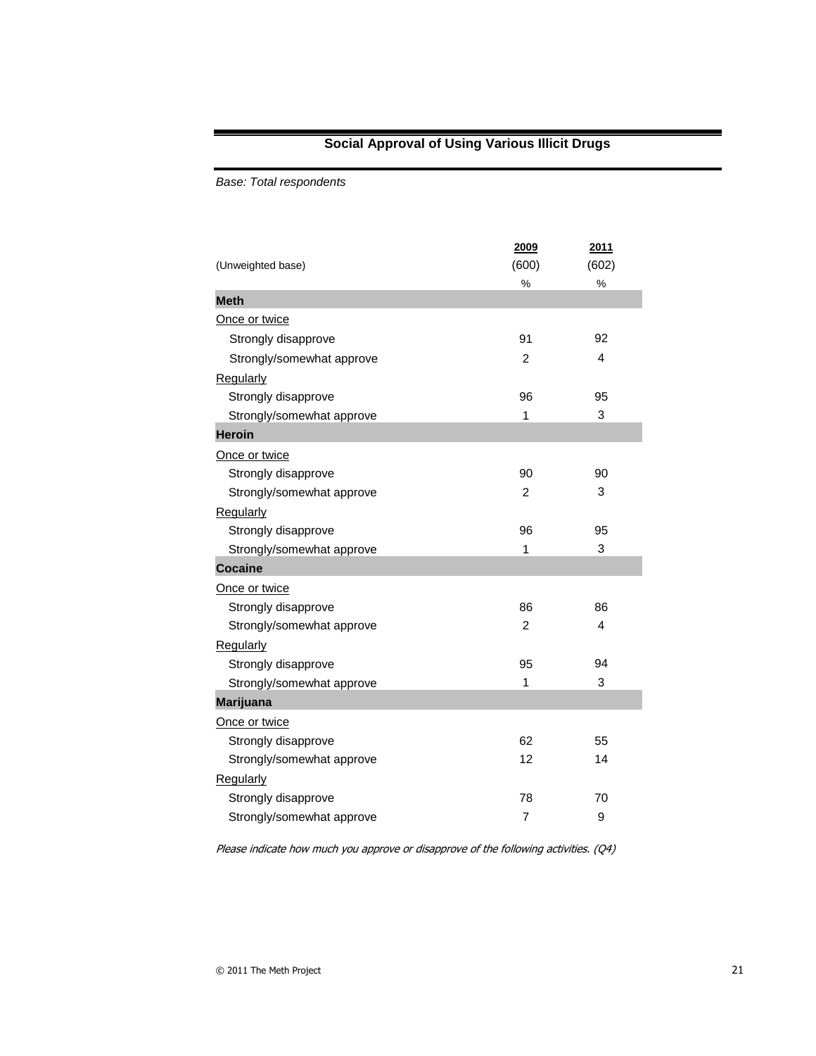### **Social Approval of Using Various Illicit Drugs**

*Base: Total respondents*

|                           | 2009           | 2011  |
|---------------------------|----------------|-------|
| (Unweighted base)         | (600)          | (602) |
|                           | %              | %     |
| <b>Meth</b>               |                |       |
| Once or twice             |                |       |
| Strongly disapprove       | 91             | 92    |
| Strongly/somewhat approve | 2              | 4     |
| Regularly                 |                |       |
| Strongly disapprove       | 96             | 95    |
| Strongly/somewhat approve | 1              | 3     |
| <b>Heroin</b>             |                |       |
| Once or twice             |                |       |
| Strongly disapprove       | 90             | 90    |
| Strongly/somewhat approve | $\overline{c}$ | 3     |
| Regularly                 |                |       |
| Strongly disapprove       | 96             | 95    |
| Strongly/somewhat approve | 1              | 3     |
| <b>Cocaine</b>            |                |       |
| Once or twice             |                |       |
| Strongly disapprove       | 86             | 86    |
| Strongly/somewhat approve | 2              | 4     |
| Regularly                 |                |       |
| Strongly disapprove       | 95             | 94    |
| Strongly/somewhat approve | 1              | 3     |
| <b>Marijuana</b>          |                |       |
| Once or twice             |                |       |
| Strongly disapprove       | 62             | 55    |
| Strongly/somewhat approve | 12             | 14    |
| <b>Regularly</b>          |                |       |
| Strongly disapprove       | 78             | 70    |
| Strongly/somewhat approve | 7              | 9     |

Please indicate how much you approve or disapprove of the following activities. (Q4)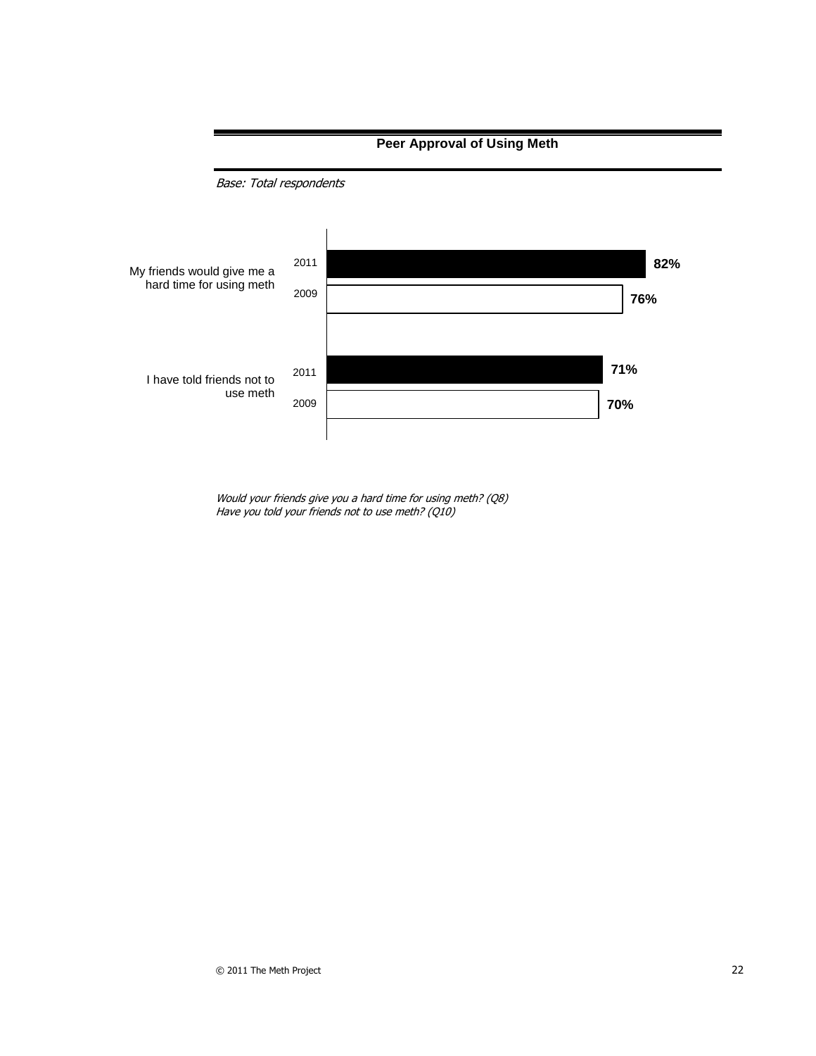

Would your friends give you a hard time for using meth? (Q8) Have you told your friends not to use meth? (Q10)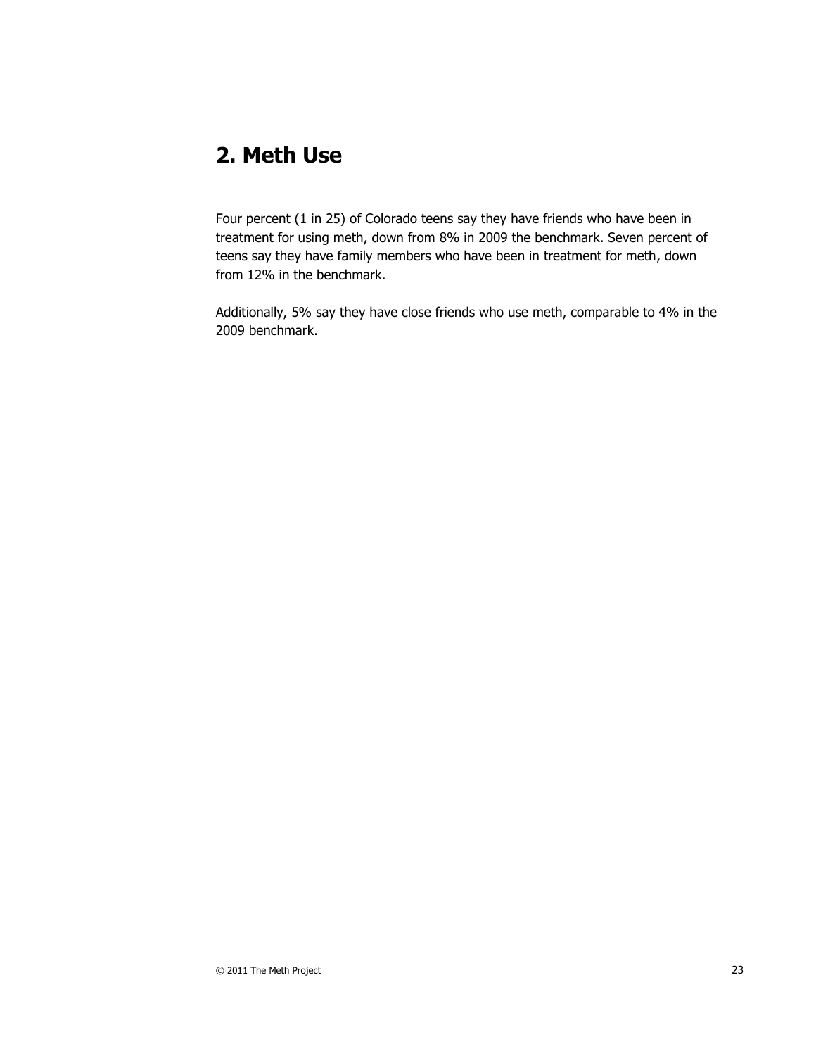# **2. Meth Use**

Four percent (1 in 25) of Colorado teens say they have friends who have been in treatment for using meth, down from 8% in 2009 the benchmark. Seven percent of teens say they have family members who have been in treatment for meth, down from 12% in the benchmark.

Additionally, 5% say they have close friends who use meth, comparable to 4% in the 2009 benchmark.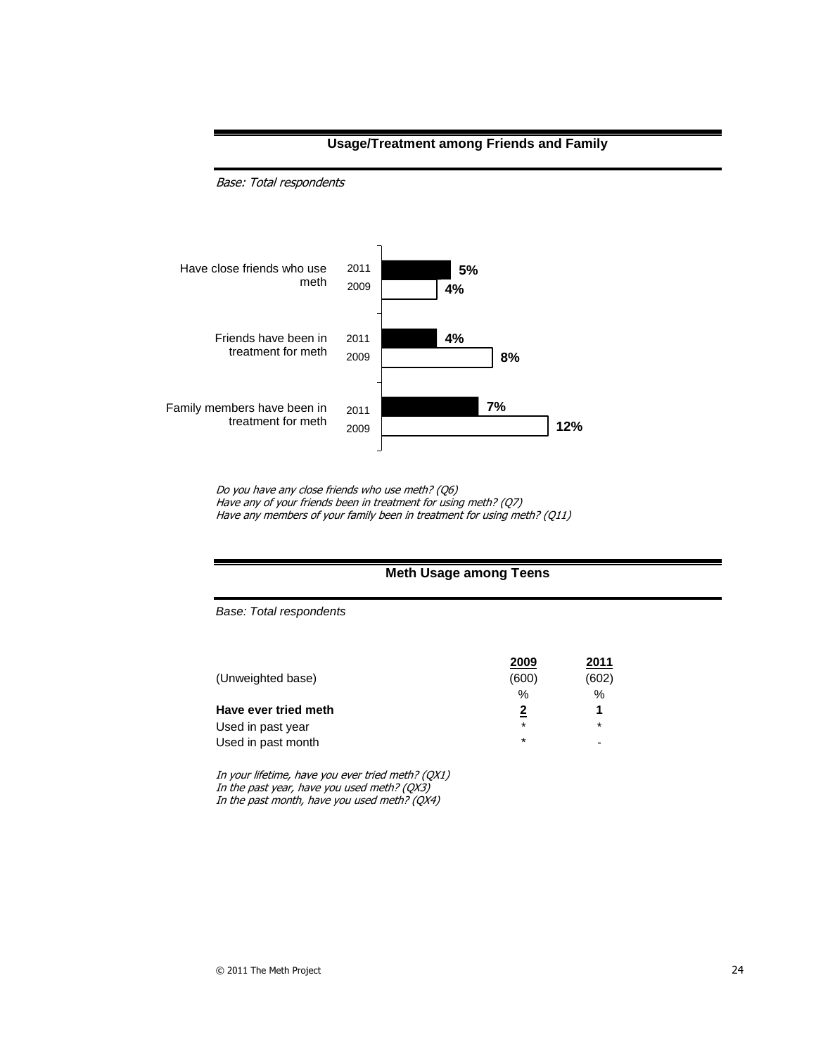

**Usage/Treatment among Friends and Family**

Do you have any close friends who use meth? (Q6) Have any of your friends been in treatment for using meth? (Q7) Have any members of your family been in treatment for using meth? (Q11)

#### **Meth Usage among Teens**

*Base: Total respondents*

Base: Total respondents

|                      | 2009    | 2011  |
|----------------------|---------|-------|
| (Unweighted base)    | (600)   | (602) |
|                      | %       | $\%$  |
| Have ever tried meth |         |       |
| Used in past year    | $\star$ | *     |
| Used in past month   | $\star$ |       |

In your lifetime, have you ever tried meth? (QX1) In the past year, have you used meth? (QX3) In the past month, have you used meth? (QX4)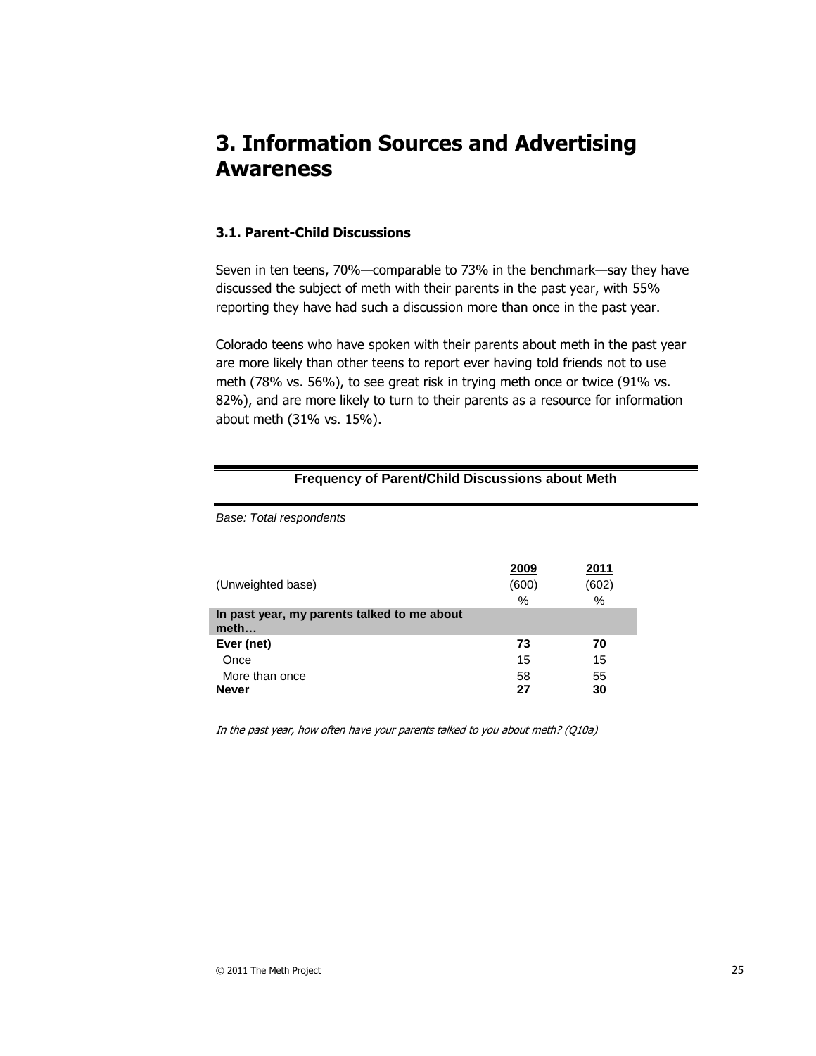# **3. Information Sources and Advertising Awareness**

#### **3.1. Parent-Child Discussions**

Seven in ten teens, 70%—comparable to 73% in the benchmark—say they have discussed the subject of meth with their parents in the past year, with 55% reporting they have had such a discussion more than once in the past year.

Colorado teens who have spoken with their parents about meth in the past year are more likely than other teens to report ever having told friends not to use meth (78% vs. 56%), to see great risk in trying meth once or twice (91% vs. 82%), and are more likely to turn to their parents as a resource for information about meth (31% vs. 15%).

| .                                                   |       |       |  |
|-----------------------------------------------------|-------|-------|--|
| Base: Total respondents                             |       |       |  |
|                                                     |       |       |  |
|                                                     | 2009  | 2011  |  |
| (Unweighted base)                                   | (600) | (602) |  |
|                                                     | %     | %     |  |
| In past year, my parents talked to me about<br>meth |       |       |  |
| Ever (net)                                          | 73    | 70    |  |
| Once                                                | 15    | 15    |  |
| More than once                                      | 58    | 55    |  |
| <b>Never</b>                                        | 27    | 30    |  |

**Frequency of Parent/Child Discussions about Meth**

In the past year, how often have your parents talked to you about meth? (Q10a)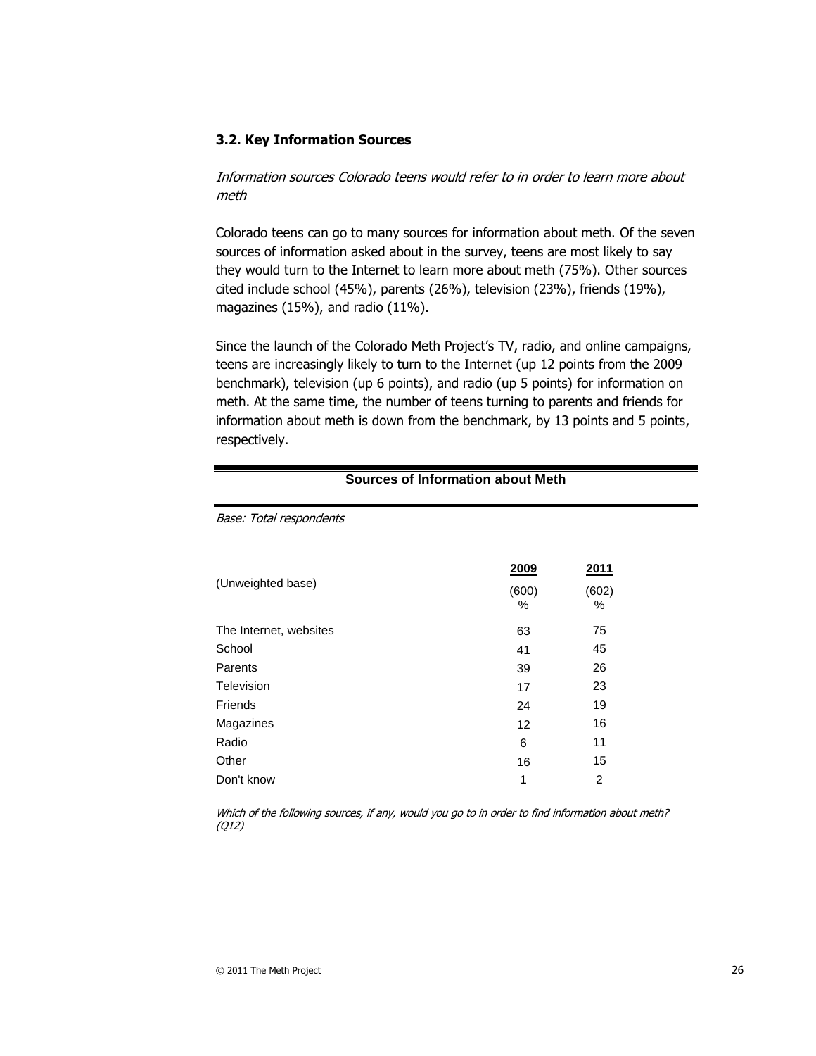#### **3.2. Key Information Sources**

Information sources Colorado teens would refer to in order to learn more about meth

Colorado teens can go to many sources for information about meth. Of the seven sources of information asked about in the survey, teens are most likely to say they would turn to the Internet to learn more about meth (75%). Other sources cited include school (45%), parents (26%), television (23%), friends (19%), magazines (15%), and radio (11%).

Since the launch of the Colorado Meth Project's TV, radio, and online campaigns, teens are increasingly likely to turn to the Internet (up 12 points from the 2009 benchmark), television (up 6 points), and radio (up 5 points) for information on meth. At the same time, the number of teens turning to parents and friends for information about meth is down from the benchmark, by 13 points and 5 points, respectively.

| Base: Total respondents |                           |                    |
|-------------------------|---------------------------|--------------------|
| (Unweighted base)       | <u>2009</u><br>(600)<br>% | 2011<br>(602)<br>% |
| The Internet, websites  | 63                        | 75                 |
| School                  | 41                        | 45                 |
| Parents                 | 39                        | 26                 |
| Television              | 17                        | 23                 |
| Friends                 | 24                        | 19                 |
| Magazines               | 12                        | 16                 |
| Radio                   | 6                         | 11                 |
| Other                   | 16                        | 15                 |
| Don't know              | 1                         | 2                  |

**Sources of Information about Meth**

Which of the following sources, if any, would you go to in order to find information about meth? (Q12)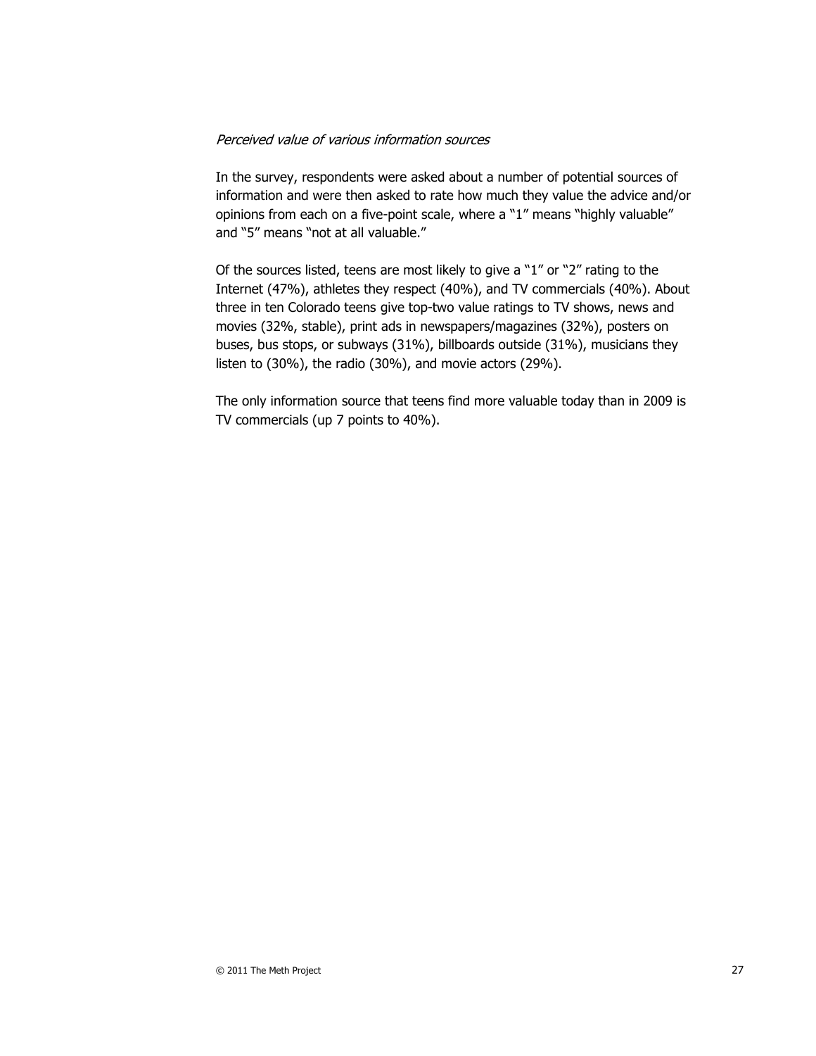#### Perceived value of various information sources

In the survey, respondents were asked about a number of potential sources of information and were then asked to rate how much they value the advice and/or opinions from each on a five-point scale, where a "1" means "highly valuable" and "5" means "not at all valuable."

Of the sources listed, teens are most likely to give a "1" or "2" rating to the Internet (47%), athletes they respect (40%), and TV commercials (40%). About three in ten Colorado teens give top-two value ratings to TV shows, news and movies (32%, stable), print ads in newspapers/magazines (32%), posters on buses, bus stops, or subways (31%), billboards outside (31%), musicians they listen to (30%), the radio (30%), and movie actors (29%).

The only information source that teens find more valuable today than in 2009 is TV commercials (up 7 points to 40%).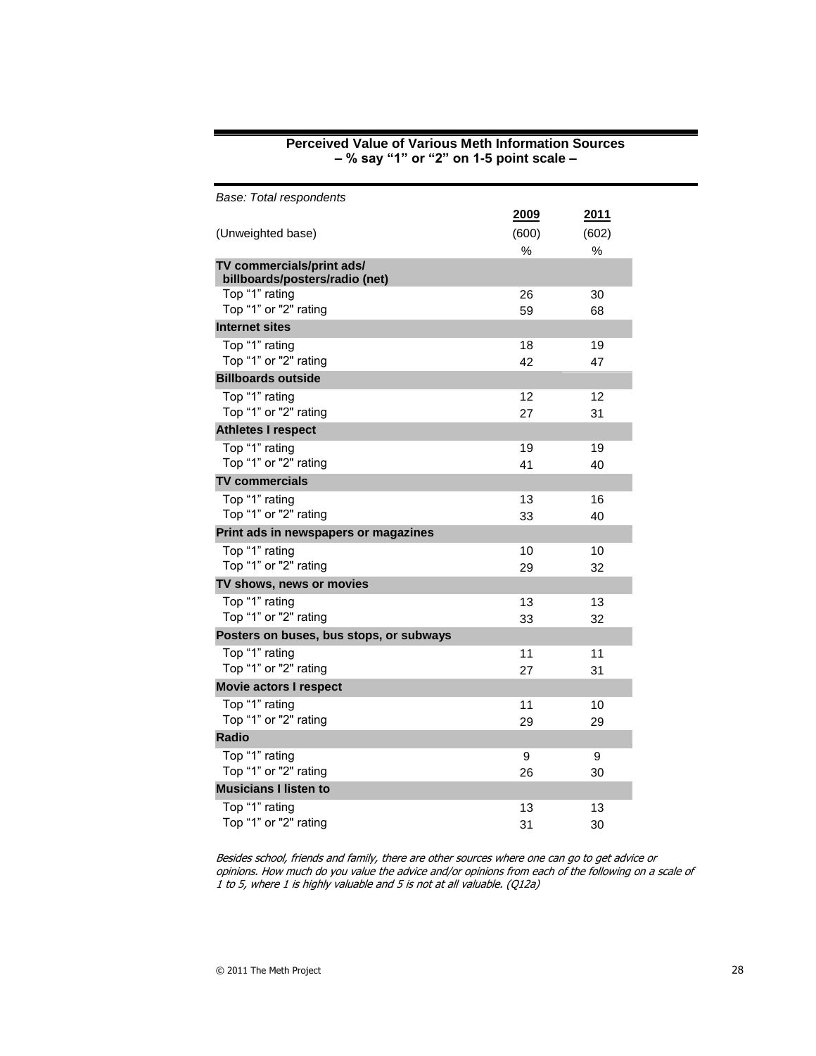| Base: Total respondents                                     |       |       |
|-------------------------------------------------------------|-------|-------|
|                                                             | 2009  | 2011  |
| (Unweighted base)                                           | (600) | (602) |
|                                                             | $\%$  | %     |
| TV commercials/print ads/<br>billboards/posters/radio (net) |       |       |
| Top "1" rating                                              | 26    | 30    |
| Top "1" or "2" rating                                       | 59    | 68    |
| Internet sites                                              |       |       |
| Top "1" rating                                              | 18    | 19    |
| Top "1" or "2" rating                                       | 42    | 47    |
| <b>Billboards outside</b>                                   |       |       |
| Top "1" rating                                              | 12    | 12    |
| Top "1" or "2" rating                                       | 27    | 31    |
| <b>Athletes I respect</b>                                   |       |       |
| Top "1" rating                                              | 19    | 19    |
| Top "1" or "2" rating                                       | 41    | 40    |
| TV commercials                                              |       |       |
| Top "1" rating                                              | 13    | 16    |
| Top "1" or "2" rating                                       | 33    | 40    |
| Print ads in newspapers or magazines                        |       |       |
| Top "1" rating                                              | 10    | 10    |
| Top "1" or "2" rating                                       | 29    | 32    |
| TV shows, news or movies                                    |       |       |
| Top "1" rating<br>Top "1" or "2" rating                     | 13    | 13    |
|                                                             | 33    | 32    |
| Posters on buses, bus stops, or subways                     |       |       |
| Top "1" rating<br>Top "1" or "2" rating                     | 11    | 11    |
|                                                             | 27    | 31    |
| Movie actors I respect                                      |       |       |
| Top "1" rating<br>Top "1" or "2" rating                     | 11    | 10    |
|                                                             | 29    | 29    |
| <b>Radio</b>                                                |       |       |
| Top "1" rating                                              | 9     | 9     |
| Top "1" or "2" rating                                       | 26    | 30    |
| <b>Musicians I listen to</b>                                |       |       |
| Top "1" rating                                              | 13    | 13    |
| Top "1" or "2" rating                                       | 31    | 30    |

#### **Perceived Value of Various Meth Information Sources – % say "1" or "2" on 1-5 point scale –**

Besides school, friends and family, there are other sources where one can go to get advice or opinions. How much do you value the advice and/or opinions from each of the following on a scale of 1 to 5, where 1 is highly valuable and 5 is not at all valuable. (Q12a)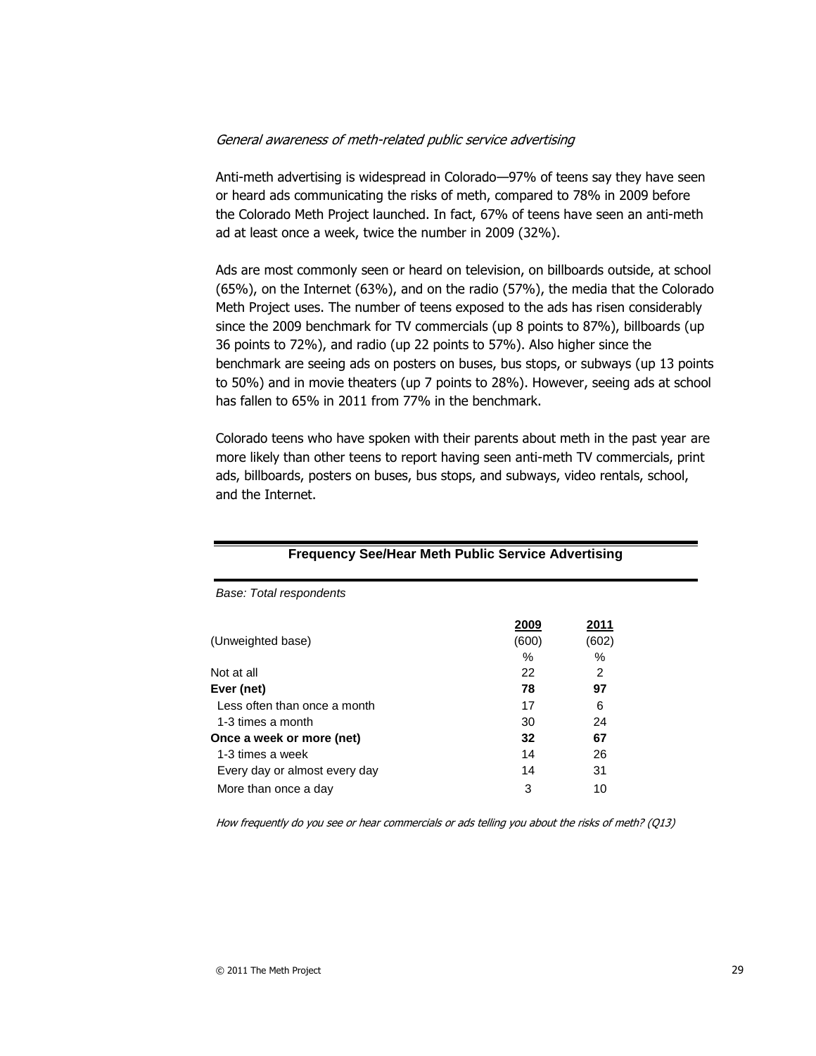#### General awareness of meth-related public service advertising

Anti-meth advertising is widespread in Colorado—97% of teens say they have seen or heard ads communicating the risks of meth, compared to 78% in 2009 before the Colorado Meth Project launched. In fact, 67% of teens have seen an anti-meth ad at least once a week, twice the number in 2009 (32%).

Ads are most commonly seen or heard on television, on billboards outside, at school (65%), on the Internet (63%), and on the radio (57%), the media that the Colorado Meth Project uses. The number of teens exposed to the ads has risen considerably since the 2009 benchmark for TV commercials (up 8 points to 87%), billboards (up 36 points to 72%), and radio (up 22 points to 57%). Also higher since the benchmark are seeing ads on posters on buses, bus stops, or subways (up 13 points to 50%) and in movie theaters (up 7 points to 28%). However, seeing ads at school has fallen to 65% in 2011 from 77% in the benchmark.

Colorado teens who have spoken with their parents about meth in the past year are more likely than other teens to report having seen anti-meth TV commercials, print ads, billboards, posters on buses, bus stops, and subways, video rentals, school, and the Internet.

| Frequency See/Hear Meth Public Service Advertising |                      |                        |  |
|----------------------------------------------------|----------------------|------------------------|--|
| Base: Total respondents                            |                      |                        |  |
| (Unweighted base)                                  | <u>2009</u><br>(600) | <u> 2011 </u><br>(602) |  |
| Not at all                                         | %<br>22              | %<br>2                 |  |
| Ever (net)                                         | 78                   | 97                     |  |
| Less often than once a month<br>1-3 times a month  | 17<br>30             | 6<br>24                |  |
| Once a week or more (net)                          | 32                   | 67                     |  |
| 1-3 times a week<br>Every day or almost every day  | 14<br>14             | 26<br>31               |  |
| More than once a day                               | 3                    | 10                     |  |

#### **Frequency See/Hear Meth Public Service Advertising**

How frequently do you see or hear commercials or ads telling you about the risks of meth? (Q13)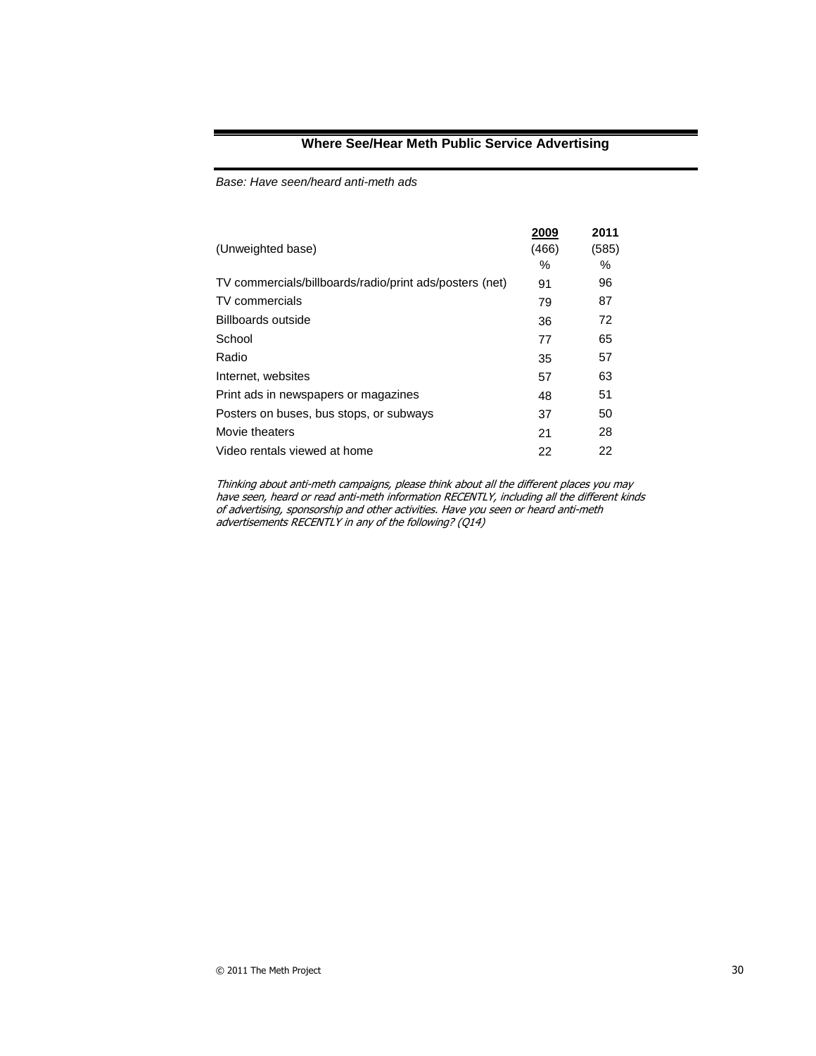#### **Where See/Hear Meth Public Service Advertising**

*Base: Have seen/heard anti-meth ads*

| 2009  | 2011  |
|-------|-------|
| (466) | (585) |
| %     | %     |
| 91    | 96    |
| 79    | 87    |
| 36    | 72    |
| 77    | 65    |
| 35    | 57    |
| 57    | 63    |
| 48    | 51    |
| 37    | 50    |
| 21    | 28    |
| 22    | 22    |
|       |       |

Thinking about anti-meth campaigns, please think about all the different places you may have seen, heard or read anti-meth information RECENTLY, including all the different kinds of advertising, sponsorship and other activities. Have you seen or heard anti-meth advertisements RECENTLY in any of the following? (Q14)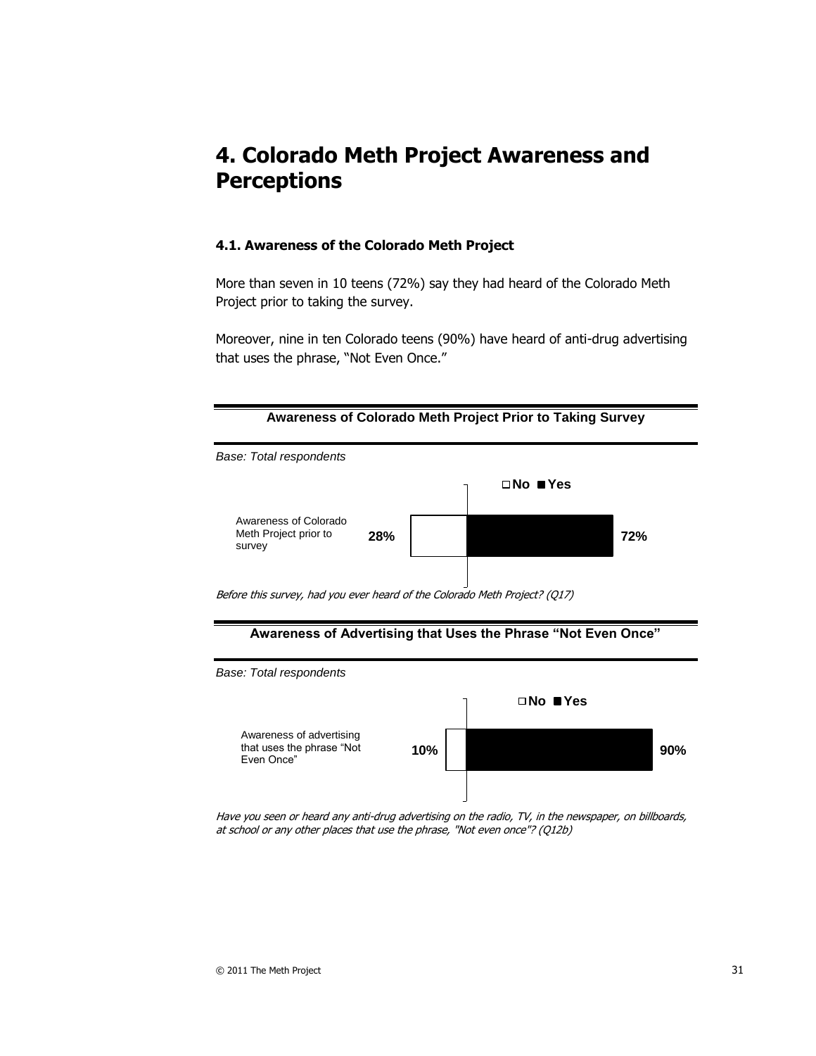# **4. Colorado Meth Project Awareness and Perceptions**

#### **4.1. Awareness of the Colorado Meth Project**

More than seven in 10 teens (72%) say they had heard of the Colorado Meth Project prior to taking the survey.

Moreover, nine in ten Colorado teens (90%) have heard of anti-drug advertising that uses the phrase, "Not Even Once."





Have you seen or heard any anti-drug advertising on the radio, TV, in the newspaper, on billboards, at school or any other places that use the phrase, "Not even once"? (Q12b)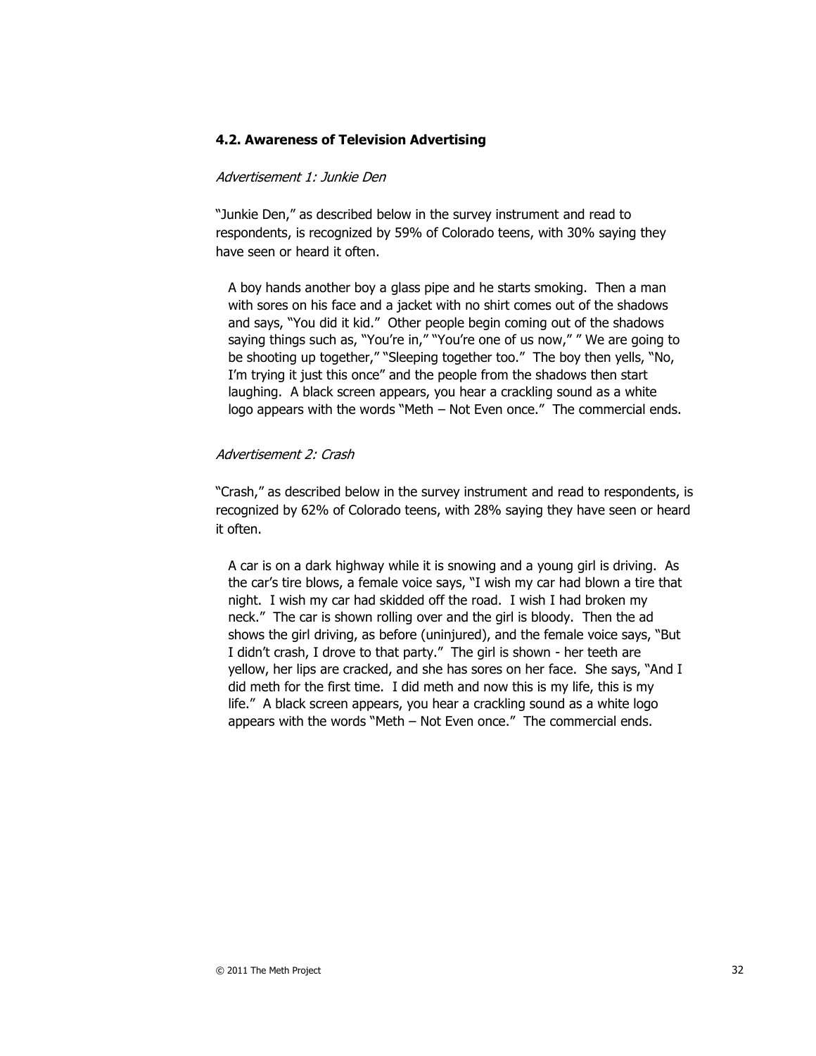#### **4.2. Awareness of Television Advertising**

#### Advertisement 1: Junkie Den

"Junkie Den," as described below in the survey instrument and read to respondents, is recognized by 59% of Colorado teens, with 30% saying they have seen or heard it often.

A boy hands another boy a glass pipe and he starts smoking. Then a man with sores on his face and a jacket with no shirt comes out of the shadows and says, "You did it kid." Other people begin coming out of the shadows saying things such as, "You're in," "You're one of us now," "We are going to be shooting up together," "Sleeping together too." The boy then yells, "No, I'm trying it just this once" and the people from the shadows then start laughing. A black screen appears, you hear a crackling sound as a white logo appears with the words "Meth – Not Even once." The commercial ends.

#### Advertisement 2: Crash

"Crash," as described below in the survey instrument and read to respondents, is recognized by 62% of Colorado teens, with 28% saying they have seen or heard it often.

A car is on a dark highway while it is snowing and a young girl is driving. As the car's tire blows, a female voice says, "I wish my car had blown a tire that night. I wish my car had skidded off the road. I wish I had broken my neck.‖ The car is shown rolling over and the girl is bloody. Then the ad shows the girl driving, as before (uninjured), and the female voice says, "But I didn't crash, I drove to that party." The girl is shown - her teeth are yellow, her lips are cracked, and she has sores on her face. She says, "And I did meth for the first time. I did meth and now this is my life, this is my life." A black screen appears, you hear a crackling sound as a white logo appears with the words "Meth  $-$  Not Even once." The commercial ends.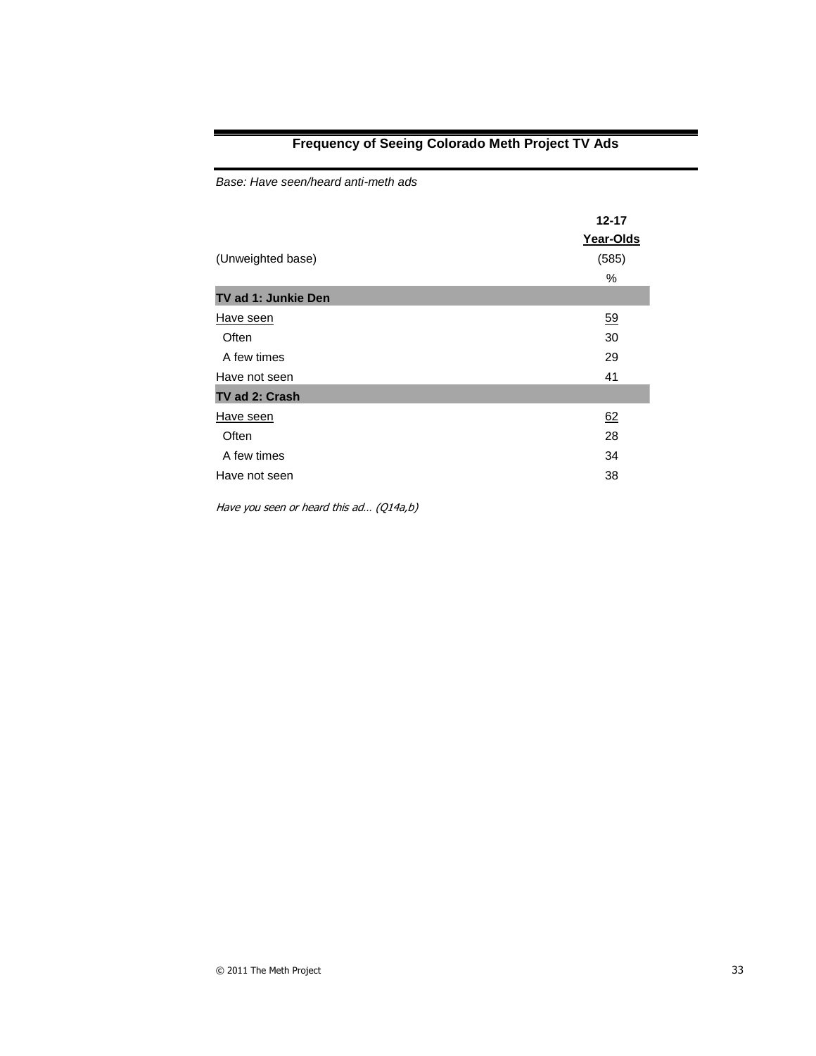### **Frequency of Seeing Colorado Meth Project TV Ads**

*Base: Have seen/heard anti-meth ads* 

| (Unweighted base)   | 12-17<br>Year-Olds<br>(585)<br>$\%$ |
|---------------------|-------------------------------------|
| TV ad 1: Junkie Den |                                     |
| Have seen           | 59                                  |
| Often               | 30                                  |
| A few times         | 29                                  |
| Have not seen       | 41                                  |
| TV ad 2: Crash      |                                     |
| Have seen           | 62                                  |
| Often               | 28                                  |
| A few times         | 34                                  |
| Have not seen       | 38                                  |

Have you seen or heard this ad… (Q14a,b)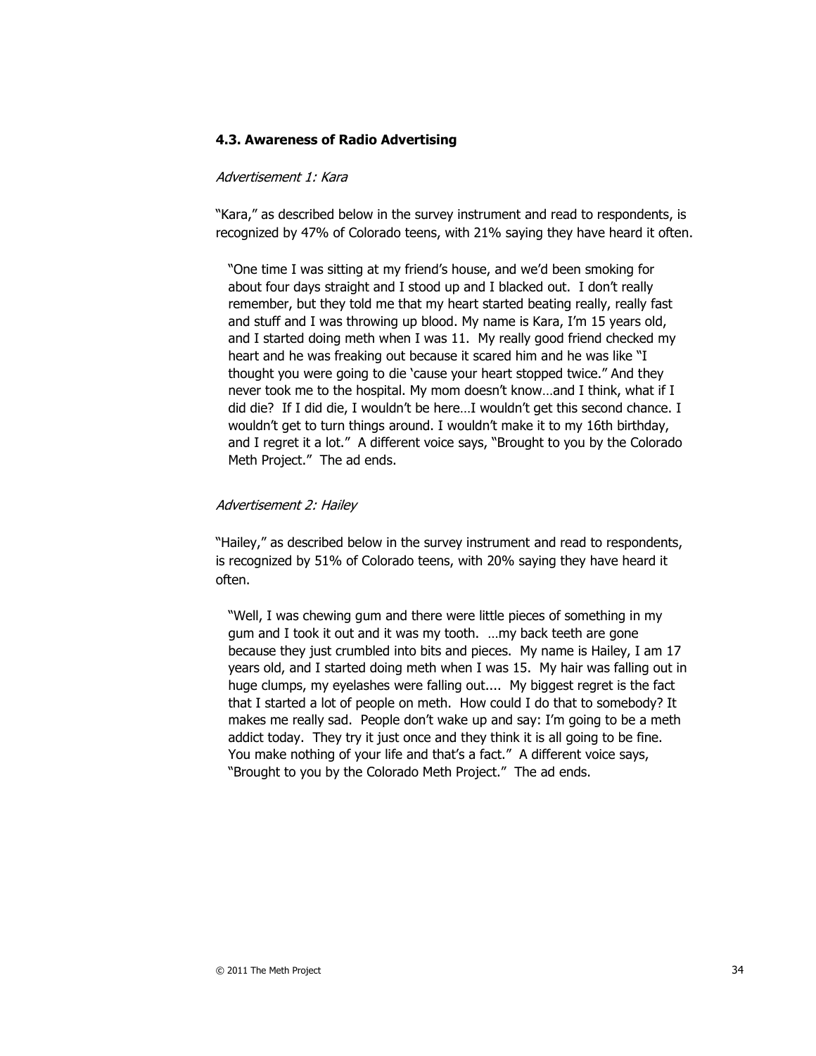#### **4.3. Awareness of Radio Advertising**

#### Advertisement 1: Kara

"Kara," as described below in the survey instrument and read to respondents, is recognized by 47% of Colorado teens, with 21% saying they have heard it often.

"One time I was sitting at my friend's house, and we'd been smoking for about four days straight and I stood up and I blacked out. I don't really remember, but they told me that my heart started beating really, really fast and stuff and I was throwing up blood. My name is Kara, I'm 15 years old, and I started doing meth when I was 11. My really good friend checked my heart and he was freaking out because it scared him and he was like "I thought you were going to die 'cause your heart stopped twice." And they never took me to the hospital. My mom doesn't know…and I think, what if I did die? If I did die, I wouldn't be here…I wouldn't get this second chance. I wouldn't get to turn things around. I wouldn't make it to my 16th birthday, and I regret it a lot." A different voice says, "Brought to you by the Colorado Meth Project." The ad ends.

#### Advertisement 2: Hailey

"Hailey," as described below in the survey instrument and read to respondents, is recognized by 51% of Colorado teens, with 20% saying they have heard it often.

"Well, I was chewing gum and there were little pieces of something in my gum and I took it out and it was my tooth. …my back teeth are gone because they just crumbled into bits and pieces. My name is Hailey, I am 17 years old, and I started doing meth when I was 15. My hair was falling out in huge clumps, my eyelashes were falling out.... My biggest regret is the fact that I started a lot of people on meth. How could I do that to somebody? It makes me really sad. People don't wake up and say: I'm going to be a meth addict today. They try it just once and they think it is all going to be fine. You make nothing of your life and that's a fact." A different voice says, "Brought to you by the Colorado Meth Project." The ad ends.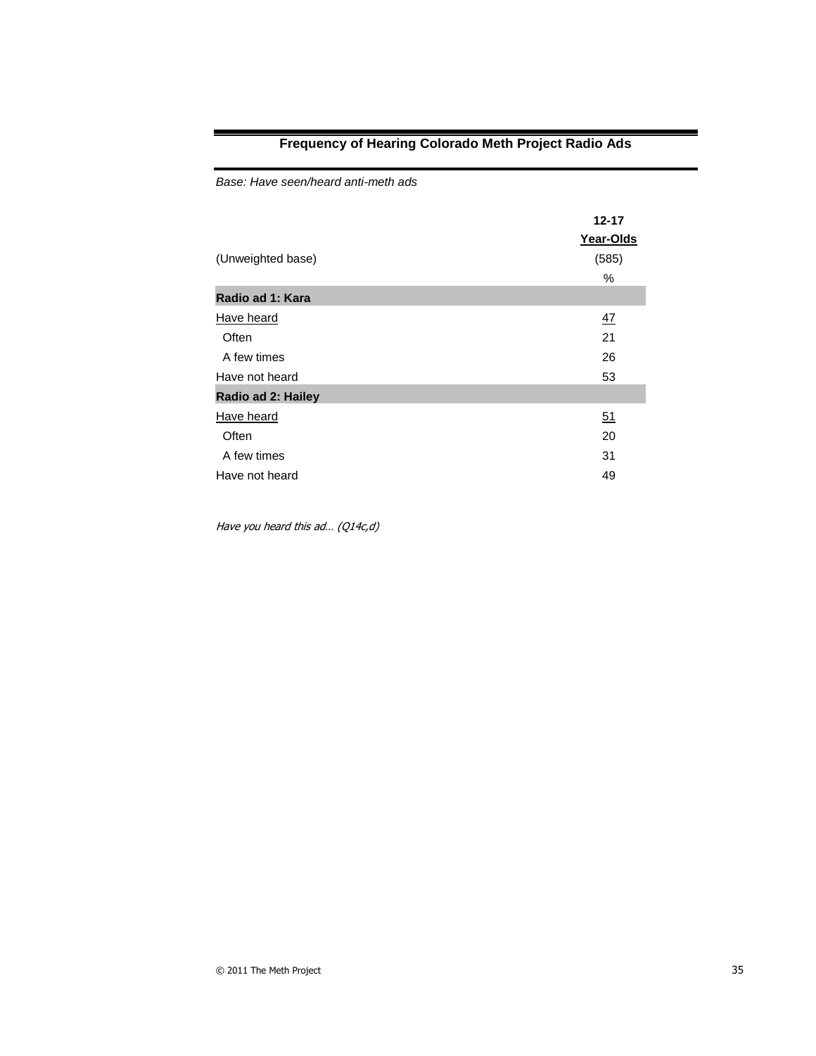### **Frequency of Hearing Colorado Meth Project Radio Ads**

*Base: Have seen/heard anti-meth ads* 

| (Unweighted base)  | 12-17<br>Year-Olds<br>(585)<br>% |
|--------------------|----------------------------------|
| Radio ad 1: Kara   |                                  |
| Have heard         | 47                               |
| Often              | 21                               |
| A few times        | 26                               |
| Have not heard     | 53                               |
| Radio ad 2: Hailey |                                  |
| Have heard         | 51                               |
| Often              | 20                               |
| A few times        | 31                               |
| Have not heard     | 49                               |

Have you heard this ad… (Q14c,d)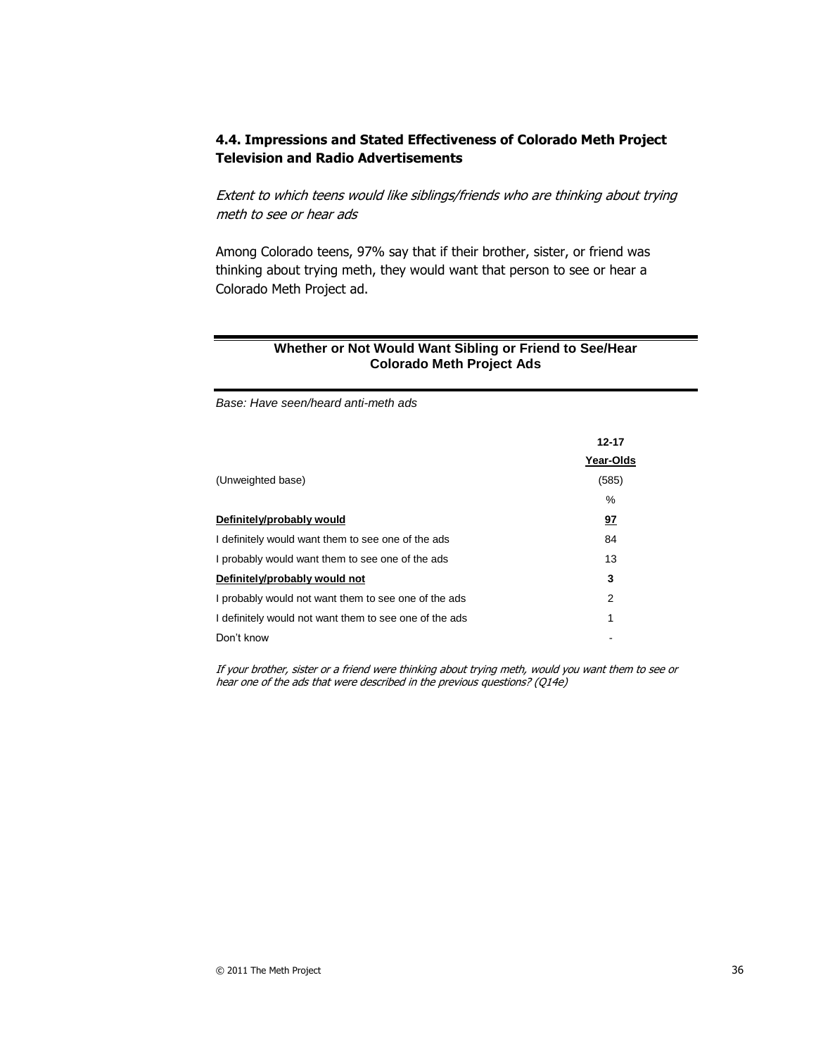#### **4.4. Impressions and Stated Effectiveness of Colorado Meth Project Television and Radio Advertisements**

Extent to which teens would like siblings/friends who are thinking about trying meth to see or hear ads

Among Colorado teens, 97% say that if their brother, sister, or friend was thinking about trying meth, they would want that person to see or hear a Colorado Meth Project ad.

#### **Whether or Not Would Want Sibling or Friend to See/Hear Colorado Meth Project Ads**

*Base: Have seen/heard anti-meth ads*

|                                                        | $12 - 17$ |
|--------------------------------------------------------|-----------|
|                                                        | Year-Olds |
| (Unweighted base)                                      | (585)     |
|                                                        | $\%$      |
| Definitely/probably would                              | <u>97</u> |
| I definitely would want them to see one of the ads     | 84        |
| I probably would want them to see one of the ads       | 13        |
| Definitely/probably would not                          | 3         |
| I probably would not want them to see one of the ads   | 2         |
| I definitely would not want them to see one of the ads | 1         |
| Don't know                                             |           |

If your brother, sister or a friend were thinking about trying meth, would you want them to see or hear one of the ads that were described in the previous questions? (Q14e)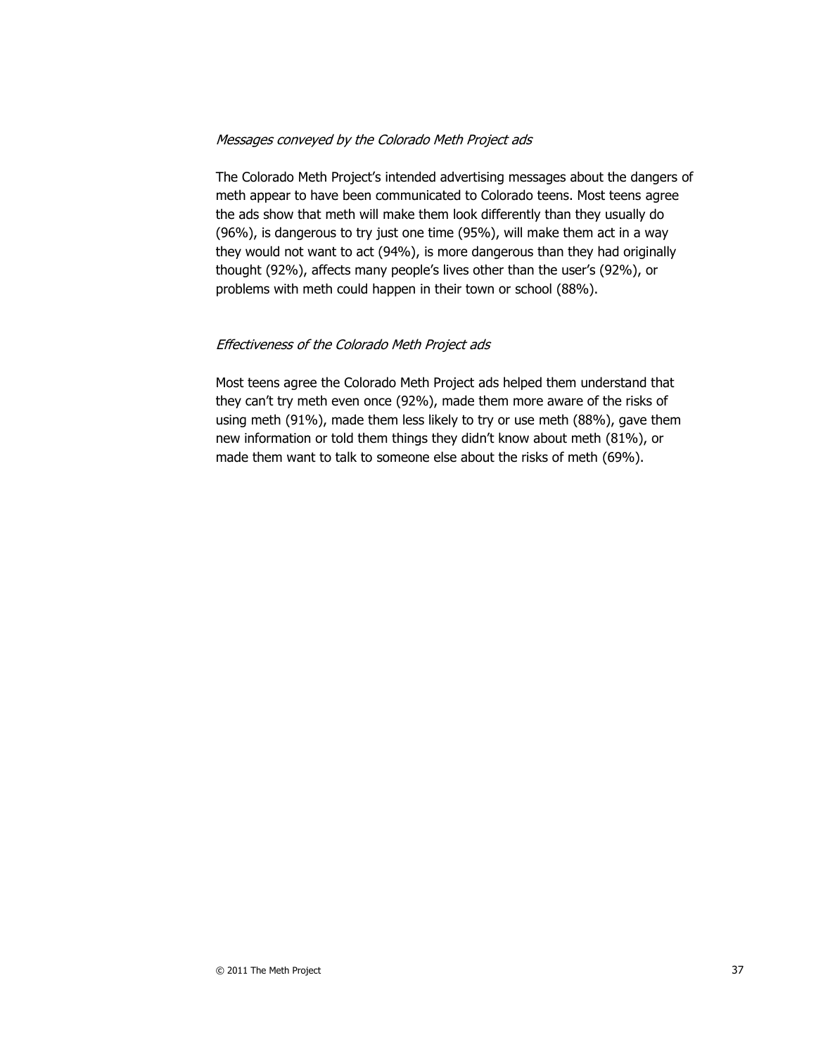#### Messages conveyed by the Colorado Meth Project ads

The Colorado Meth Project's intended advertising messages about the dangers of meth appear to have been communicated to Colorado teens. Most teens agree the ads show that meth will make them look differently than they usually do (96%), is dangerous to try just one time (95%), will make them act in a way they would not want to act (94%), is more dangerous than they had originally thought (92%), affects many people's lives other than the user's (92%), or problems with meth could happen in their town or school (88%).

#### Effectiveness of the Colorado Meth Project ads

Most teens agree the Colorado Meth Project ads helped them understand that they can't try meth even once (92%), made them more aware of the risks of using meth (91%), made them less likely to try or use meth (88%), gave them new information or told them things they didn't know about meth (81%), or made them want to talk to someone else about the risks of meth (69%).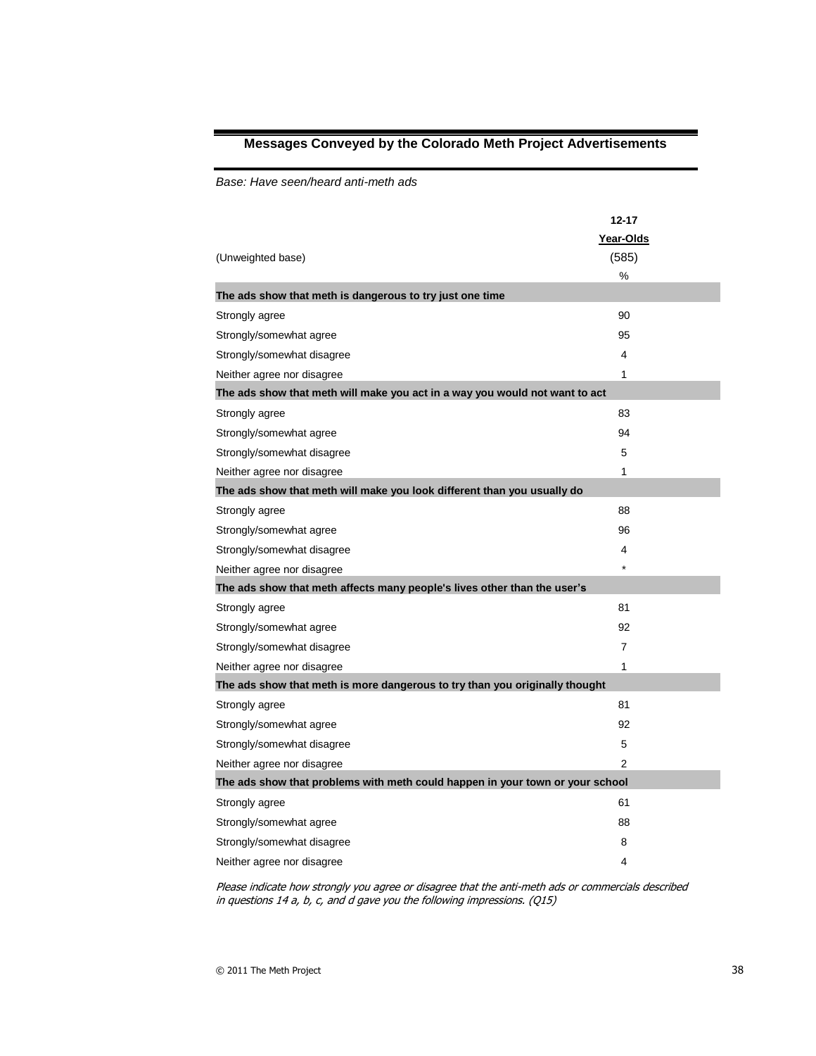# **Messages Conveyed by the Colorado Meth Project Advertisements**

*Base: Have seen/heard anti-meth ads* 

| (Unweighted base)                                                             | $12 - 17$<br>Year-Olds<br>(585)<br>% |
|-------------------------------------------------------------------------------|--------------------------------------|
| The ads show that meth is dangerous to try just one time                      |                                      |
| Strongly agree                                                                | 90                                   |
| Strongly/somewhat agree                                                       | 95                                   |
| Strongly/somewhat disagree                                                    | 4                                    |
| Neither agree nor disagree                                                    | 1                                    |
| The ads show that meth will make you act in a way you would not want to act   |                                      |
| Strongly agree                                                                | 83                                   |
| Strongly/somewhat agree                                                       | 94                                   |
| Strongly/somewhat disagree                                                    | 5                                    |
| Neither agree nor disagree                                                    | 1                                    |
| The ads show that meth will make you look different than you usually do       |                                      |
| Strongly agree                                                                | 88                                   |
| Strongly/somewhat agree                                                       | 96                                   |
| Strongly/somewhat disagree                                                    | 4                                    |
| Neither agree nor disagree                                                    | $\star$                              |
| The ads show that meth affects many people's lives other than the user's      |                                      |
| Strongly agree                                                                | 81                                   |
| Strongly/somewhat agree                                                       | 92                                   |
| Strongly/somewhat disagree                                                    | $\overline{7}$                       |
| Neither agree nor disagree                                                    | 1                                    |
| The ads show that meth is more dangerous to try than you originally thought   |                                      |
| Strongly agree                                                                | 81                                   |
| Strongly/somewhat agree                                                       | 92                                   |
| Strongly/somewhat disagree                                                    | 5                                    |
| Neither agree nor disagree                                                    | $\overline{2}$                       |
| The ads show that problems with meth could happen in your town or your school |                                      |
| Strongly agree                                                                | 61                                   |
| Strongly/somewhat agree                                                       | 88                                   |
| Strongly/somewhat disagree                                                    | 8                                    |
| Neither agree nor disagree                                                    | 4                                    |

Please indicate how strongly you agree or disagree that the anti-meth ads or commercials described in questions 14 a, b, c, and d gave you the following impressions. (Q15)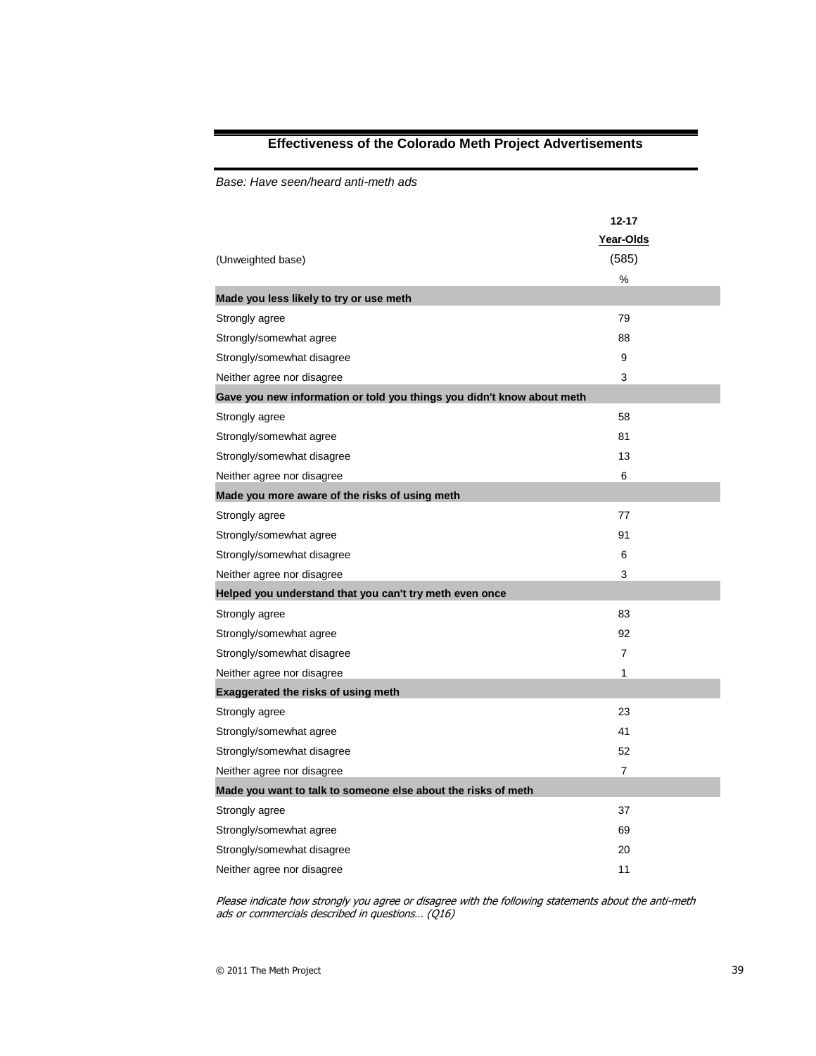# **Effectiveness of the Colorado Meth Project Advertisements**

*Base: Have seen/heard anti-meth ads* 

| (Unweighted base)                                                      | $12 - 17$<br>Year-Olds<br>(585)<br>% |
|------------------------------------------------------------------------|--------------------------------------|
| Made you less likely to try or use meth                                |                                      |
| Strongly agree                                                         | 79                                   |
| Strongly/somewhat agree                                                | 88                                   |
| Strongly/somewhat disagree                                             | 9                                    |
| Neither agree nor disagree                                             | 3                                    |
| Gave you new information or told you things you didn't know about meth |                                      |
| Strongly agree                                                         | 58                                   |
| Strongly/somewhat agree                                                | 81                                   |
| Strongly/somewhat disagree                                             | 13                                   |
| Neither agree nor disagree                                             | 6                                    |
| Made you more aware of the risks of using meth                         |                                      |
| Strongly agree                                                         | 77                                   |
| Strongly/somewhat agree                                                | 91                                   |
| Strongly/somewhat disagree                                             | 6                                    |
| Neither agree nor disagree                                             | 3                                    |
| Helped you understand that you can't try meth even once                |                                      |
| Strongly agree                                                         | 83                                   |
| Strongly/somewhat agree                                                | 92                                   |
| Strongly/somewhat disagree                                             | 7                                    |
| Neither agree nor disagree                                             | 1                                    |
| <b>Exaggerated the risks of using meth</b>                             |                                      |
| Strongly agree                                                         | 23                                   |
| Strongly/somewhat agree                                                | 41                                   |
| Strongly/somewhat disagree                                             | 52                                   |
| Neither agree nor disagree                                             | $\overline{7}$                       |
| Made you want to talk to someone else about the risks of meth          |                                      |
| Strongly agree                                                         | 37                                   |
| Strongly/somewhat agree                                                | 69                                   |
| Strongly/somewhat disagree                                             | 20                                   |
| Neither agree nor disagree                                             | 11                                   |

Please indicate how strongly you agree or disagree with the following statements about the anti-meth ads or commercials described in questions… (Q16)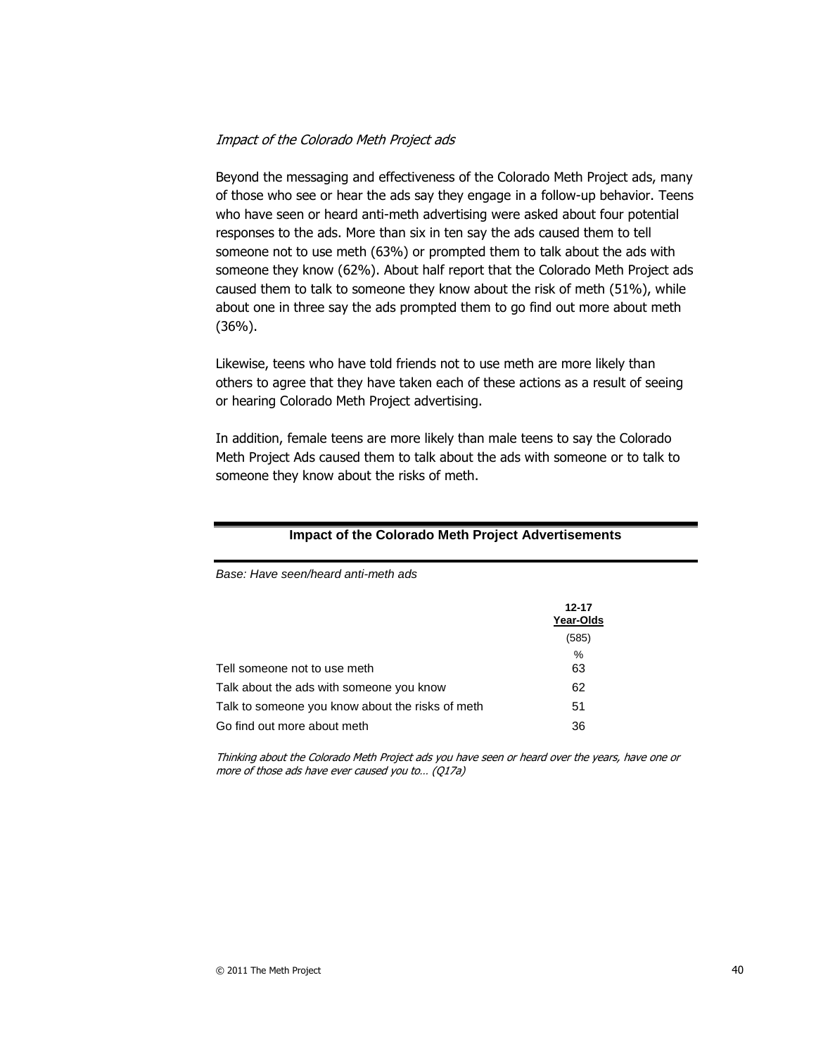#### Impact of the Colorado Meth Project ads

*Base: Have seen/heard anti-meth ads*

Beyond the messaging and effectiveness of the Colorado Meth Project ads, many of those who see or hear the ads say they engage in a follow-up behavior. Teens who have seen or heard anti-meth advertising were asked about four potential responses to the ads. More than six in ten say the ads caused them to tell someone not to use meth (63%) or prompted them to talk about the ads with someone they know (62%). About half report that the Colorado Meth Project ads caused them to talk to someone they know about the risk of meth (51%), while about one in three say the ads prompted them to go find out more about meth (36%).

Likewise, teens who have told friends not to use meth are more likely than others to agree that they have taken each of these actions as a result of seeing or hearing Colorado Meth Project advertising.

In addition, female teens are more likely than male teens to say the Colorado Meth Project Ads caused them to talk about the ads with someone or to talk to someone they know about the risks of meth.

|                                                  | 12-17<br>Year-Olds |
|--------------------------------------------------|--------------------|
|                                                  | (585)              |
|                                                  | %                  |
| Tell someone not to use meth                     | 63                 |
| Talk about the ads with someone you know         | 62                 |
| Talk to someone you know about the risks of meth | 51                 |
| Go find out more about meth                      | 36                 |

#### **Impact of the Colorado Meth Project Advertisements**

Thinking about the Colorado Meth Project ads you have seen or heard over the years, have one or more of those ads have ever caused you to… (Q17a)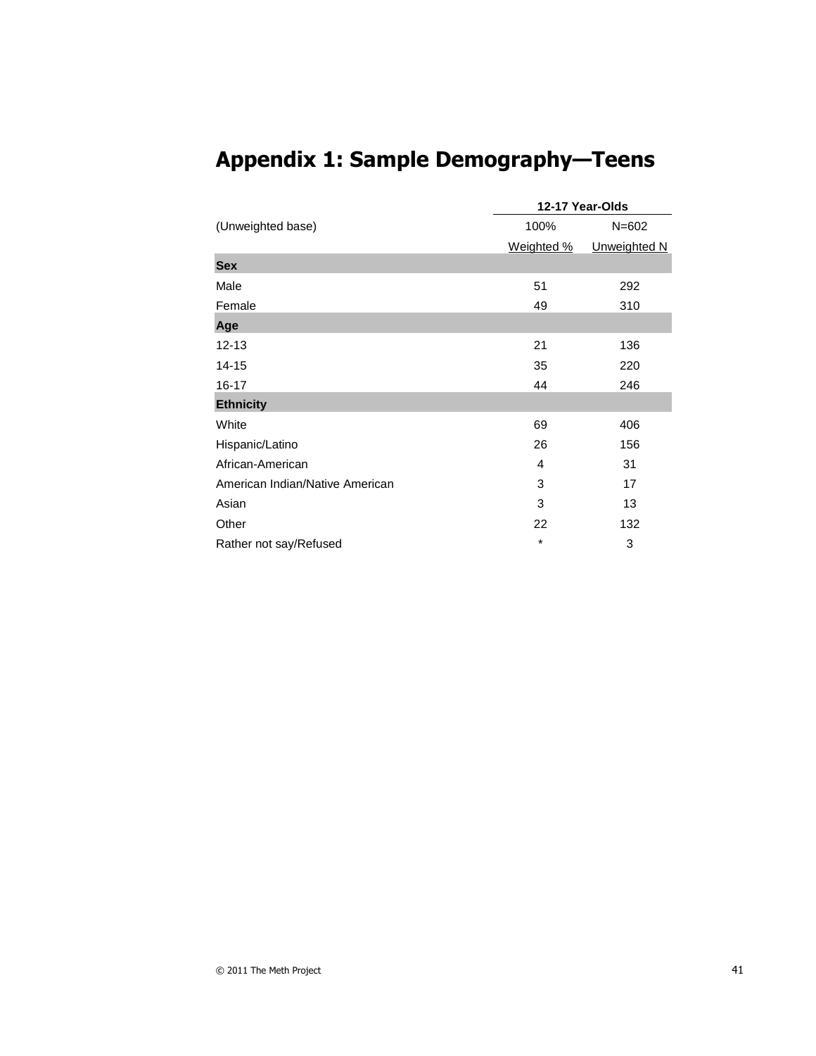|                                 |            | 12-17 Year-Olds |
|---------------------------------|------------|-----------------|
| (Unweighted base)               | 100%       | $N = 602$       |
|                                 | Weighted % | Unweighted N    |
| <b>Sex</b>                      |            |                 |
| Male                            | 51         | 292             |
| Female                          | 49         | 310             |
| Age                             |            |                 |
| $12 - 13$                       | 21         | 136             |
| $14 - 15$                       | 35         | 220             |
| 16-17                           | 44         | 246             |
| <b>Ethnicity</b>                |            |                 |
| White                           | 69         | 406             |
| Hispanic/Latino                 | 26         | 156             |
| African-American                | 4          | 31              |
| American Indian/Native American | 3          | 17              |
| Asian                           | 3          | 13              |
| Other                           | 22         | 132             |
| Rather not say/Refused          | *          | 3               |

# **Appendix 1: Sample Demography—Teens**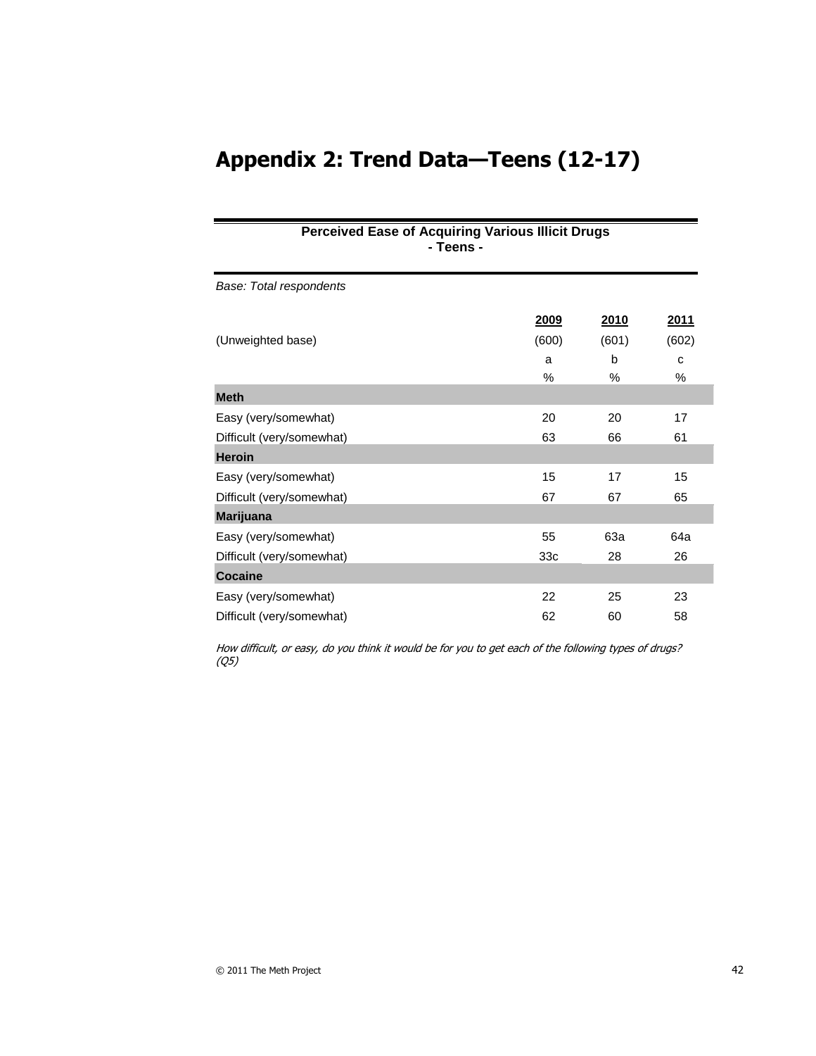# **Appendix 2: Trend Data—Teens (12-17)**

# **Perceived Ease of Acquiring Various Illicit Drugs - Teens -**

| Base: Total respondents   |                 |       |             |
|---------------------------|-----------------|-------|-------------|
|                           | 2009            | 2010  | <u>2011</u> |
| (Unweighted base)         | (600)           | (601) | (602)       |
|                           | a               | b     | C           |
|                           | $\%$            | $\%$  | $\%$        |
| <b>Meth</b>               |                 |       |             |
| Easy (very/somewhat)      | 20              | 20    | 17          |
| Difficult (very/somewhat) | 63              | 66    | 61          |
| <b>Heroin</b>             |                 |       |             |
| Easy (very/somewhat)      | 15              | 17    | 15          |
| Difficult (very/somewhat) | 67              | 67    | 65          |
| <b>Marijuana</b>          |                 |       |             |
| Easy (very/somewhat)      | 55              | 63a   | 64a         |
| Difficult (very/somewhat) | 33 <sub>c</sub> | 28    | 26          |
| <b>Cocaine</b>            |                 |       |             |
| Easy (very/somewhat)      | 22              | 25    | 23          |
| Difficult (very/somewhat) | 62              | 60    | 58          |

How difficult, or easy, do you think it would be for you to get each of the following types of drugs? (Q5)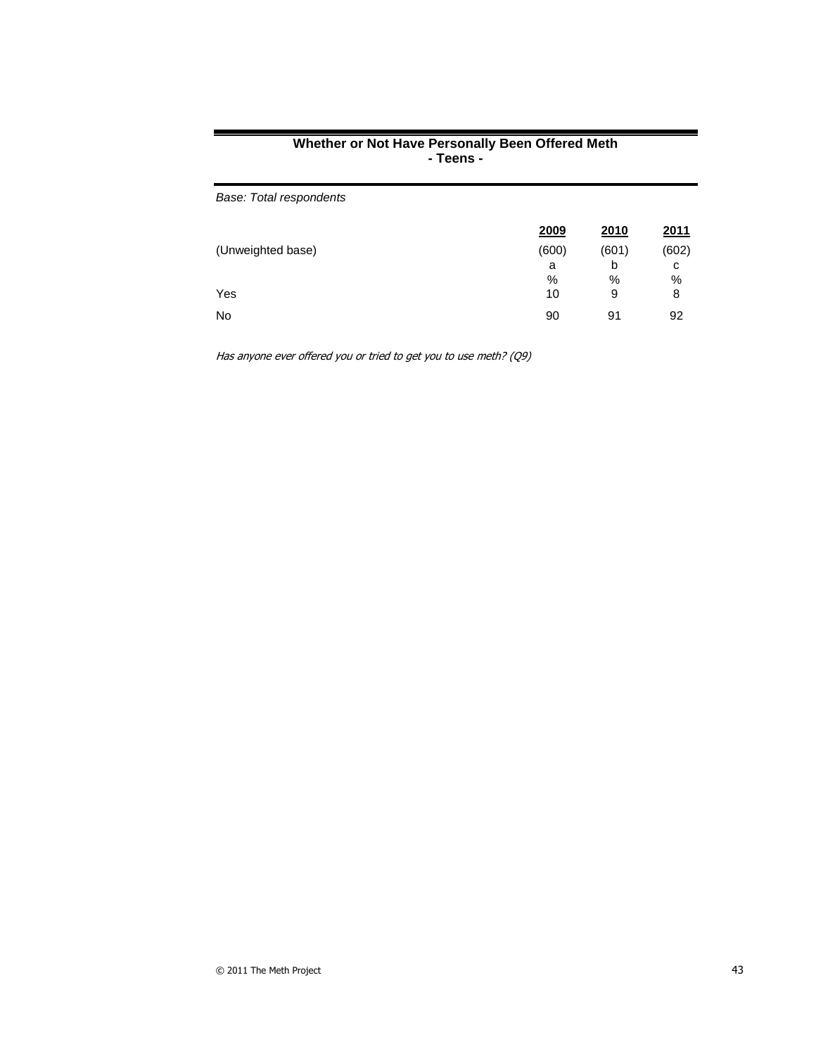| Base: Total respondents |       |       |       |
|-------------------------|-------|-------|-------|
|                         | 2009  | 2010  | 2011  |
| (Unweighted base)       | (600) | (601) | (602) |
|                         | a     | b     | с     |
|                         | %     | %     | $\%$  |
| Yes                     | 10    | 9     | 8     |
| <b>No</b>               | 90    | 91    | 92    |

#### **Whether or Not Have Personally Been Offered Meth - Teens -**

Has anyone ever offered you or tried to get you to use meth? (Q9)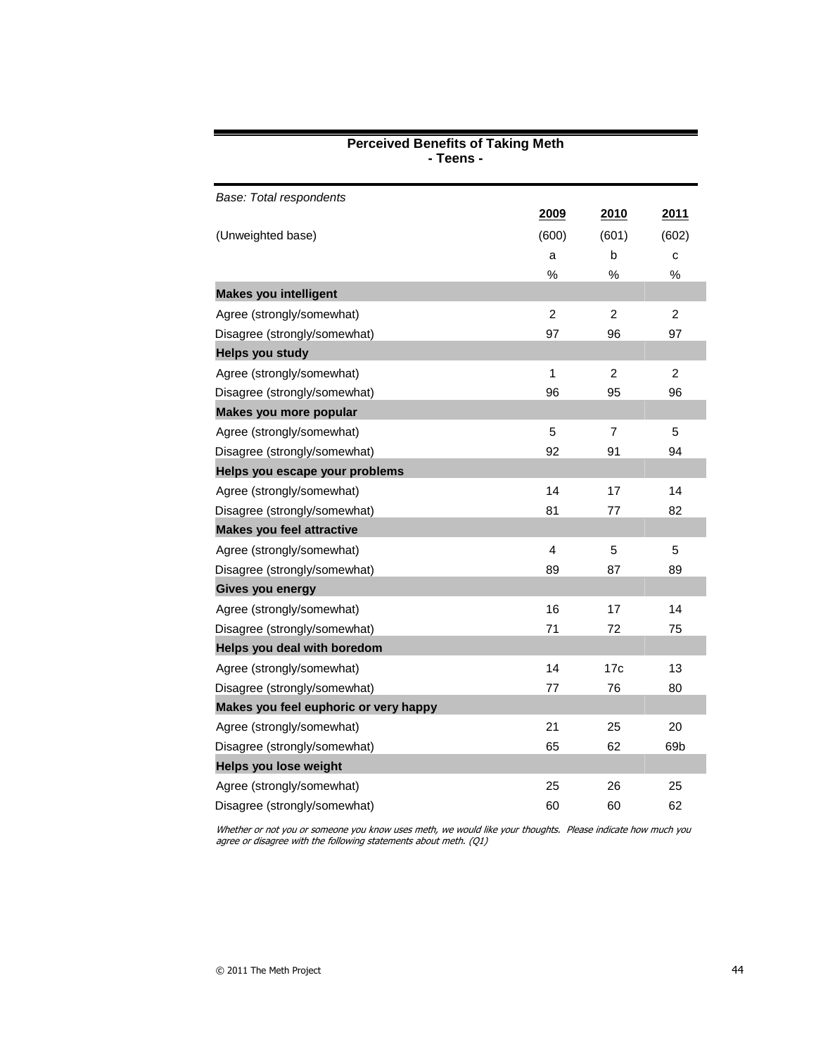| Base: Total respondents               |                         |                |                |
|---------------------------------------|-------------------------|----------------|----------------|
|                                       | 2009                    | 2010           | 2011           |
| (Unweighted base)                     | (600)                   | (601)          | (602)          |
|                                       | a                       | b              | C              |
|                                       | %                       | %              | $\%$           |
| <b>Makes you intelligent</b>          |                         |                |                |
| Agree (strongly/somewhat)             | $\overline{c}$          | $\overline{c}$ | $\overline{c}$ |
| Disagree (strongly/somewhat)          | 97                      | 96             | 97             |
| <b>Helps you study</b>                |                         |                |                |
| Agree (strongly/somewhat)             | 1                       | $\overline{c}$ | $\overline{c}$ |
| Disagree (strongly/somewhat)          | 96                      | 95             | 96             |
| Makes you more popular                |                         |                |                |
| Agree (strongly/somewhat)             | 5                       | $\overline{7}$ | 5              |
| Disagree (strongly/somewhat)          | 92                      | 91             | 94             |
| Helps you escape your problems        |                         |                |                |
| Agree (strongly/somewhat)             | 14                      | 17             | 14             |
| Disagree (strongly/somewhat)          | 81                      | 77             | 82             |
| <b>Makes you feel attractive</b>      |                         |                |                |
| Agree (strongly/somewhat)             | $\overline{\mathbf{4}}$ | $\overline{5}$ | 5              |
| Disagree (strongly/somewhat)          | 89                      | 87             | 89             |
| Gives you energy                      |                         |                |                |
| Agree (strongly/somewhat)             | 16                      | 17             | 14             |
| Disagree (strongly/somewhat)          | 71                      | 72             | 75             |
| Helps you deal with boredom           |                         |                |                |
| Agree (strongly/somewhat)             | 14                      | 17c            | 13             |
| Disagree (strongly/somewhat)          | 77                      | 76             | 80             |
| Makes you feel euphoric or very happy |                         |                |                |
| Agree (strongly/somewhat)             | 21                      | 25             | 20             |
| Disagree (strongly/somewhat)          | 65                      | 62             | 69b            |
| Helps you lose weight                 |                         |                |                |
| Agree (strongly/somewhat)             | 25                      | 26             | 25             |
| Disagree (strongly/somewhat)          | 60                      | 60             | 62             |

#### **Perceived Benefits of Taking Meth - Teens -**

Whether or not you or someone you know uses meth, we would like your thoughts. Please indicate how much you agree or disagree with the following statements about meth. (Q1)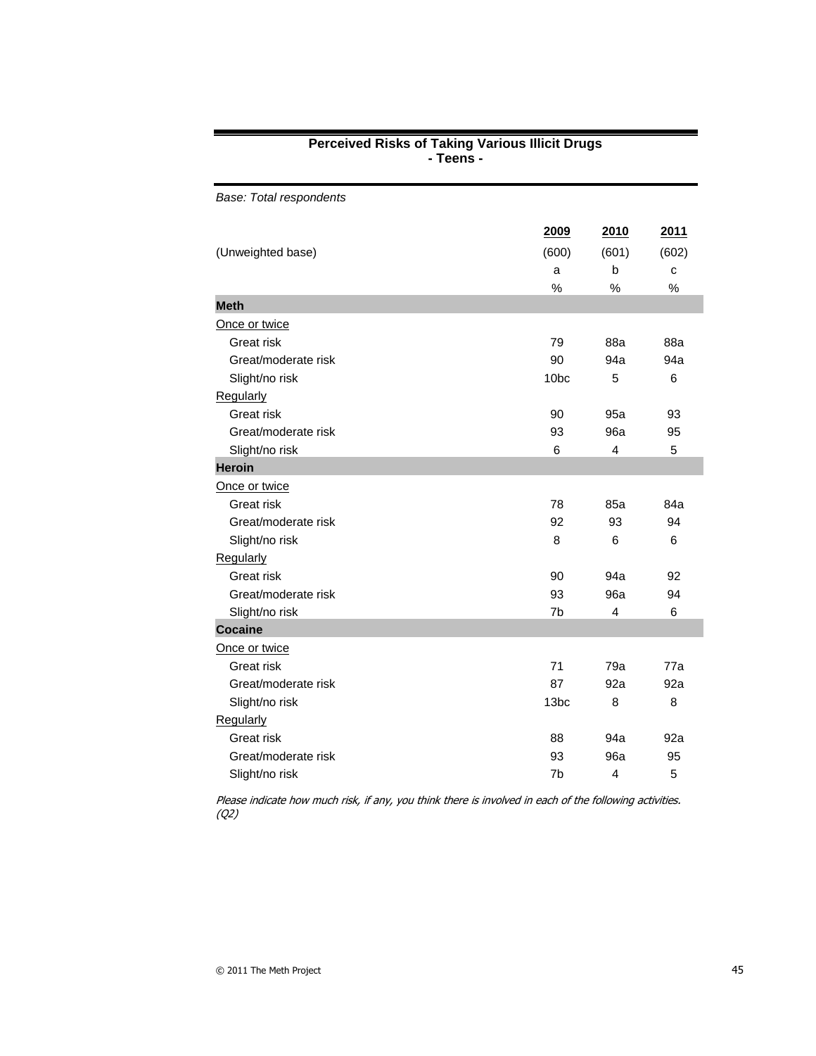| Base: Total respondents |                  |                |       |
|-------------------------|------------------|----------------|-------|
|                         | 2009             | 2010           | 2011  |
| (Unweighted base)       | (600)            | (601)          | (602) |
|                         | a                | $\mathsf b$    | с     |
|                         | %                | %              | %     |
| <b>Meth</b>             |                  |                |       |
| Once or twice           |                  |                |       |
| Great risk              | 79               | 88a            | 88a   |
| Great/moderate risk     | 90               | 94a            | 94a   |
| Slight/no risk          | 10 <sub>bc</sub> | 5              | 6     |
| Regularly               |                  |                |       |
| Great risk              | 90               | 95a            | 93    |
| Great/moderate risk     | 93               | 96a            | 95    |
| Slight/no risk          | 6                | 4              | 5     |
| <b>Heroin</b>           |                  |                |       |
| Once or twice           |                  |                |       |
| Great risk              | 78               | 85a            | 84a   |
| Great/moderate risk     | 92               | 93             | 94    |
| Slight/no risk          | 8                | 6              | 6     |
| Regularly               |                  |                |       |
| Great risk              | 90               | 94a            | 92    |
| Great/moderate risk     | 93               | 96a            | 94    |
| Slight/no risk          | 7b               | $\overline{4}$ | 6     |
| <b>Cocaine</b>          |                  |                |       |
| Once or twice           |                  |                |       |
| Great risk              | 71               | 79a            | 77a   |
| Great/moderate risk     | 87               | 92a            | 92a   |
| Slight/no risk          | 13bc             | 8              | 8     |
| Regularly               |                  |                |       |
| Great risk              | 88               | 94a            | 92a   |
| Great/moderate risk     | 93               | 96a            | 95    |
| Slight/no risk          | 7 <sub>b</sub>   | 4              | 5     |

#### **Perceived Risks of Taking Various Illicit Drugs - Teens -**

Please indicate how much risk, if any, you think there is involved in each of the following activities. (Q2)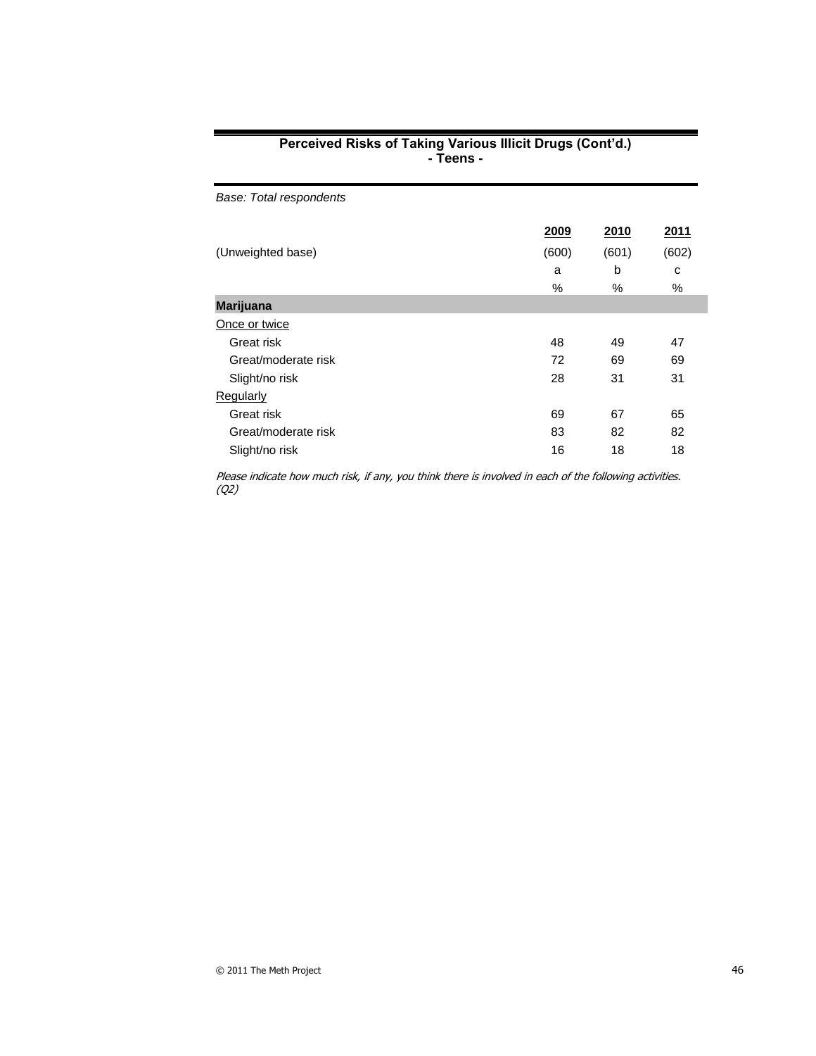| Perceived Risks of Taking Various Illicit Drugs (Cont'd.) |
|-----------------------------------------------------------|
| - Teens -                                                 |

| 2009  | 2010  | 2011  |
|-------|-------|-------|
| (600) | (601) | (602) |
| a     | b     | C     |
| $\%$  | $\%$  | %     |
|       |       |       |
|       |       |       |
| 48    | 49    | 47    |
| 72    | 69    | 69    |
| 28    | 31    | 31    |
|       |       |       |
| 69    | 67    | 65    |
| 83    | 82    | 82    |
| 16    | 18    | 18    |
|       |       |       |

Please indicate how much risk, if any, you think there is involved in each of the following activities. (Q2)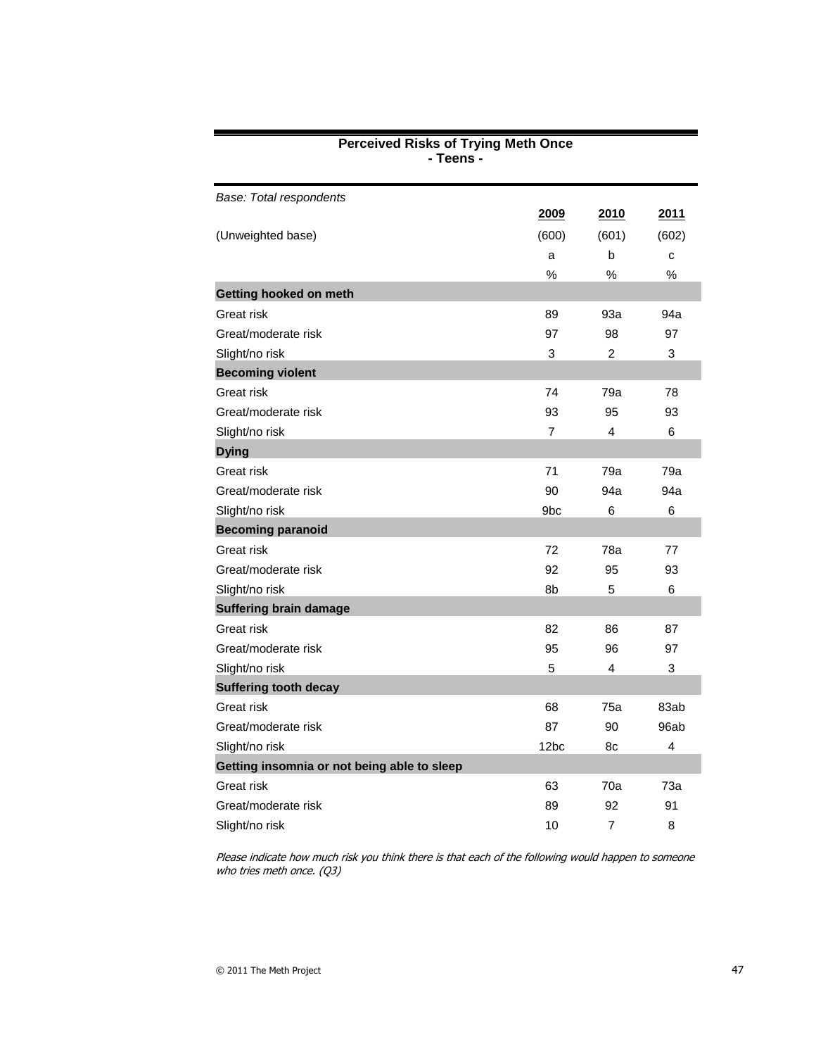| Base: Total respondents                     |                 |                |                |
|---------------------------------------------|-----------------|----------------|----------------|
|                                             | 2009            | 2010           | 2011           |
| (Unweighted base)                           | (600)           | (601)          | (602)          |
|                                             | a               | b              | C              |
|                                             | $\%$            | $\%$           | $\%$           |
| Getting hooked on meth                      |                 |                |                |
| Great risk                                  | 89              | 93a            | 94a            |
| Great/moderate risk                         | 97              | 98             | 97             |
| Slight/no risk                              | 3               | $\overline{2}$ | 3              |
| <b>Becoming violent</b>                     |                 |                |                |
| Great risk                                  | 74              | 79a            | 78             |
| Great/moderate risk                         | 93              | 95             | 93             |
| Slight/no risk                              | $\overline{7}$  | 4              | 6              |
| <b>Dying</b>                                |                 |                |                |
| Great risk                                  | 71              | 79a            | 79a            |
| Great/moderate risk                         | 90              | 94a            | 94a            |
| Slight/no risk                              | 9 <sub>bc</sub> | 6              | 6              |
| <b>Becoming paranoid</b>                    |                 |                |                |
| Great risk                                  | 72              | 78a            | 77             |
| Great/moderate risk                         | 92              | 95             | 93             |
| Slight/no risk                              | 8b              | 5              | 6              |
| <b>Suffering brain damage</b>               |                 |                |                |
| Great risk                                  | 82              | 86             | 87             |
| Great/moderate risk                         | 95              | 96             | 97             |
| Slight/no risk                              | 5               | 4              | 3              |
| <b>Suffering tooth decay</b>                |                 |                |                |
| Great risk                                  | 68              | 75a            | 83ab           |
| Great/moderate risk                         | 87              | 90             | 96ab           |
| Slight/no risk                              | 12bc            | 8c             | $\overline{4}$ |
| Getting insomnia or not being able to sleep |                 |                |                |
| Great risk                                  | 63              | 70a            | 73a            |
| Great/moderate risk                         | 89              | 92             | 91             |
| Slight/no risk                              | 10              | 7              | 8              |
|                                             |                 |                |                |

#### **Perceived Risks of Trying Meth Once - Teens -**

Please indicate how much risk you think there is that each of the following would happen to someone who tries meth once. (Q3)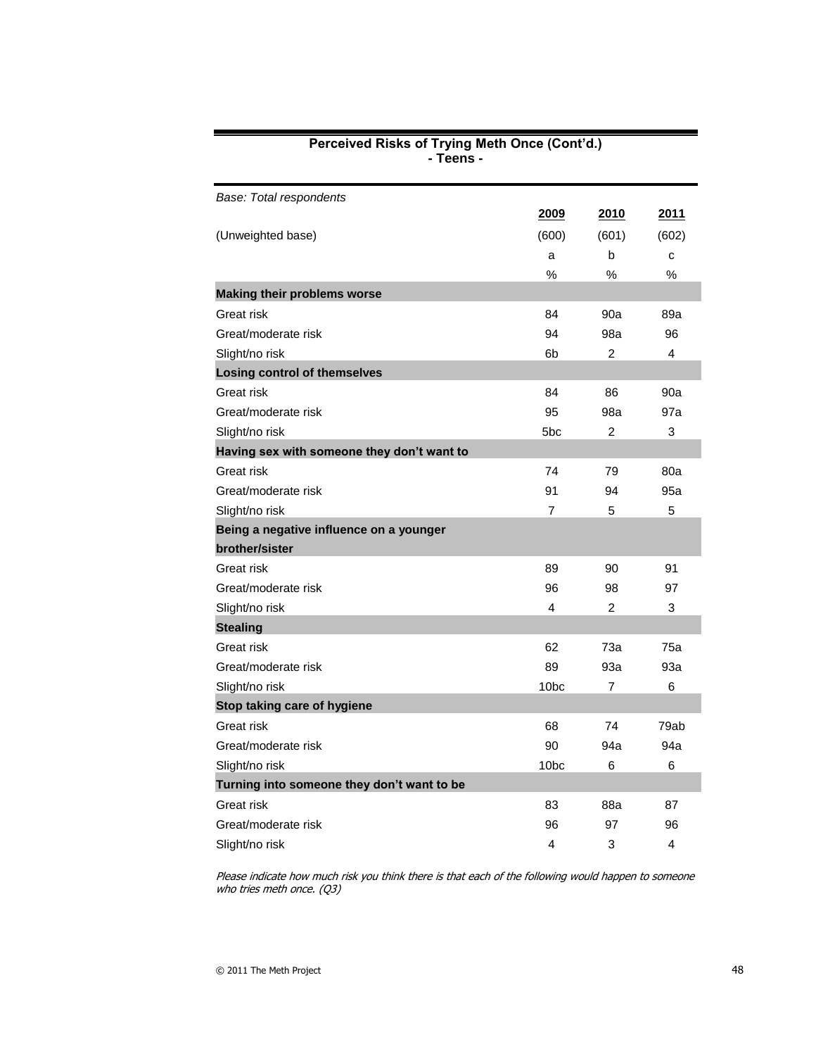| Base: Total respondents                    |                         |                |       |
|--------------------------------------------|-------------------------|----------------|-------|
|                                            | 2009                    | 2010           | 2011  |
| (Unweighted base)                          | (600)                   | (601)          | (602) |
|                                            | a                       | b              | C     |
|                                            | %                       | %              | %     |
| <b>Making their problems worse</b>         |                         |                |       |
| Great risk                                 | 84                      | 90a            | 89a   |
| Great/moderate risk                        | 94                      | 98a            | 96    |
| Slight/no risk                             | 6b                      | $\overline{2}$ | 4     |
| <b>Losing control of themselves</b>        |                         |                |       |
| Great risk                                 | 84                      | 86             | 90a   |
| Great/moderate risk                        | 95                      | 98a            | 97a   |
| Slight/no risk                             | 5bc                     | 2              | 3     |
| Having sex with someone they don't want to |                         |                |       |
| Great risk                                 | 74                      | 79             | 80a   |
| Great/moderate risk                        | 91                      | 94             | 95a   |
| Slight/no risk                             | 7                       | 5              | 5     |
| Being a negative influence on a younger    |                         |                |       |
| brother/sister                             |                         |                |       |
| Great risk                                 | 89                      | 90             | 91    |
| Great/moderate risk                        | 96                      | 98             | 97    |
| Slight/no risk                             | $\overline{\mathbf{4}}$ | $\overline{2}$ | 3     |
| <b>Stealing</b>                            |                         |                |       |
| Great risk                                 | 62                      | 73a            | 75a   |
| Great/moderate risk                        | 89                      | 93a            | 93a   |
| Slight/no risk                             | 10 <sub>bc</sub>        | 7              | 6     |
| Stop taking care of hygiene                |                         |                |       |
| Great risk                                 | 68                      | 74             | 79ab  |
| Great/moderate risk                        | 90                      | 94a            | 94a   |
| Slight/no risk                             | 10 <sub>bc</sub>        | 6              | 6     |
| Turning into someone they don't want to be |                         |                |       |
| Great risk                                 | 83                      | 88a            | 87    |
| Great/moderate risk                        | 96                      | 97             | 96    |
| Slight/no risk                             | 4                       | 3              | 4     |

#### **Perceived Risks of Trying Meth Once (Cont'd.) - Teens -**

Please indicate how much risk you think there is that each of the following would happen to someone who tries meth once. (Q3)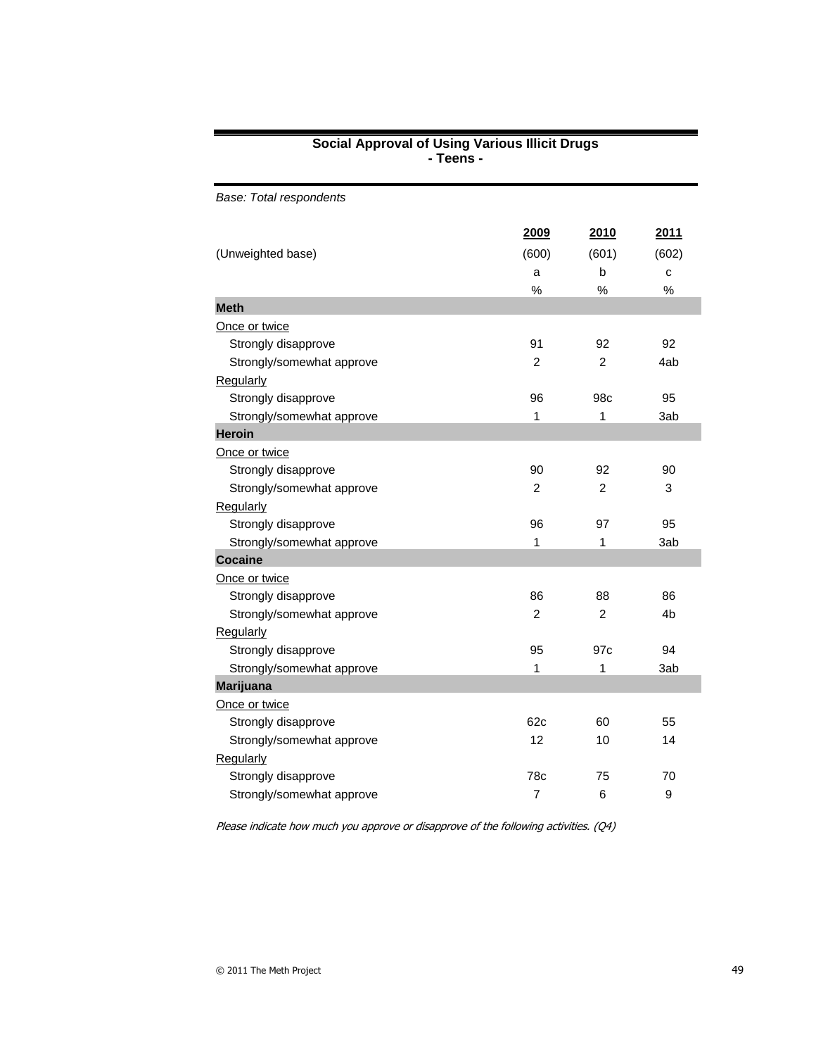#### **Social Approval of Using Various Illicit Drugs - Teens -**

| Base: Total respondents   |                |                |               |
|---------------------------|----------------|----------------|---------------|
|                           | 2009           | 2010           | 2011          |
| (Unweighted base)         | (600)          | (601)          | (602)         |
|                           | a              | b              | C             |
|                           | $\%$           | $\%$           | $\frac{0}{0}$ |
| <b>Meth</b>               |                |                |               |
| Once or twice             |                |                |               |
| Strongly disapprove       | 91             | 92             | 92            |
| Strongly/somewhat approve | 2              | $\overline{2}$ | 4ab           |
| Regularly                 |                |                |               |
| Strongly disapprove       | 96             | 98c            | 95            |
| Strongly/somewhat approve | 1              | 1              | 3ab           |
| <b>Heroin</b>             |                |                |               |
| Once or twice             |                |                |               |
| Strongly disapprove       | 90             | 92             | 90            |
| Strongly/somewhat approve | $\overline{2}$ | $\mathcal{P}$  | 3             |
| Regularly                 |                |                |               |
| Strongly disapprove       | 96             | 97             | 95            |
| Strongly/somewhat approve | 1              | 1              | 3ab           |
| <b>Cocaine</b>            |                |                |               |
| Once or twice             |                |                |               |
| Strongly disapprove       | 86             | 88             | 86            |
| Strongly/somewhat approve | $\overline{c}$ | $\overline{c}$ | 4b            |
| Regularly                 |                |                |               |
| Strongly disapprove       | 95             | 97c            | 94            |
| Strongly/somewhat approve | 1              | 1              | 3ab           |
| <b>Marijuana</b>          |                |                |               |
| Once or twice             |                |                |               |
| Strongly disapprove       | 62c            | 60             | 55            |
| Strongly/somewhat approve | 12             | 10             | 14            |
| Regularly                 |                |                |               |
| Strongly disapprove       | 78c            | 75             | 70            |
| Strongly/somewhat approve | 7              | 6              | 9             |

Please indicate how much you approve or disapprove of the following activities. (Q4)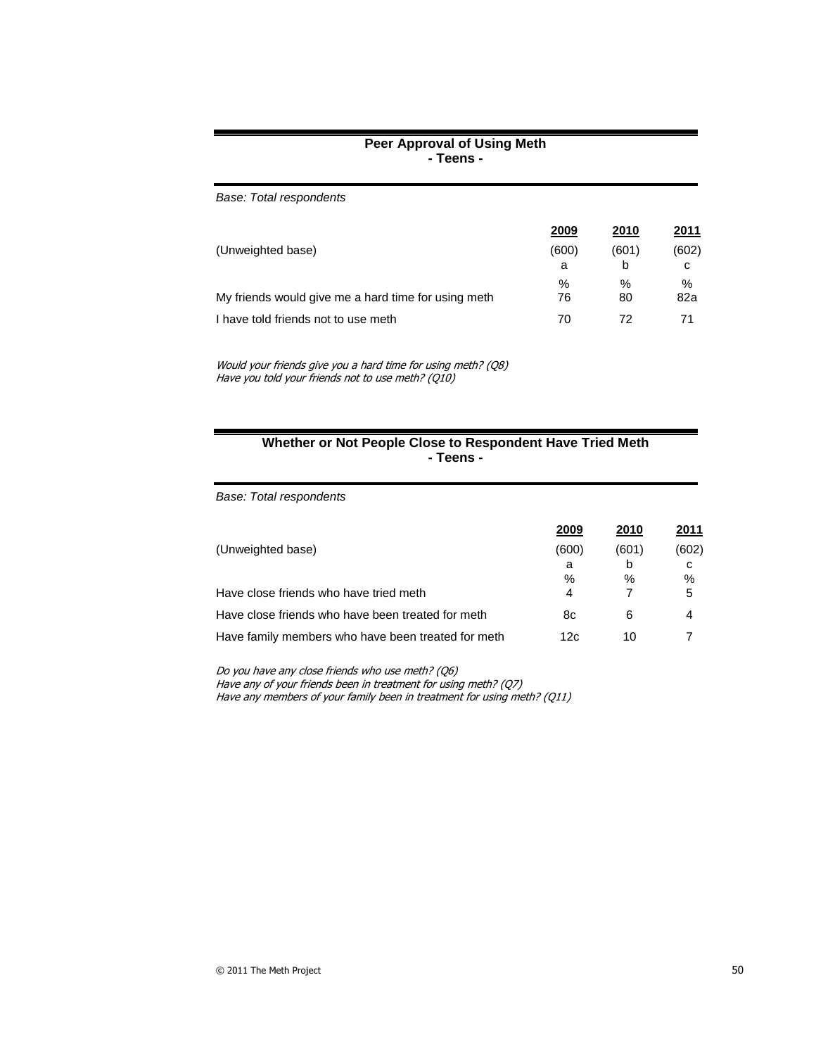#### **Peer Approval of Using Meth - Teens -**

| Base: Total respondents                             |       |       |       |
|-----------------------------------------------------|-------|-------|-------|
|                                                     | 2009  | 2010  | 2011  |
| (Unweighted base)                                   | (600) | (601) | (602) |
|                                                     | a     | b     | C     |
|                                                     | $\%$  | %     | $\%$  |
| My friends would give me a hard time for using meth | 76    | 80    | 82a   |
| I have told friends not to use meth                 | 70    | 72    | 71    |

Would your friends give you a hard time for using meth? (Q8) Have you told your friends not to use meth? (Q10)

#### **Whether or Not People Close to Respondent Have Tried Meth - Teens -**

*Base: Total respondents*

|                                                    | 2009  | 2010  | 2011  |
|----------------------------------------------------|-------|-------|-------|
| (Unweighted base)                                  | (600) | (601) | (602) |
|                                                    | a     | b     | c     |
|                                                    | %     | %     | %     |
| Have close friends who have tried meth             | 4     |       | 5     |
| Have close friends who have been treated for meth  | 8c    | 6     | 4     |
| Have family members who have been treated for meth | 12c   | 10    |       |
|                                                    |       |       |       |

Do you have any close friends who use meth? (Q6)

Have any of your friends been in treatment for using meth? (Q7) Have any members of your family been in treatment for using meth? (Q11)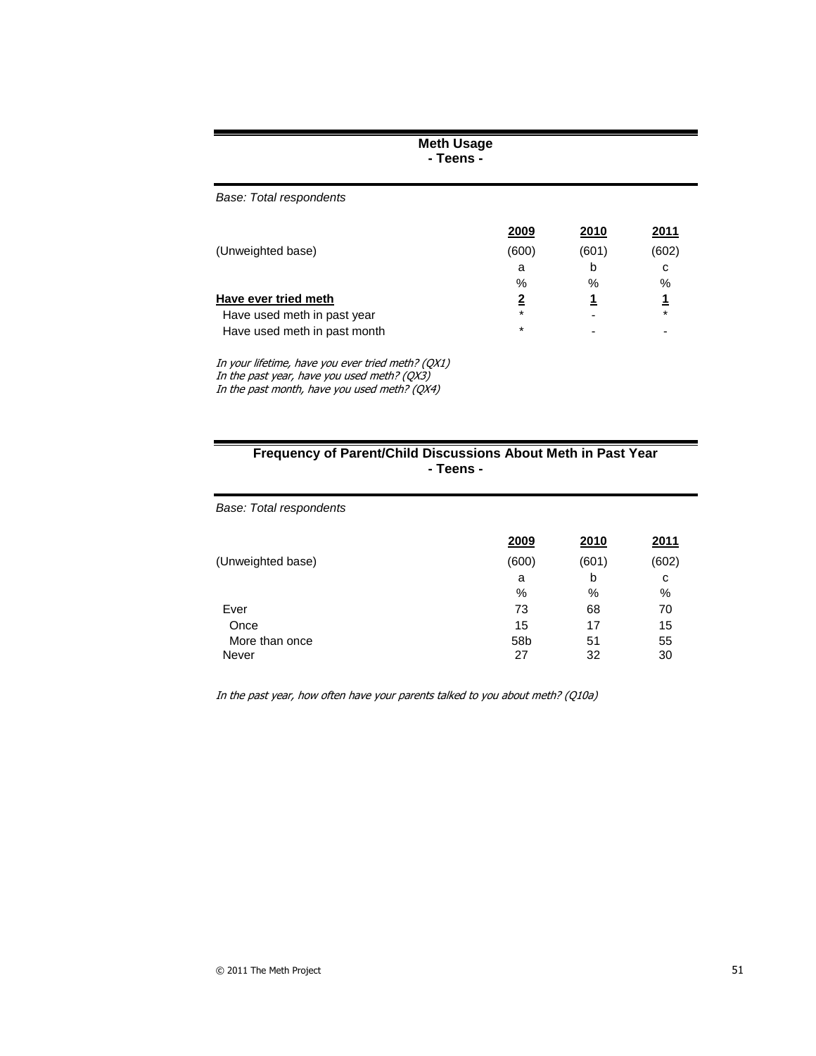#### **Meth Usage - Teens -**

*Base: Total respondents*

|                              | 2009    | 2010  | 2011    |
|------------------------------|---------|-------|---------|
| (Unweighted base)            | (600)   | (601) | (602)   |
|                              | а       | b     | с       |
|                              | %       | %     | %       |
| Have ever tried meth         | 2       |       |         |
| Have used meth in past year  | $\star$ |       | $\star$ |
| Have used meth in past month | $\star$ |       |         |

In your lifetime, have you ever tried meth? (QX1) In the past year, have you used meth? (QX3) In the past month, have you used meth? (QX4)

# **Frequency of Parent/Child Discussions About Meth in Past Year - Teens -**

*Base: Total respondents*

|                   | 2009  | 2010  | 2011  |
|-------------------|-------|-------|-------|
| (Unweighted base) | (600) | (601) | (602) |
|                   | a     | b     | с     |
|                   | %     | %     | %     |
| Ever              | 73    | 68    | 70    |
| Once              | 15    | 17    | 15    |
| More than once    | 58b   | 51    | 55    |
| Never             | 27    | 32    | 30    |

In the past year, how often have your parents talked to you about meth? (Q10a)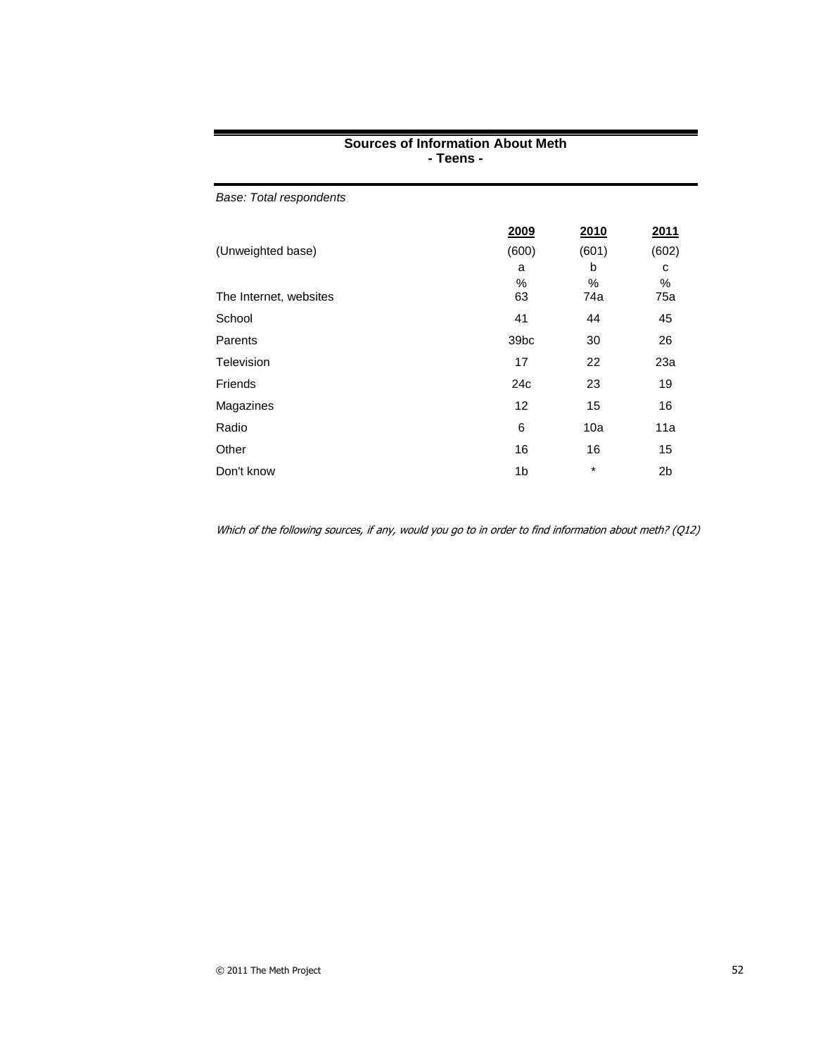|                         | $1$ cens -       |       |                |
|-------------------------|------------------|-------|----------------|
| Base: Total respondents |                  |       |                |
|                         | 2009             | 2010  | <u>2011</u>    |
| (Unweighted base)       | (600)            | (601) | (602)          |
|                         | a                | b     | с              |
|                         | %                | %     | $\%$           |
| The Internet, websites  | 63               | 74a   | 75a            |
| School                  | 41               | 44    | 45             |
| Parents                 | 39 <sub>bc</sub> | 30    | 26             |
| Television              | 17               | 22    | 23a            |
| Friends                 | 24c              | 23    | 19             |
| Magazines               | 12               | 15    | 16             |
| Radio                   | 6                | 10a   | 11a            |
| Other                   | 16               | 16    | 15             |
| Don't know              | 1 <sub>b</sub>   | *     | 2 <sub>b</sub> |

# **Sources of Information About Meth - Teens -**

Which of the following sources, if any, would you go to in order to find information about meth? (Q12)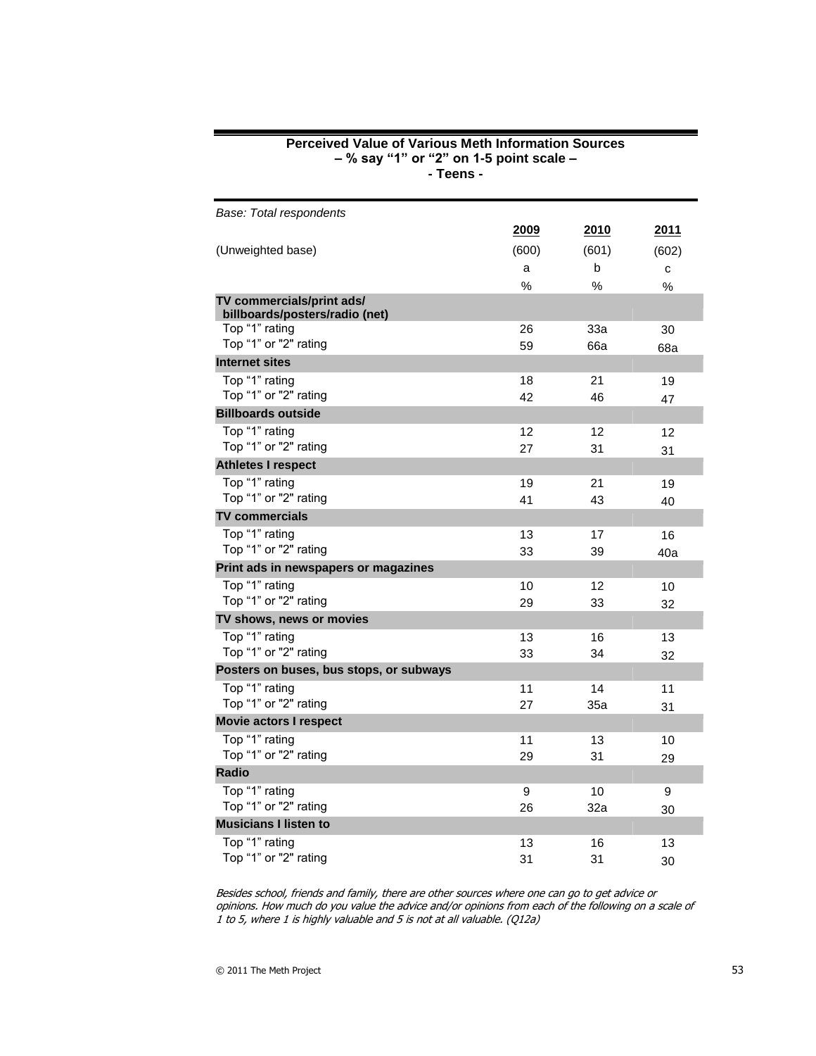# **Perceived Value of Various Meth Information Sources – % say "1" or "2" on 1-5 point scale – - Teens -** *Base: Total respondents* **2009 2010 2011**

| (Unweighted base)                                           | (600) | (601) | (602) |
|-------------------------------------------------------------|-------|-------|-------|
|                                                             | a     | b     | C     |
|                                                             | %     | $\%$  | $\%$  |
| TV commercials/print ads/<br>billboards/posters/radio (net) |       |       |       |
| Top "1" rating                                              | 26    | 33a   | 30    |
| Top "1" or "2" rating                                       | 59    | 66a   | 68a   |
| <b>Internet sites</b>                                       |       |       |       |
| Top "1" rating                                              | 18    | 21    | 19    |
| Top "1" or "2" rating                                       | 42    | 46    | 47    |
| <b>Billboards outside</b>                                   |       |       |       |
| Top "1" rating                                              | 12    | 12    | 12    |
| Top "1" or "2" rating                                       | 27    | 31    | 31    |
| <b>Athletes I respect</b>                                   |       |       |       |
| Top "1" rating                                              | 19    | 21    | 19    |
| Top "1" or "2" rating                                       | 41    | 43    | 40    |
| <b>TV commercials</b>                                       |       |       |       |
| Top "1" rating                                              | 13    | 17    | 16    |
| Top "1" or "2" rating                                       | 33    | 39    | 40a   |
| Print ads in newspapers or magazines                        |       |       |       |
| Top "1" rating                                              | 10    | 12    | 10    |
| Top "1" or "2" rating                                       | 29    | 33    | 32    |
| TV shows, news or movies                                    |       |       |       |
| Top "1" rating                                              | 13    | 16    | 13    |
| Top "1" or "2" rating                                       | 33    | 34    | 32    |
| Posters on buses, bus stops, or subways                     |       |       |       |
| Top "1" rating                                              | 11    | 14    | 11    |
| Top "1" or "2" rating                                       | 27    | 35a   | 31    |
| <b>Movie actors I respect</b>                               |       |       |       |
| Top "1" rating                                              | 11    | 13    | 10    |
| Top "1" or "2" rating                                       | 29    | 31    | 29    |
| <b>Radio</b>                                                |       |       |       |
| Top "1" rating                                              | 9     | 10    | 9     |
| Top "1" or "2" rating                                       | 26    | 32a   | 30    |
| <b>Musicians I listen to</b>                                |       |       |       |
| Top "1" rating                                              | 13    | 16    | 13    |
| Top "1" or "2" rating                                       | 31    | 31    | 30    |

Besides school, friends and family, there are other sources where one can go to get advice or opinions. How much do you value the advice and/or opinions from each of the following on a scale of 1 to 5, where 1 is highly valuable and 5 is not at all valuable. (Q12a)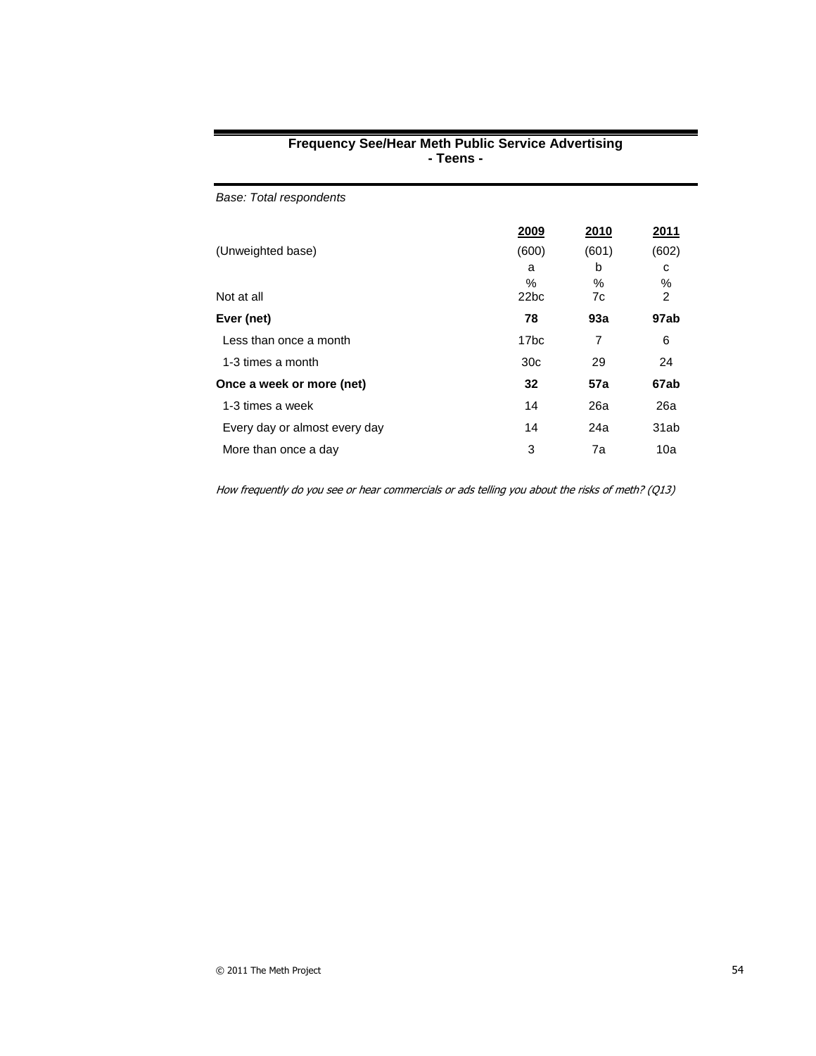| <b>Frequency See/Hear Meth Public Service Advertising</b> |  |
|-----------------------------------------------------------|--|
| - Teens -                                                 |  |

| Base: Total respondents       |                  |       |       |
|-------------------------------|------------------|-------|-------|
|                               | 2009             | 2010  | 2011  |
| (Unweighted base)             | (600)            | (601) | (602) |
|                               | a                | b     | c     |
|                               | %                | %     | ℅     |
| Not at all                    | 22 <sub>bc</sub> | 7c    | 2     |
| Ever (net)                    | 78               | 93a   | 97ab  |
| Less than once a month        | 17bc             | 7     | 6     |
| 1-3 times a month             | 30 <sub>c</sub>  | 29    | 24    |
| Once a week or more (net)     | 32               | 57a   | 67ab  |
| 1-3 times a week              | 14               | 26a   | 26a   |
| Every day or almost every day | 14               | 24a   | 31ab  |
| More than once a day          | 3                | 7a    | 10a   |

How frequently do you see or hear commercials or ads telling you about the risks of meth? (Q13)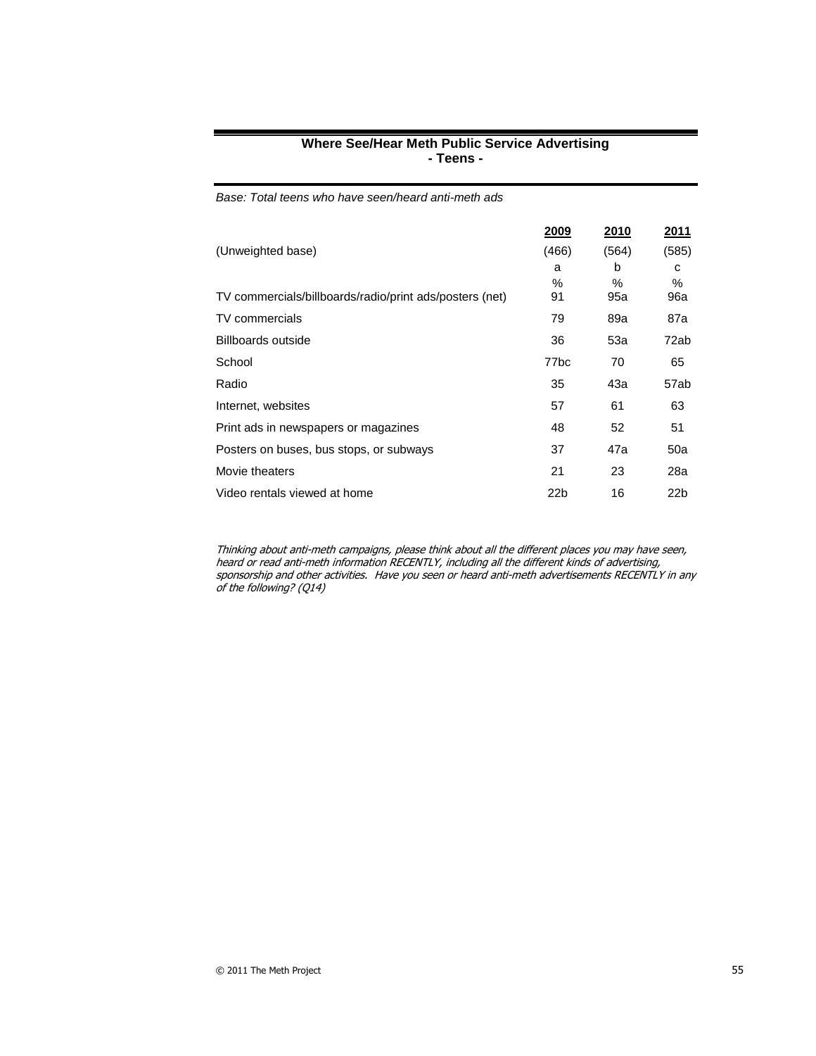|                                                         | 2009    | 2010        | 2011        |
|---------------------------------------------------------|---------|-------------|-------------|
| (Unweighted base)                                       | (466)   | (564)       | (585)       |
|                                                         | a       | b           | c           |
| TV commercials/billboards/radio/print ads/posters (net) | %<br>91 | $\%$<br>95a | $\%$<br>96a |
| TV commercials                                          | 79      | 89a         | 87a         |
| Billboards outside                                      | 36      | 53a         | 72ab        |
| School                                                  | 77bc    | 70          | 65          |
| Radio                                                   | 35      | 43а         | 57ab        |
| Internet, websites                                      | 57      | 61          | 63          |
| Print ads in newspapers or magazines                    | 48      | 52          | 51          |
| Posters on buses, bus stops, or subways                 | 37      | 47a         | 50a         |
| Movie theaters                                          | 21      | 23          | 28a         |
| Video rentals viewed at home                            | 22b     | 16          | 22b         |

#### **Where See/Hear Meth Public Service Advertising - Teens -**

*Base: Total teens who have seen/heard anti-meth ads*

Thinking about anti-meth campaigns, please think about all the different places you may have seen, heard or read anti-meth information RECENTLY, including all the different kinds of advertising, sponsorship and other activities. Have you seen or heard anti-meth advertisements RECENTLY in any of the following? (Q14)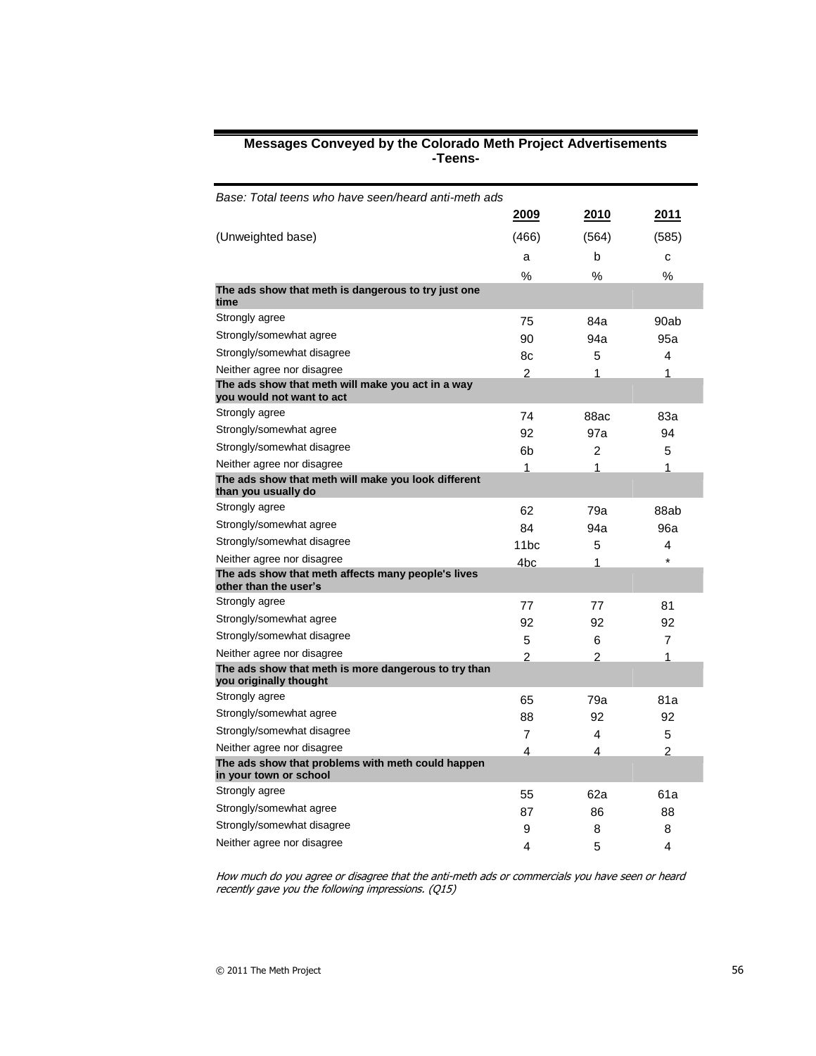#### **Messages Conveyed by the Colorado Meth Project Advertisements -Teens-**

| Base: Total teens who have seen/heard anti-meth ads                            |                  |                |                |
|--------------------------------------------------------------------------------|------------------|----------------|----------------|
|                                                                                | 2009             | 2010           | 2011           |
| (Unweighted base)                                                              | (466)            | (564)          | (585)          |
|                                                                                | a                | b              | C              |
|                                                                                | %                | %              | %              |
| The ads show that meth is dangerous to try just one<br>time                    |                  |                |                |
| Strongly agree                                                                 | 75               | 84a            | 90ab           |
| Strongly/somewhat agree                                                        | 90               | 94a            | 95a            |
| Strongly/somewhat disagree                                                     | 8c               | 5              | 4              |
| Neither agree nor disagree                                                     | $\overline{2}$   | 1              | 1              |
| The ads show that meth will make you act in a way<br>you would not want to act |                  |                |                |
| Strongly agree                                                                 | 74               | 88ac           | 83а            |
| Strongly/somewhat agree                                                        | 92               | 97a            | 94             |
| Strongly/somewhat disagree                                                     | 6b               | 2              | 5              |
| Neither agree nor disagree                                                     | 1                | 1              | 1              |
| The ads show that meth will make you look different<br>than you usually do     |                  |                |                |
| Strongly agree                                                                 | 62               | 79a            | 88ab           |
| Strongly/somewhat agree                                                        | 84               | 94a            | 96a            |
| Strongly/somewhat disagree                                                     | 11 <sub>bc</sub> | 5              | 4              |
| Neither agree nor disagree                                                     | 4bc              | 1              | $\star$        |
| The ads show that meth affects many people's lives<br>other than the user's    |                  |                |                |
| Strongly agree                                                                 | 77               | 77             | 81             |
| Strongly/somewhat agree                                                        | 92               | 92             | 92             |
| Strongly/somewhat disagree                                                     | 5                | 6              | 7              |
| Neither agree nor disagree                                                     | $\overline{2}$   | $\overline{2}$ | 1              |
| The ads show that meth is more dangerous to try than<br>you originally thought |                  |                |                |
| Strongly agree                                                                 | 65               | 79a            | 81a            |
| Strongly/somewhat agree                                                        | 88               | 92             | 92             |
| Strongly/somewhat disagree                                                     | $\overline{7}$   | 4              | 5              |
| Neither agree nor disagree                                                     | 4                | 4              | $\overline{c}$ |
| The ads show that problems with meth could happen<br>in your town or school    |                  |                |                |
| Strongly agree                                                                 | 55               | 62a            | 61a            |
| Strongly/somewhat agree                                                        | 87               | 86             | 88             |
| Strongly/somewhat disagree                                                     | 9                | 8              | 8              |
| Neither agree nor disagree                                                     | 4                | 5              | 4              |

How much do you agree or disagree that the anti-meth ads or commercials you have seen or heard recently gave you the following impressions. (Q15)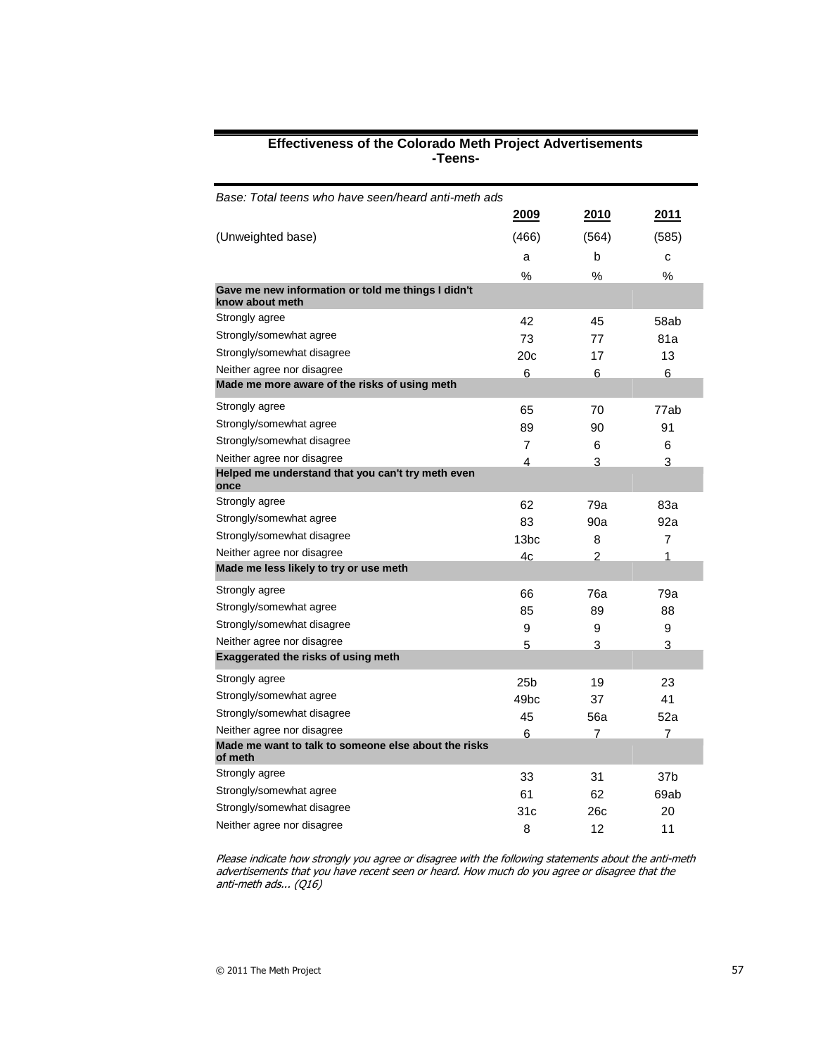| Base: Total teens who have seen/heard anti-meth ads                   |                  |                |       |
|-----------------------------------------------------------------------|------------------|----------------|-------|
|                                                                       | 2009             | 2010           | 2011  |
| (Unweighted base)                                                     | (466)            | (564)          | (585) |
|                                                                       | a                | b              | C     |
|                                                                       | %                | %              | %     |
| Gave me new information or told me things I didn't<br>know about meth |                  |                |       |
| Strongly agree                                                        | 42               | 45             | 58ab  |
| Strongly/somewhat agree                                               | 73               | 77             | 81a   |
| Strongly/somewhat disagree                                            | 20c              | 17             | 13    |
| Neither agree nor disagree                                            | 6                | 6              | 6     |
| Made me more aware of the risks of using meth                         |                  |                |       |
| Strongly agree                                                        | 65               | 70             | 77ab  |
| Strongly/somewhat agree                                               | 89               | 90             | 91    |
| Strongly/somewhat disagree                                            | 7                | 6              | 6     |
| Neither agree nor disagree                                            | 4                | 3              | 3     |
| Helped me understand that you can't try meth even<br>once             |                  |                |       |
| Strongly agree                                                        | 62               | 79a            | 83a   |
| Strongly/somewhat agree                                               | 83               | 90a            | 92a   |
| Strongly/somewhat disagree                                            | 13bc             | 8              | 7     |
| Neither agree nor disagree                                            | 4c               | $\mathfrak{p}$ | 1     |
| Made me less likely to try or use meth                                |                  |                |       |
| Strongly agree                                                        | 66               | 76a            | 79a   |
| Strongly/somewhat agree                                               | 85               | 89             | 88    |
| Strongly/somewhat disagree                                            | 9                | 9              | 9     |
| Neither agree nor disagree                                            | 5                | 3              | 3     |
| <b>Exaggerated the risks of using meth</b>                            |                  |                |       |
| Strongly agree                                                        | 25b              | 19             | 23    |
| Strongly/somewhat agree                                               | 49 <sub>bc</sub> | 37             | 41    |
| Strongly/somewhat disagree                                            | 45               | 56a            | 52a   |
| Neither agree nor disagree                                            | 6                | 7              | 7     |
| Made me want to talk to someone else about the risks<br>of meth       |                  |                |       |
| Strongly agree                                                        | 33               | 31             | 37b   |
| Strongly/somewhat agree                                               | 61               | 62             | 69ab  |
| Strongly/somewhat disagree                                            | 31c              | 26c            | 20    |
| Neither agree nor disagree                                            | 8                | 12             | 11    |

#### **Effectiveness of the Colorado Meth Project Advertisements -Teens-**

Please indicate how strongly you agree or disagree with the following statements about the anti-meth advertisements that you have recent seen or heard. How much do you agree or disagree that the anti-meth ads... (Q16)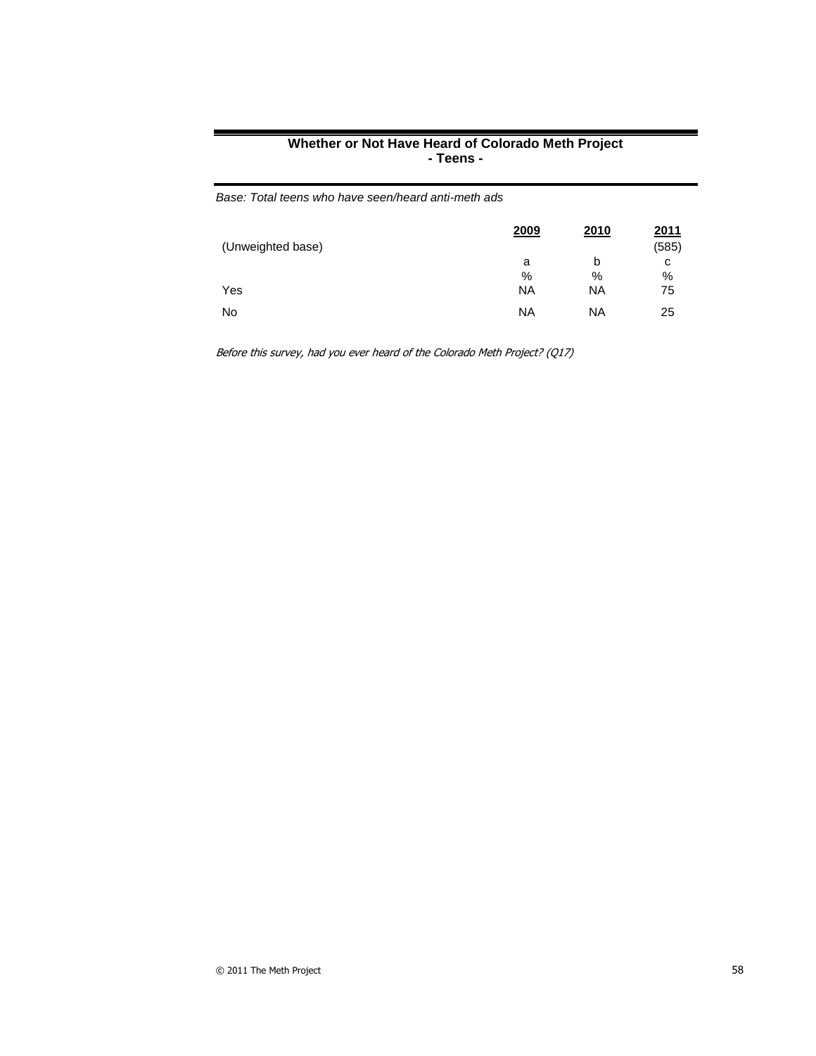| Whether or Not Have Heard of Colorado Meth Project |
|----------------------------------------------------|
| - Teens -                                          |

| (Unweighted base) | 2009      | 2010      | <u>2011</u><br>(585) |
|-------------------|-----------|-----------|----------------------|
|                   | a         | b         | с                    |
|                   | %         | %         | %                    |
| Yes               | <b>NA</b> | <b>NA</b> | 75                   |
| No                | <b>NA</b> | <b>NA</b> | 25                   |

Before this survey, had you ever heard of the Colorado Meth Project? (Q17)

*Base: Total teens who have seen/heard anti-meth ads*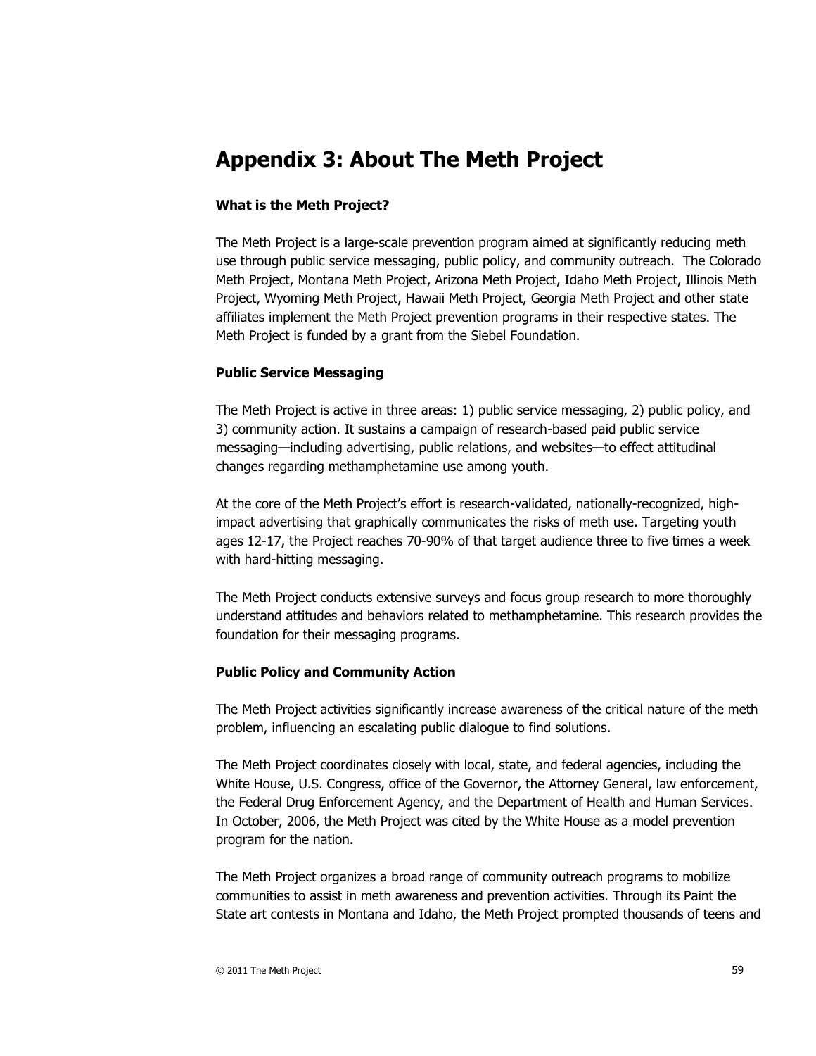# **Appendix 3: About The Meth Project**

# **What is the Meth Project?**

The Meth Project is a large-scale prevention program aimed at significantly reducing meth use through public service messaging, public policy, and community outreach. The Colorado Meth Project, Montana Meth Project, Arizona Meth Project, Idaho Meth Project, Illinois Meth Project, Wyoming Meth Project, Hawaii Meth Project, Georgia Meth Project and other state affiliates implement the Meth Project prevention programs in their respective states. The Meth Project is funded by a grant from the Siebel Foundation.

# **Public Service Messaging**

The Meth Project is active in three areas: 1) public service messaging, 2) public policy, and 3) community action. It sustains a campaign of research-based paid public service messaging—including advertising, public relations, and websites—to effect attitudinal changes regarding methamphetamine use among youth.

At the core of the Meth Project's effort is research-validated, nationally-recognized, highimpact advertising that graphically communicates the risks of meth use. Targeting youth ages 12-17, the Project reaches 70-90% of that target audience three to five times a week with hard-hitting messaging.

The Meth Project conducts extensive surveys and focus group research to more thoroughly understand attitudes and behaviors related to methamphetamine. This research provides the foundation for their messaging programs.

# **Public Policy and Community Action**

The Meth Project activities significantly increase awareness of the critical nature of the meth problem, influencing an escalating public dialogue to find solutions.

The Meth Project coordinates closely with local, state, and federal agencies, including the White House, U.S. Congress, office of the Governor, the Attorney General, law enforcement, the Federal Drug Enforcement Agency, and the Department of Health and Human Services. In October, 2006, the Meth Project was cited by the White House as a model prevention program for the nation.

The Meth Project organizes a broad range of community outreach programs to mobilize communities to assist in meth awareness and prevention activities. Through its Paint the State art contests in Montana and Idaho, the Meth Project prompted thousands of teens and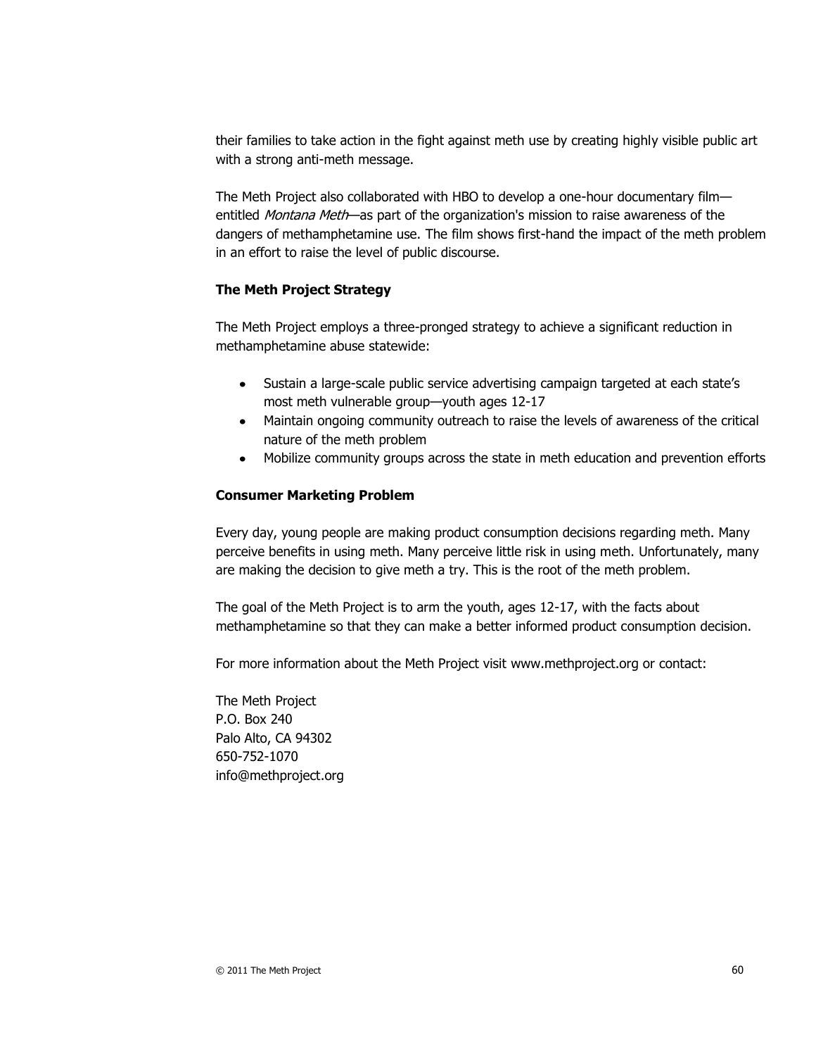their families to take action in the fight against meth use by creating highly visible public art with a strong anti-meth message.

The Meth Project also collaborated with HBO to develop a one-hour documentary film entitled Montana Meth—as part of the organization's mission to raise awareness of the dangers of methamphetamine use. The film shows first-hand the impact of the meth problem in an effort to raise the level of public discourse.

# **The Meth Project Strategy**

The Meth Project employs a three-pronged strategy to achieve a significant reduction in methamphetamine abuse statewide:

- Sustain a large-scale public service advertising campaign targeted at each state's most meth vulnerable group—youth ages 12-17
- Maintain ongoing community outreach to raise the levels of awareness of the critical nature of the meth problem
- Mobilize community groups across the state in meth education and prevention efforts

#### **Consumer Marketing Problem**

Every day, young people are making product consumption decisions regarding meth. Many perceive benefits in using meth. Many perceive little risk in using meth. Unfortunately, many are making the decision to give meth a try. This is the root of the meth problem.

The goal of the Meth Project is to arm the youth, ages 12-17, with the facts about methamphetamine so that they can make a better informed product consumption decision.

For more information about the Meth Project visit [www.methproject.org](http://www.methproject.org/) or contact:

The Meth Project P.O. Box 240 Palo Alto, CA 94302 650-752-1070 [info@methproject.org](mailto:info@methproject.org)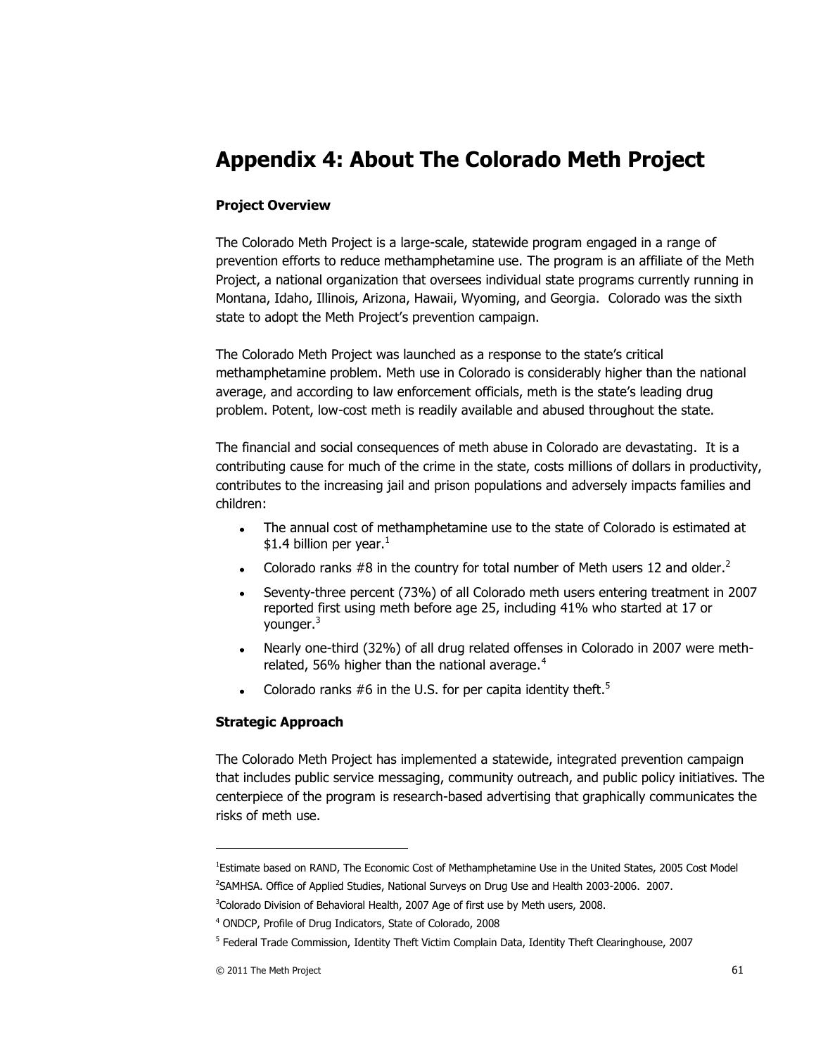# **Appendix 4: About The Colorado Meth Project**

# **Project Overview**

The Colorado Meth Project is a large-scale, statewide program engaged in a range of prevention efforts to reduce methamphetamine use. The program is an affiliate of the Meth Project, a national organization that oversees individual state programs currently running in Montana, Idaho, Illinois, Arizona, Hawaii, Wyoming, and Georgia. Colorado was the sixth state to adopt the Meth Project's prevention campaign.

The Colorado Meth Project was launched as a response to the state's critical methamphetamine problem. Meth use in Colorado is considerably higher than the national average, and according to law enforcement officials, meth is the state's leading drug problem. Potent, low-cost meth is readily available and abused throughout the state.

The financial and social consequences of meth abuse in Colorado are devastating. It is a contributing cause for much of the crime in the state, costs millions of dollars in productivity, contributes to the increasing jail and prison populations and adversely impacts families and children:

- $\bullet$ The annual cost of methamphetamine use to the state of Colorado is estimated at \$1.4 billion per year.<sup>1</sup>
- Colorado ranks #8 in the country for total number of Meth users 12 and older.<sup>2</sup>
- Seventy-three percent (73%) of all Colorado meth users entering treatment in 2007 reported first using meth before age 25, including 41% who started at 17 or younger.<sup>3</sup>
- Nearly one-third (32%) of all drug related offenses in Colorado in 2007 were methrelated, 56% higher than the national average.<sup>4</sup>
- Colorado ranks #6 in the U.S. for per capita identity theft.<sup>5</sup>

#### **Strategic Approach**

The Colorado Meth Project has implemented a statewide, integrated prevention campaign that includes public service messaging, community outreach, and public policy initiatives. The centerpiece of the program is research-based advertising that graphically communicates the risks of meth use.

-

<sup>&</sup>lt;sup>1</sup>Estimate based on RAND, The Economic Cost of Methamphetamine Use in the United States, 2005 Cost Model 2 SAMHSA. Office of Applied Studies, National Surveys on Drug Use and Health 2003-2006. 2007.

<sup>&</sup>lt;sup>3</sup>Colorado Division of Behavioral Health, 2007 Age of first use by Meth users, 2008.

<sup>4</sup> ONDCP, Profile of Drug Indicators, State of Colorado, 2008

<sup>&</sup>lt;sup>5</sup> Federal Trade Commission, Identity Theft Victim Complain Data, Identity Theft Clearinghouse, 2007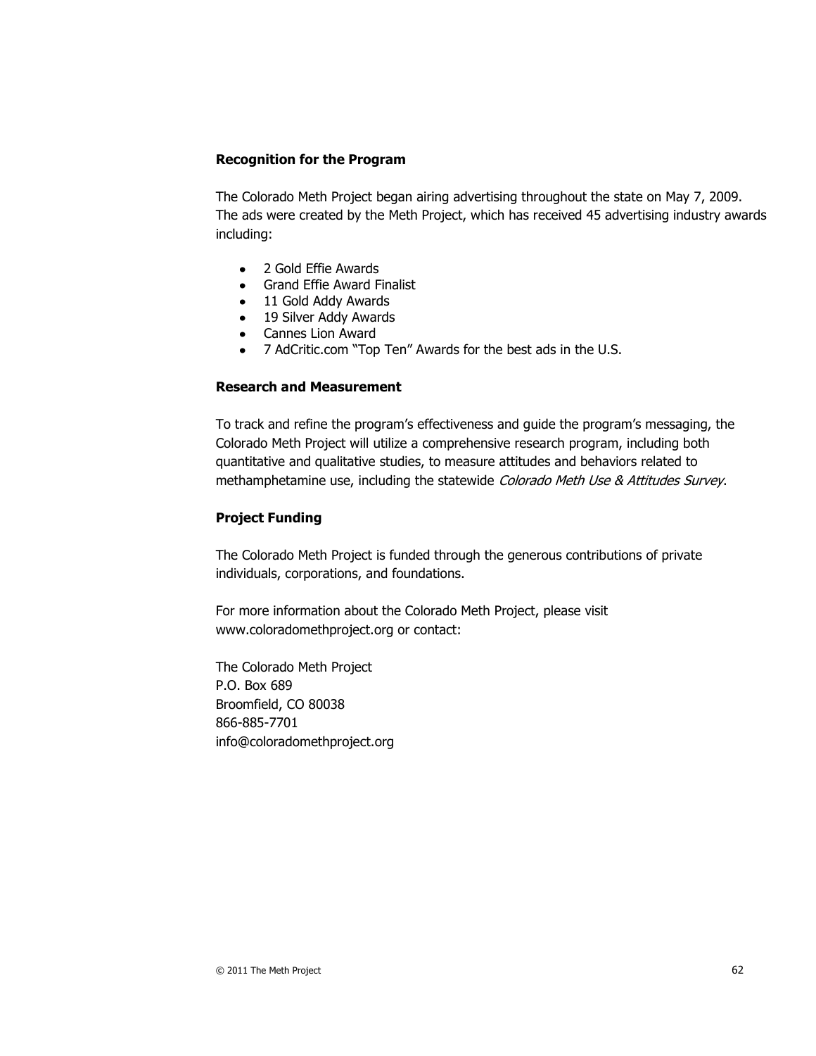# **Recognition for the Program**

The Colorado Meth Project began airing advertising throughout the state on May 7, 2009. The ads were created by the Meth Project, which has received 45 advertising industry awards including:

- 2 Gold Effie Awards
- Grand Effie Award Finalist
- 11 Gold Addy Awards
- 19 Silver Addy Awards
- Cannes Lion Award
- 7 AdCritic.com "Top Ten" Awards for the best ads in the U.S.

#### **Research and Measurement**

To track and refine the program's effectiveness and guide the program's messaging, the Colorado Meth Project will utilize a comprehensive research program, including both quantitative and qualitative studies, to measure attitudes and behaviors related to methamphetamine use, including the statewide Colorado Meth Use & Attitudes Survey.

#### **Project Funding**

The Colorado Meth Project is funded through the generous contributions of private individuals, corporations, and foundations.

For more information about the Colorado Meth Project, please visit www.coloradomethproject.org or contact:

The Colorado Meth Project P.O. Box 689 Broomfield, CO 80038 866-885-7701 info@coloradomethproject.org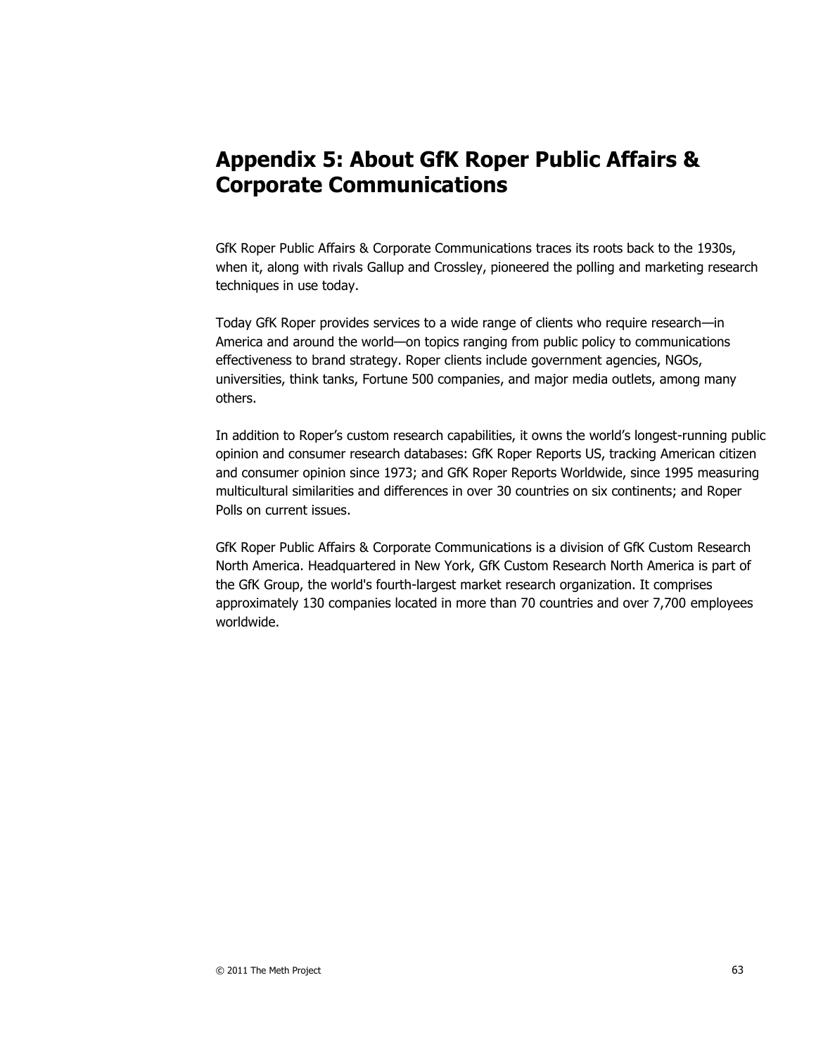# **Appendix 5: About GfK Roper Public Affairs & Corporate Communications**

GfK Roper Public Affairs & Corporate Communications traces its roots back to the 1930s, when it, along with rivals Gallup and Crossley, pioneered the polling and marketing research techniques in use today.

Today GfK Roper provides services to a wide range of clients who require research—in America and around the world—on topics ranging from public policy to communications effectiveness to brand strategy. Roper clients include government agencies, NGOs, universities, think tanks, Fortune 500 companies, and major media outlets, among many others.

In addition to Roper's custom research capabilities, it owns the world's longest-running public opinion and consumer research databases: GfK Roper Reports US, tracking American citizen and consumer opinion since 1973; and GfK Roper Reports Worldwide, since 1995 measuring multicultural similarities and differences in over 30 countries on six continents; and Roper Polls on current issues.

GfK Roper Public Affairs & Corporate Communications is a division of GfK Custom Research North America. Headquartered in New York, GfK Custom Research North America is part of the GfK Group, the world's fourth-largest market research organization. It comprises approximately 130 companies located in more than 70 countries and over 7,700 employees worldwide.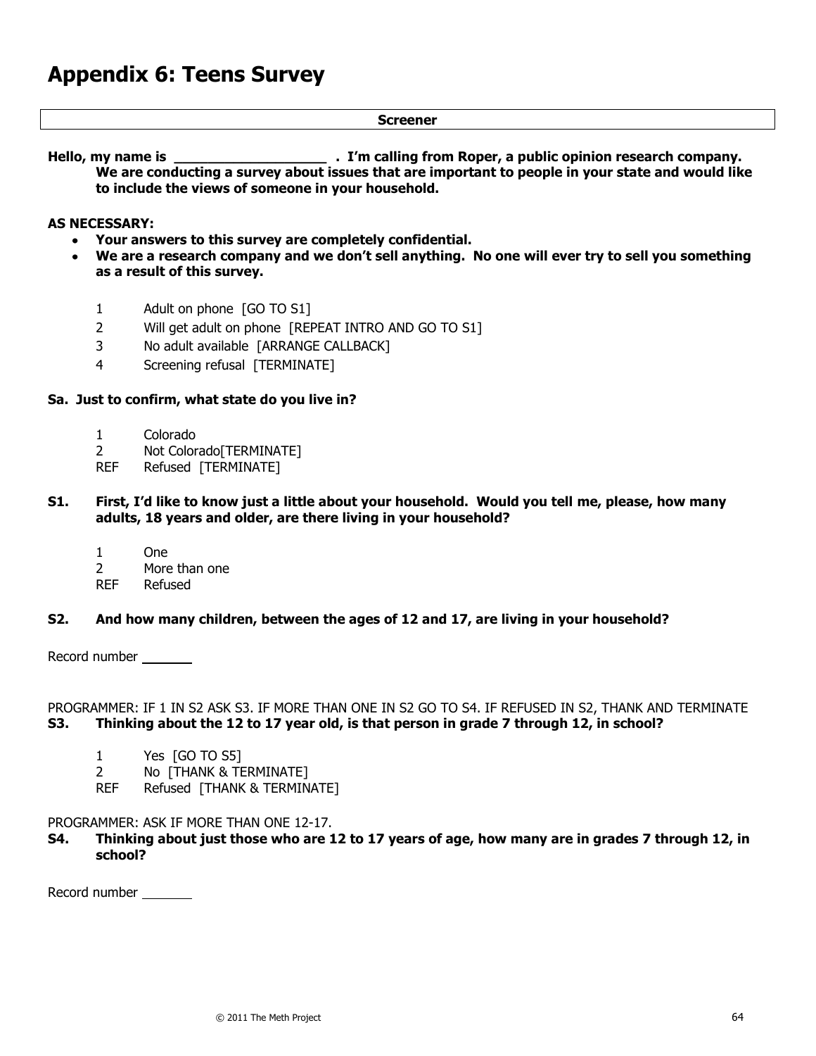#### **Screener**

**Hello, my name is \_\_\_\_\_\_\_\_\_\_\_\_\_\_\_\_\_\_ . I'm calling from Roper, a public opinion research company. We are conducting a survey about issues that are important to people in your state and would like to include the views of someone in your household.** 

#### **AS NECESSARY:**

- **Your answers to this survey are completely confidential.**
- **We are a research company and we don't sell anything. No one will ever try to sell you something as a result of this survey.**
	- 1 Adult on phone [GO TO S1]
	- 2 Will get adult on phone [REPEAT INTRO AND GO TO S1]
	- 3 No adult available [ARRANGE CALLBACK]
	- 4 Screening refusal [TERMINATE]

#### **Sa. Just to confirm, what state do you live in?**

- 1 Colorado
- 2 Not Colorado[TERMINATE]
- REF Refused [TERMINATE]
- **S1. First, I'd like to know just a little about your household. Would you tell me, please, how many adults, 18 years and older, are there living in your household?**
	- 1 One
	- 2 More than one
	- REF Refused

# **S2. And how many children, between the ages of 12 and 17, are living in your household?**

Record number

PROGRAMMER: IF 1 IN S2 ASK S3. IF MORE THAN ONE IN S2 GO TO S4. IF REFUSED IN S2, THANK AND TERMINATE **S3. Thinking about the 12 to 17 year old, is that person in grade 7 through 12, in school?**

- 1 Yes [GO TO S5]
- 2 No [THANK & TERMINATE]
- REF Refused [THANK & TERMINATE]

# PROGRAMMER: ASK IF MORE THAN ONE 12-17.

**S4. Thinking about just those who are 12 to 17 years of age, how many are in grades 7 through 12, in school?**

Record number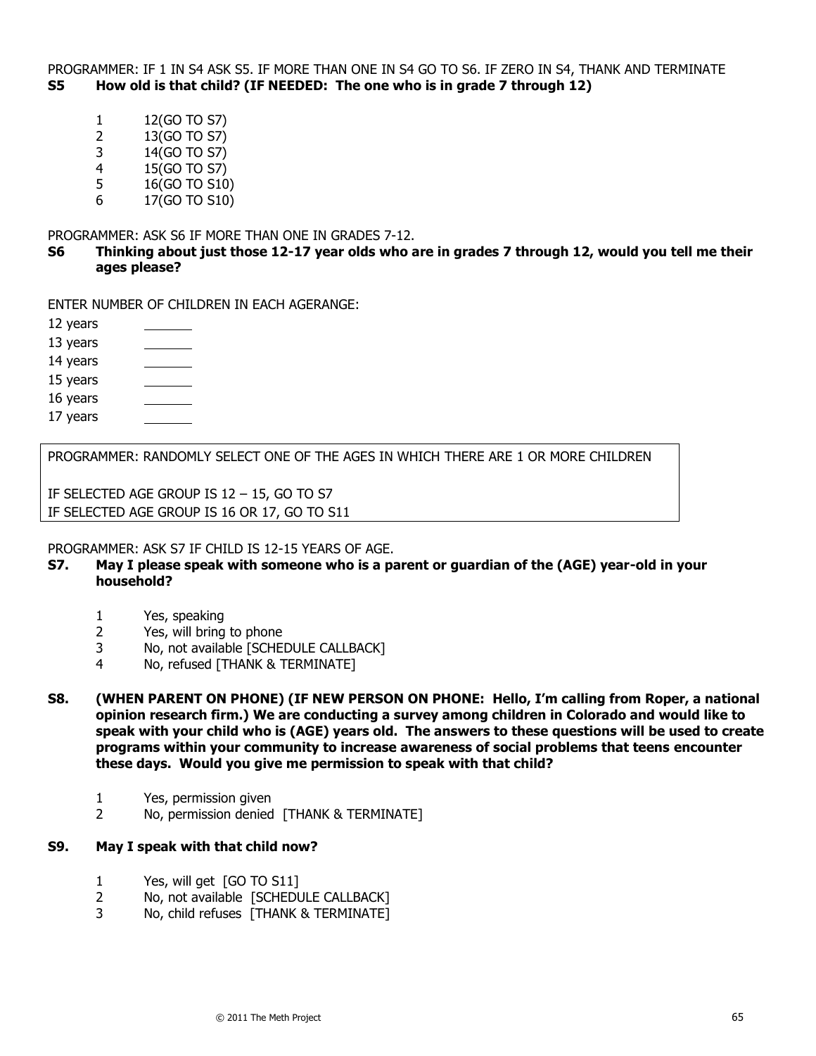PROGRAMMER: IF 1 IN S4 ASK S5. IF MORE THAN ONE IN S4 GO TO S6. IF ZERO IN S4, THANK AND TERMINATE **S5 How old is that child? (IF NEEDED: The one who is in grade 7 through 12)**

- 1 12(GO TO S7)
- 2 13(GO TO S7)
- 3 14(GO TO S7)
- 4 15(GO TO S7)
- 5 16(GO TO S10)
- 6 17(GO TO S10)

PROGRAMMER: ASK S6 IF MORE THAN ONE IN GRADES 7-12.

**S6 Thinking about just those 12-17 year olds who are in grades 7 through 12, would you tell me their ages please?**

ENTER NUMBER OF CHILDREN IN EACH AGERANGE:

12 years

- 13 years
- 14 years
- $\overline{\phantom{a}}$ 15 years
- 16 years
- 17 years

PROGRAMMER: RANDOMLY SELECT ONE OF THE AGES IN WHICH THERE ARE 1 OR MORE CHILDREN

IF SELECTED AGE GROUP IS 12 – 15, GO TO S7 IF SELECTED AGE GROUP IS 16 OR 17, GO TO S11

#### PROGRAMMER: ASK S7 IF CHILD IS 12-15 YEARS OF AGE.

- **S7. May I please speak with someone who is a parent or guardian of the (AGE) year-old in your household?**
	- 1 Yes, speaking
	- 2 Yes, will bring to phone
	- 3 No, not available [SCHEDULE CALLBACK]
	- 4 No, refused [THANK & TERMINATE]
- **S8. (WHEN PARENT ON PHONE) (IF NEW PERSON ON PHONE: Hello, I'm calling from Roper, a national opinion research firm.) We are conducting a survey among children in Colorado and would like to speak with your child who is (AGE) years old. The answers to these questions will be used to create programs within your community to increase awareness of social problems that teens encounter these days. Would you give me permission to speak with that child?**
	- 1 Yes, permission given
	- 2 No, permission denied [THANK & TERMINATE]

# **S9. May I speak with that child now?**

- 1 Yes, will get [GO TO S11]
- 2 No, not available [SCHEDULE CALLBACK]
- 3 No, child refuses [THANK & TERMINATE]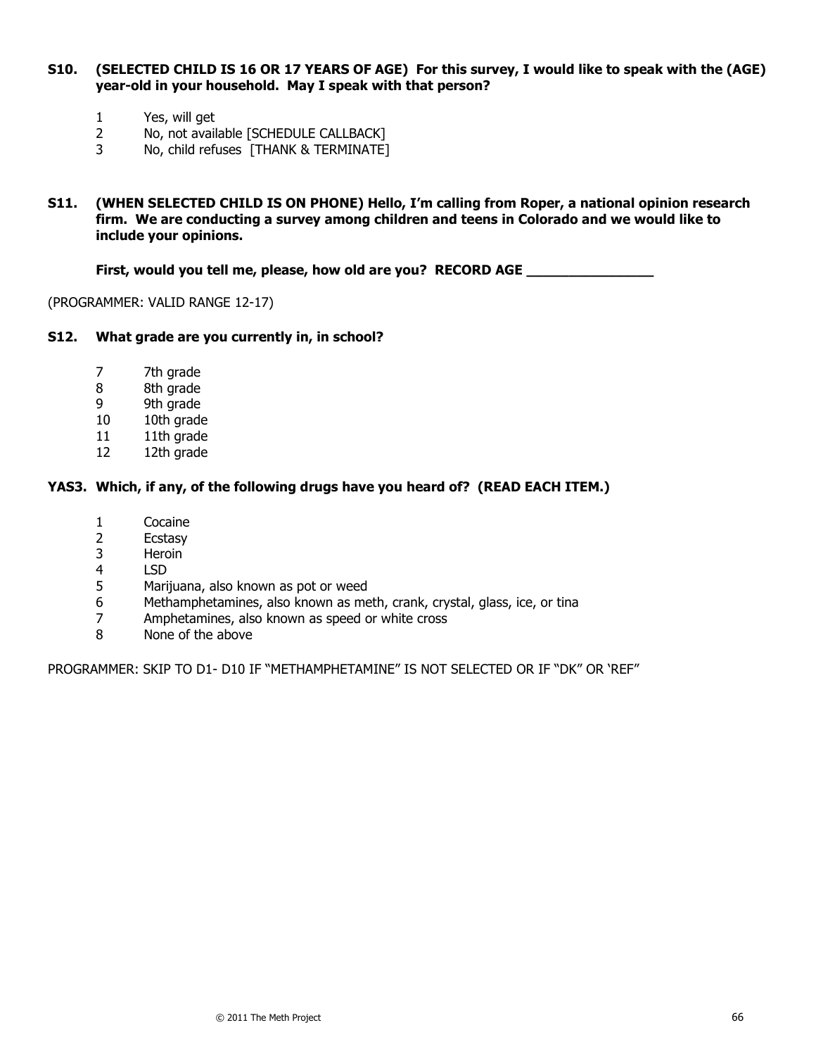#### **S10. (SELECTED CHILD IS 16 OR 17 YEARS OF AGE) For this survey, I would like to speak with the (AGE) year-old in your household. May I speak with that person?**

- 1 Yes, will get<br>2 No, not avail
- No, not available [SCHEDULE CALLBACK]
- 3 No, child refuses [THANK & TERMINATE]
- **S11. (WHEN SELECTED CHILD IS ON PHONE) Hello, I'm calling from Roper, a national opinion research firm. We are conducting a survey among children and teens in Colorado and we would like to include your opinions.**

#### First, would you tell me, please, how old are you? RECORD AGE \_\_\_\_\_\_\_\_\_\_\_

(PROGRAMMER: VALID RANGE 12-17)

#### **S12. What grade are you currently in, in school?**

- 7 7th grade
- 8 8th grade
- 9 9th grade
- 10 10th grade
- 11 11th grade
- 12 12th grade

#### **YAS3. Which, if any, of the following drugs have you heard of? (READ EACH ITEM.)**

- 1 Cocaine
- 2 Ecstasy
- 3 Heroin
- 4 LSD
- 5 Marijuana, also known as pot or weed
- 6 Methamphetamines, also known as meth, crank, crystal, glass, ice, or tina
- 7 Amphetamines, also known as speed or white cross
- 8 None of the above

PROGRAMMER: SKIP TO D1- D10 IF "METHAMPHETAMINE" IS NOT SELECTED OR IF "DK" OR 'REF"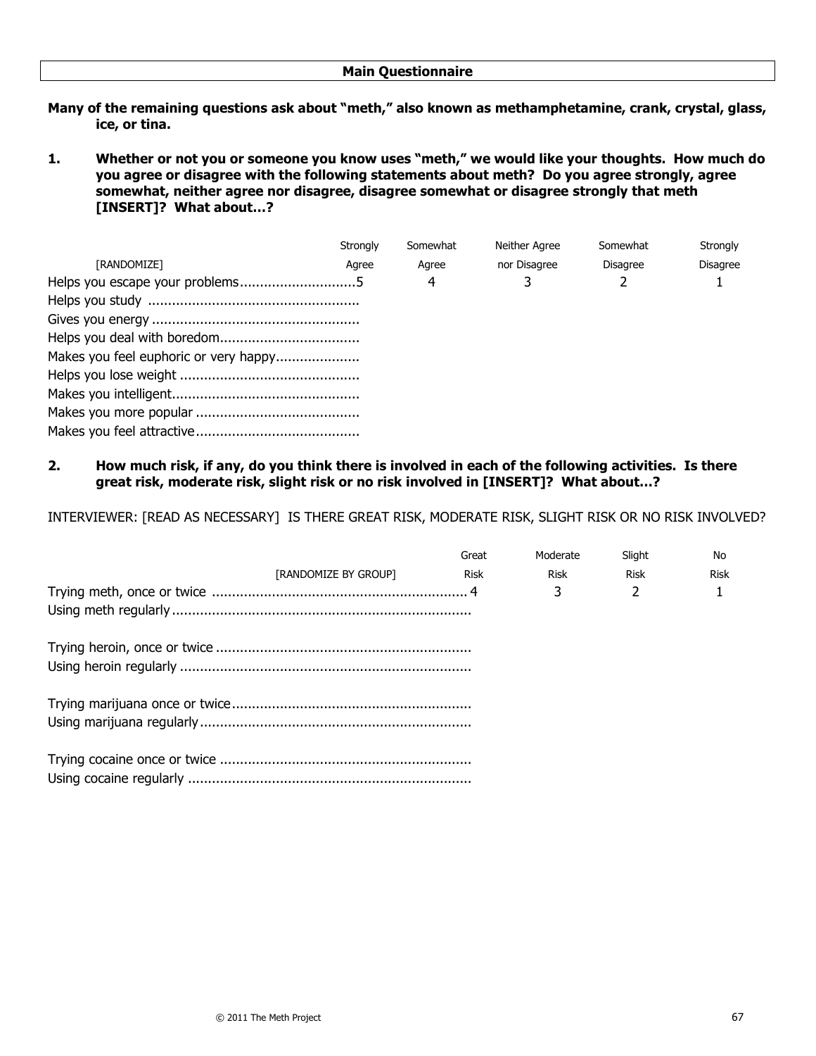- Many of the remaining questions ask about "meth," also known as methamphetamine, crank, crystal, glass, **ice, or tina.**
- 1. Whether or not you or someone you know uses "meth," we would like your thoughts. How much do **you agree or disagree with the following statements about meth? Do you agree strongly, agree somewhat, neither agree nor disagree, disagree somewhat or disagree strongly that meth [INSERT]? What about…?**

|                                       | Strongly | Somewhat | Neither Agree | Somewhat | Strongly        |
|---------------------------------------|----------|----------|---------------|----------|-----------------|
| <b>[RANDOMIZE]</b>                    | Agree    | Agree    | nor Disagree  | Disagree | <b>Disagree</b> |
|                                       |          | 4        |               |          |                 |
|                                       |          |          |               |          |                 |
|                                       |          |          |               |          |                 |
|                                       |          |          |               |          |                 |
| Makes you feel euphoric or very happy |          |          |               |          |                 |
|                                       |          |          |               |          |                 |
|                                       |          |          |               |          |                 |
|                                       |          |          |               |          |                 |
|                                       |          |          |               |          |                 |

**2. How much risk, if any, do you think there is involved in each of the following activities. Is there great risk, moderate risk, slight risk or no risk involved in [INSERT]? What about…?**

INTERVIEWER: [READ AS NECESSARY] IS THERE GREAT RISK, MODERATE RISK, SLIGHT RISK OR NO RISK INVOLVED?

|                      | Great       | Moderate | Slight                   | No   |
|----------------------|-------------|----------|--------------------------|------|
| [RANDOMIZE BY GROUP] | <b>Risk</b> | Risk     | <b>Risk</b>              | Risk |
|                      |             | 3        | $\overline{\mathcal{L}}$ |      |
|                      |             |          |                          |      |
|                      |             |          |                          |      |
|                      |             |          |                          |      |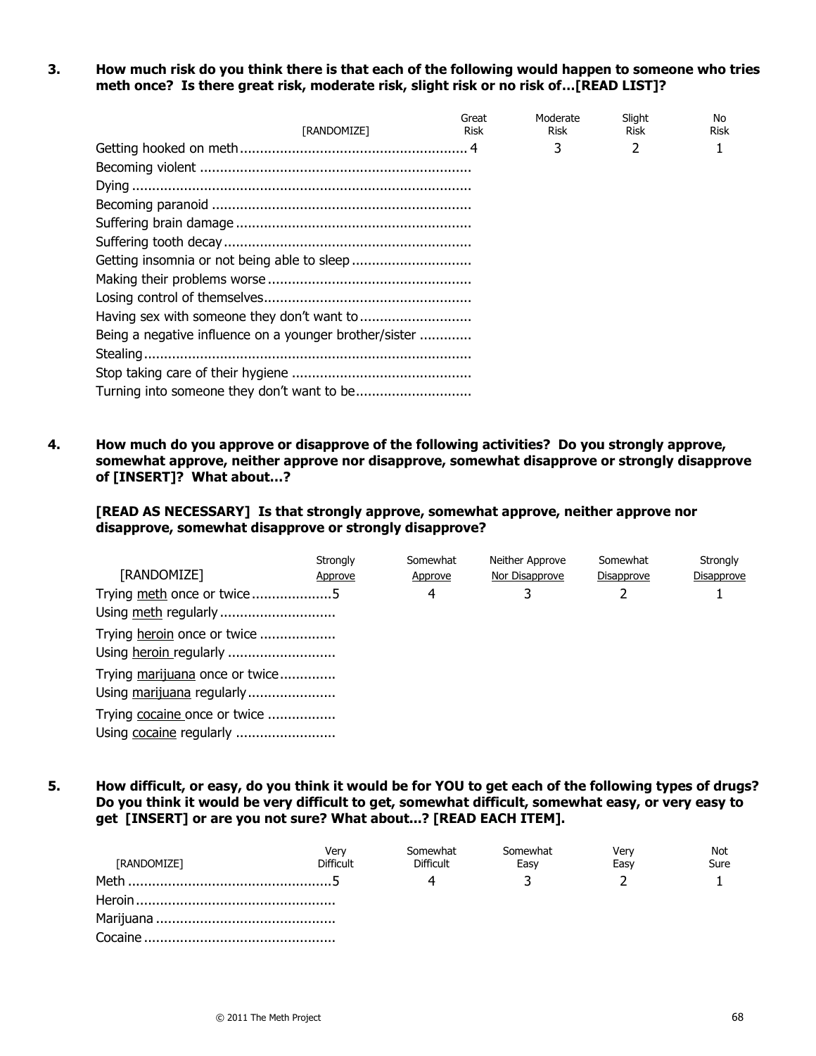**3. How much risk do you think there is that each of the following would happen to someone who tries meth once? Is there great risk, moderate risk, slight risk or no risk of…[READ LIST]?**

| <b><i>FRANDOMIZET</i></b>                              | Great<br>Risk | Moderate<br>Risk | Slight<br>Risk | No.<br>Risk |
|--------------------------------------------------------|---------------|------------------|----------------|-------------|
|                                                        |               | 3                | 2              |             |
|                                                        |               |                  |                |             |
|                                                        |               |                  |                |             |
|                                                        |               |                  |                |             |
|                                                        |               |                  |                |             |
|                                                        |               |                  |                |             |
|                                                        |               |                  |                |             |
|                                                        |               |                  |                |             |
|                                                        |               |                  |                |             |
|                                                        |               |                  |                |             |
| Being a negative influence on a younger brother/sister |               |                  |                |             |
|                                                        |               |                  |                |             |
|                                                        |               |                  |                |             |
|                                                        |               |                  |                |             |

**4. How much do you approve or disapprove of the following activities? Do you strongly approve, somewhat approve, neither approve nor disapprove, somewhat disapprove or strongly disapprove of [INSERT]? What about…?** 

**[READ AS NECESSARY] Is that strongly approve, somewhat approve, neither approve nor disapprove, somewhat disapprove or strongly disapprove?**

|                                | <b>Strongly</b> | Somewhat | Neither Approve | Somewhat   | Strongly   |
|--------------------------------|-----------------|----------|-----------------|------------|------------|
| [RANDOMIZE]                    | Approve         | Approve  | Nor Disapprove  | Disapprove | Disapprove |
| Trying meth once or twice5     |                 | 4        |                 |            |            |
| Using meth regularly           |                 |          |                 |            |            |
| Trying heroin once or twice    |                 |          |                 |            |            |
| Using heroin regularly         |                 |          |                 |            |            |
| Trying marijuana once or twice |                 |          |                 |            |            |
| Using marijuana regularly      |                 |          |                 |            |            |
| Trying cocaine once or twice   |                 |          |                 |            |            |
| Using cocaine regularly        |                 |          |                 |            |            |

**5. How difficult, or easy, do you think it would be for YOU to get each of the following types of drugs? Do you think it would be very difficult to get, somewhat difficult, somewhat easy, or very easy to get [INSERT] or are you not sure? What about...? [READ EACH ITEM].** 

| [RANDOMIZE] | Verv<br><b>Difficult</b> | Somewhat<br><b>Difficult</b> | Somewhat<br>Easy | Verv<br>Easy | <b>Not</b><br>Sure |
|-------------|--------------------------|------------------------------|------------------|--------------|--------------------|
|             |                          |                              |                  |              |                    |
|             |                          |                              |                  |              |                    |
|             |                          |                              |                  |              |                    |
|             |                          |                              |                  |              |                    |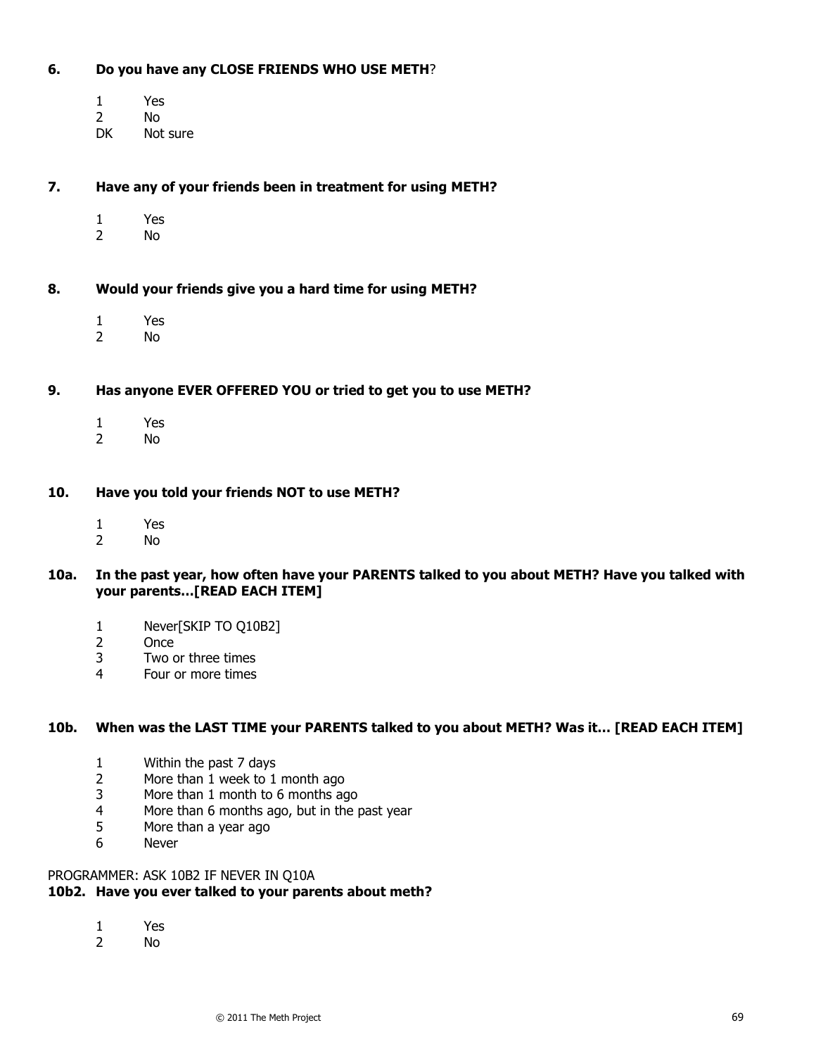#### **6. Do you have any CLOSE FRIENDS WHO USE METH**?

- 1 Yes
- 2 No<br>DK Not
- Not sure

**7. Have any of your friends been in treatment for using METH?** 

- 1 Yes<br>2 No
- No.

**8. Would your friends give you a hard time for using METH?**

- 1 Yes
- 2 No

# **9. Has anyone EVER OFFERED YOU or tried to get you to use METH?**

- 1 Yes
- 2 No

# **10. Have you told your friends NOT to use METH?**

- 1 Yes
- 2 No

# **10a. In the past year, how often have your PARENTS talked to you about METH? Have you talked with your parents…[READ EACH ITEM]**

- 1 Never[SKIP TO Q10B2]
- 2 Once
- 3 Two or three times
- 4 Four or more times

#### **10b. When was the LAST TIME your PARENTS talked to you about METH? Was it… [READ EACH ITEM]**

- 1 Within the past 7 days
- 2 More than 1 week to 1 month ago
- 3 More than 1 month to 6 months ago
- 4 More than 6 months ago, but in the past year
- 5 More than a year ago
- 6 Never

# PROGRAMMER: ASK 10B2 IF NEVER IN Q10A

# **10b2. Have you ever talked to your parents about meth?**

- 1 Yes<br>2 No
- N<sub>o</sub>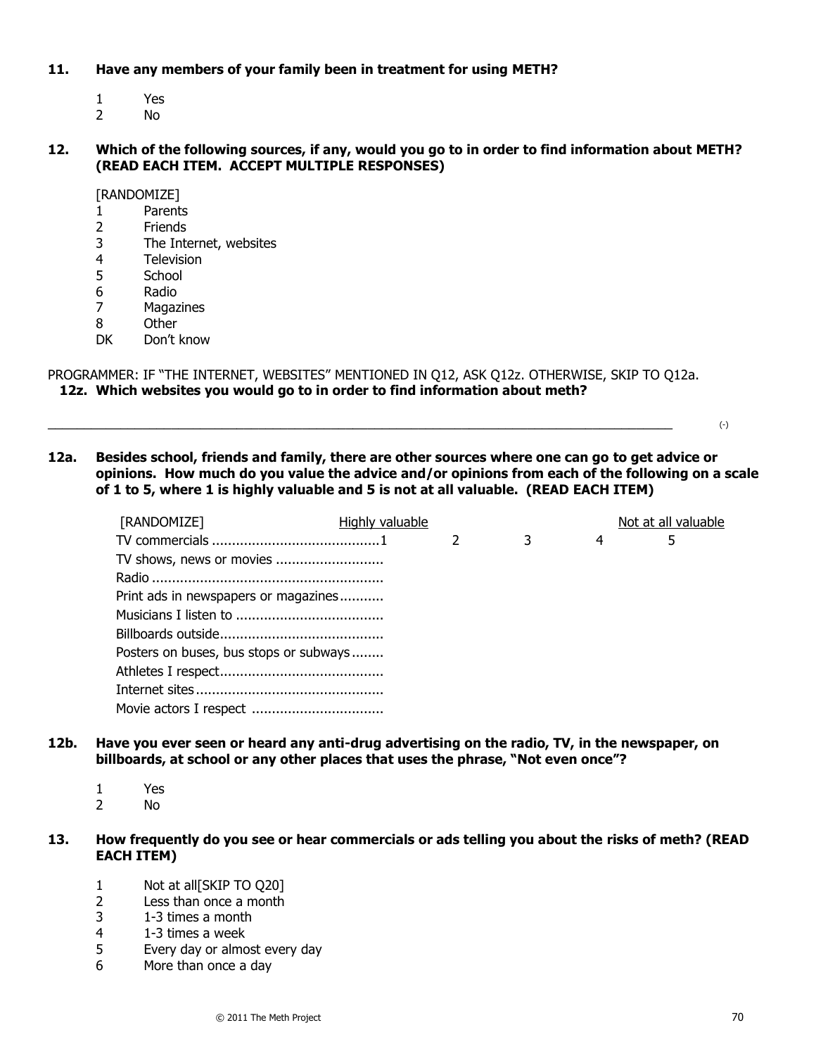#### **11. Have any members of your family been in treatment for using METH?**

- 1 Yes
- 2 No

# **12. Which of the following sources, if any, would you go to in order to find information about METH? (READ EACH ITEM. ACCEPT MULTIPLE RESPONSES)**

[RANDOMIZE]

- 1 Parents
- 2 Friends
- 3 The Internet, websites
- 4 Television
- 5 School
- 6 Radio
- 7 Magazines
- 8 Other
- DK Don't know

PROGRAMMER: IF "THE INTERNET, WEBSITES" MENTIONED IN Q12, ASK Q12z. OTHERWISE, SKIP TO Q12a.  **12z. Which websites you would go to in order to find information about meth?**

 $\Box$ 

**12a. Besides school, friends and family, there are other sources where one can go to get advice or opinions. How much do you value the advice and/or opinions from each of the following on a scale of 1 to 5, where 1 is highly valuable and 5 is not at all valuable. (READ EACH ITEM)** 

| [RANDOMIZE]                            | Highly valuable |               |   |   | Not at all valuable |
|----------------------------------------|-----------------|---------------|---|---|---------------------|
|                                        |                 | $\mathcal{P}$ | 3 | 4 | 5                   |
| TV shows, news or movies               |                 |               |   |   |                     |
|                                        |                 |               |   |   |                     |
| Print ads in newspapers or magazines   |                 |               |   |   |                     |
|                                        |                 |               |   |   |                     |
|                                        |                 |               |   |   |                     |
| Posters on buses, bus stops or subways |                 |               |   |   |                     |
|                                        |                 |               |   |   |                     |
|                                        |                 |               |   |   |                     |
|                                        |                 |               |   |   |                     |

- **12b. Have you ever seen or heard any anti-drug advertising on the radio, TV, in the newspaper, on**  billboards, at school or any other places that uses the phrase, "Not even once"?
	- 1 Yes
	- 2 No
- **13. How frequently do you see or hear commercials or ads telling you about the risks of meth? (READ EACH ITEM)**
	- 1 Not at all[SKIP TO Q20]
	- 2 Less than once a month
	- 3 1-3 times a month
	- 4 1-3 times a week
	- 5 Every day or almost every day
	- 6 More than once a day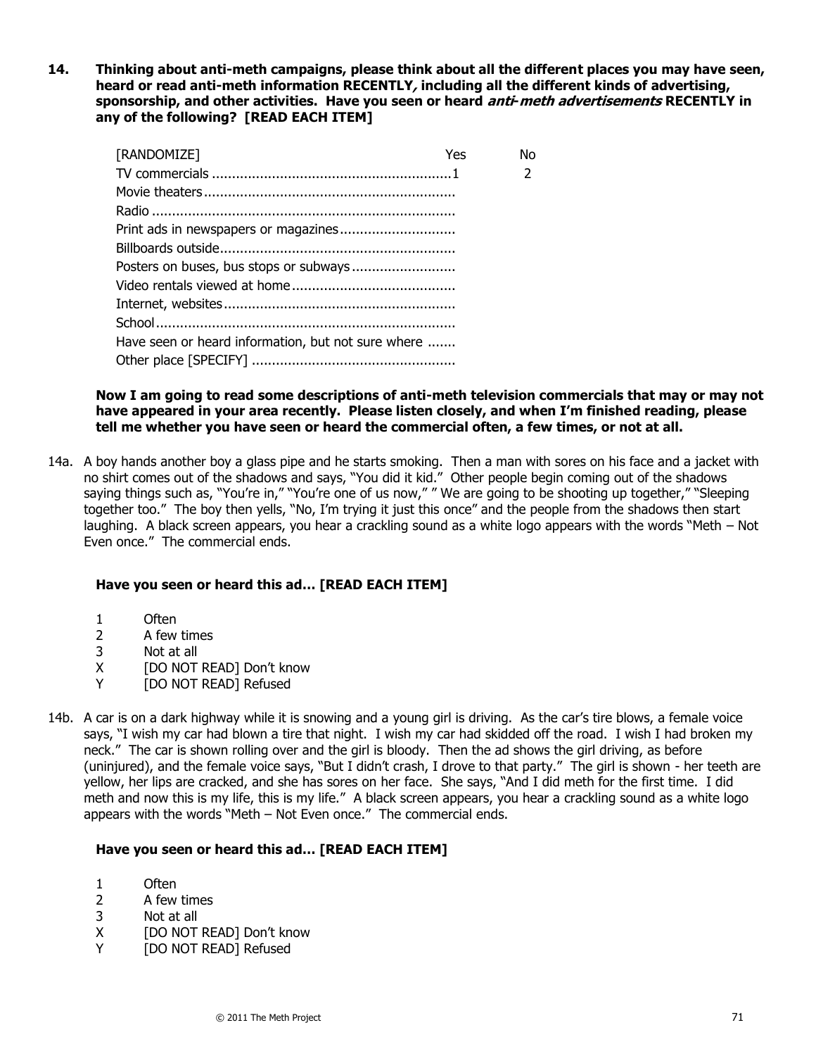**14. Thinking about anti-meth campaigns, please think about all the different places you may have seen, heard or read anti-meth information RECENTLY, including all the different kinds of advertising, sponsorship, and other activities. Have you seen or heard anti-meth advertisements RECENTLY in any of the following? [READ EACH ITEM]** 

| [RANDOMIZE]                                        | Yes | N٥ |
|----------------------------------------------------|-----|----|
|                                                    |     | 2  |
|                                                    |     |    |
|                                                    |     |    |
|                                                    |     |    |
|                                                    |     |    |
|                                                    |     |    |
|                                                    |     |    |
|                                                    |     |    |
|                                                    |     |    |
| Have seen or heard information, but not sure where |     |    |
|                                                    |     |    |

#### **Now I am going to read some descriptions of anti-meth television commercials that may or may not have appeared in your area recently. Please listen closely, and when I'm finished reading, please tell me whether you have seen or heard the commercial often, a few times, or not at all.**

14a. A boy hands another boy a glass pipe and he starts smoking. Then a man with sores on his face and a jacket with no shirt comes out of the shadows and says, "You did it kid." Other people begin coming out of the shadows saying things such as, "You're in," "You're one of us now," " We are going to be shooting up together," "Sleeping together too." The boy then yells, "No, I'm trying it just this once" and the people from the shadows then start laughing. A black screen appears, you hear a crackling sound as a white logo appears with the words "Meth – Not Even once." The commercial ends.

# **Have you seen or heard this ad… [READ EACH ITEM]**

- 1 Often
- 2 A few times
- 3 Not at all
- X [DO NOT READ] Don't know
- Y [DO NOT READ] Refused
- 14b. A car is on a dark highway while it is snowing and a young girl is driving. As the car's tire blows, a female voice says, "I wish my car had blown a tire that night. I wish my car had skidded off the road. I wish I had broken my neck." The car is shown rolling over and the girl is bloody. Then the ad shows the girl driving, as before (uninjured), and the female voice says, "But I didn't crash, I drove to that party." The girl is shown - her teeth are vellow, her lips are cracked, and she has sores on her face. She says, "And I did meth for the first time. I did meth and now this is my life, this is my life." A black screen appears, you hear a crackling sound as a white logo appears with the words "Meth – Not Even once." The commercial ends.

#### **Have you seen or heard this ad… [READ EACH ITEM]**

- 1 Often
- 2 A few times
- 3 Not at all
- X [DO NOT READ] Don't know
- Y [DO NOT READ] Refused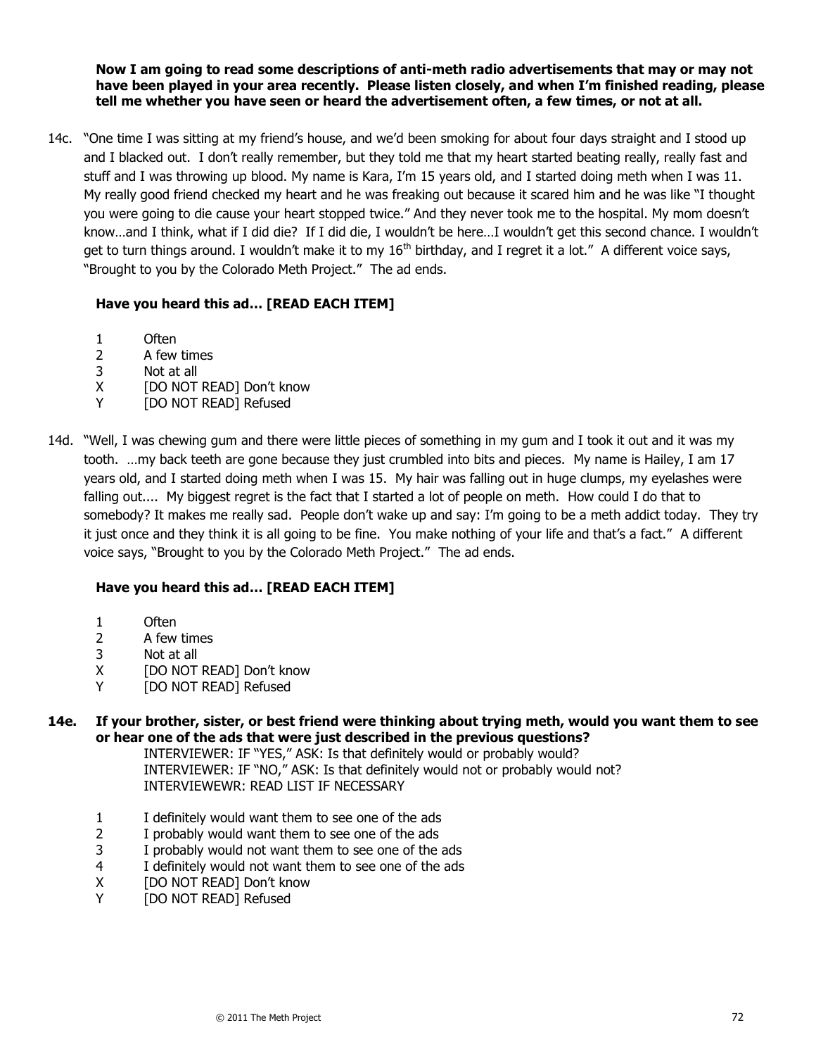**Now I am going to read some descriptions of anti-meth radio advertisements that may or may not have been played in your area recently. Please listen closely, and when I'm finished reading, please tell me whether you have seen or heard the advertisement often, a few times, or not at all.**

14c. "One time I was sitting at my friend's house, and we'd been smoking for about four days straight and I stood up and I blacked out. I don't really remember, but they told me that my heart started beating really, really fast and stuff and I was throwing up blood. My name is Kara, I'm 15 years old, and I started doing meth when I was 11. My really good friend checked my heart and he was freaking out because it scared him and he was like "I thought you were going to die cause your heart stopped twice." And they never took me to the hospital. My mom doesn't know…and I think, what if I did die? If I did die, I wouldn't be here…I wouldn't get this second chance. I wouldn't get to turn things around. I wouldn't make it to my  $16<sup>th</sup>$  birthday, and I regret it a lot." A different voice says, "Brought to you by the Colorado Meth Project." The ad ends.

# **Have you heard this ad… [READ EACH ITEM]**

- 1 Often
- 2 A few times
- 3 Not at all
- X [DO NOT READ] Don't know
- Y [DO NOT READ] Refused
- 14d. "Well, I was chewing gum and there were little pieces of something in my gum and I took it out and it was my tooth. …my back teeth are gone because they just crumbled into bits and pieces. My name is Hailey, I am 17 years old, and I started doing meth when I was 15. My hair was falling out in huge clumps, my eyelashes were falling out.... My biggest regret is the fact that I started a lot of people on meth. How could I do that to somebody? It makes me really sad. People don't wake up and say: I'm going to be a meth addict today. They try it just once and they think it is all going to be fine. You make nothing of your life and that's a fact.‖ A different voice says, "Brought to you by the Colorado Meth Project." The ad ends.

# **Have you heard this ad… [READ EACH ITEM]**

- 1 Often
- 2 A few times
- 3 Not at all
- X [DO NOT READ] Don't know
- Y [DO NOT READ] Refused

# **14e. If your brother, sister, or best friend were thinking about trying meth, would you want them to see or hear one of the ads that were just described in the previous questions?**

INTERVIEWER: IF "YES," ASK: Is that definitely would or probably would? INTERVIEWER: IF "NO," ASK: Is that definitely would not or probably would not? INTERVIEWEWR: READ LIST IF NECESSARY

- 1 I definitely would want them to see one of the ads
- 2 I probably would want them to see one of the ads
- 3 I probably would not want them to see one of the ads
- 4 I definitely would not want them to see one of the ads
- X [DO NOT READ] Don't know
- Y [DO NOT READ] Refused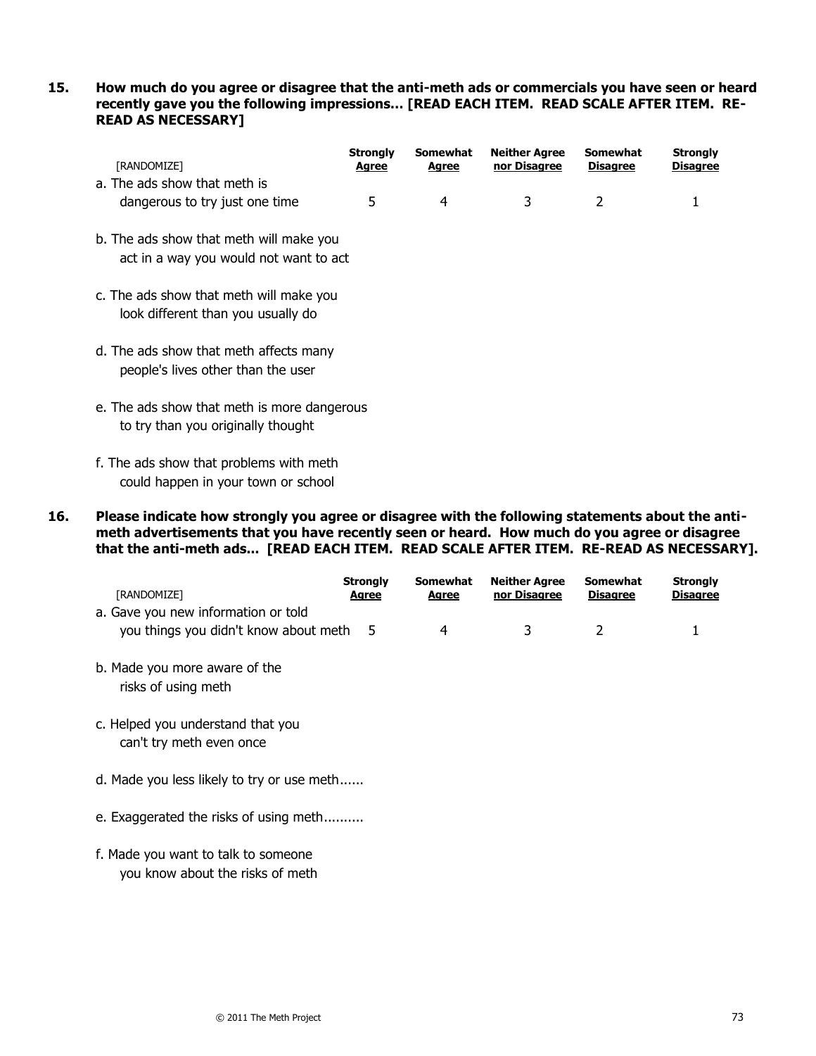## **15. How much do you agree or disagree that the anti-meth ads or commercials you have seen or heard recently gave you the following impressions… [READ EACH ITEM. READ SCALE AFTER ITEM. RE-READ AS NECESSARY]**

| [RANDOMIZE]                                                                       | <b>Strongly</b><br><u>Agree</u> | Somewhat<br><u>Agree</u> | <b>Neither Agree</b><br>nor Disagree | <b>Somewhat</b><br><b>Disagree</b> | <b>Strongly</b><br><b>Disagree</b> |
|-----------------------------------------------------------------------------------|---------------------------------|--------------------------|--------------------------------------|------------------------------------|------------------------------------|
| a. The ads show that meth is<br>dangerous to try just one time                    | 5                               | 4                        | 3                                    | 2                                  | 1                                  |
| b. The ads show that meth will make you<br>act in a way you would not want to act |                                 |                          |                                      |                                    |                                    |
| c. The ads show that meth will make you<br>look different than you usually do     |                                 |                          |                                      |                                    |                                    |
| d. The ads show that meth affects many<br>people's lives other than the user      |                                 |                          |                                      |                                    |                                    |
| e. The ads show that meth is more dangerous<br>to try than you originally thought |                                 |                          |                                      |                                    |                                    |
| f. The ade chaus that problems with math                                          |                                 |                          |                                      |                                    |                                    |

- f. The ads show that problems with meth could happen in your town or school
- **16. Please indicate how strongly you agree or disagree with the following statements about the antimeth advertisements that you have recently seen or heard. How much do you agree or disagree that the anti-meth ads... [READ EACH ITEM. READ SCALE AFTER ITEM. RE-READ AS NECESSARY].**

| [RANDOMIZE]<br>a. Gave you new information or told                      | <b>Strongly</b><br><u>Agree</u> | <b>Somewhat</b><br>Agree | <b>Neither Agree</b><br>nor Disagree | <b>Somewhat</b><br><b>Disagree</b> | <b>Strongly</b><br><b>Disagree</b> |
|-------------------------------------------------------------------------|---------------------------------|--------------------------|--------------------------------------|------------------------------------|------------------------------------|
| you things you didn't know about meth                                   | -5                              | 4                        | 3                                    | 2                                  | 1                                  |
| b. Made you more aware of the<br>risks of using meth                    |                                 |                          |                                      |                                    |                                    |
| c. Helped you understand that you<br>can't try meth even once           |                                 |                          |                                      |                                    |                                    |
| d. Made you less likely to try or use meth                              |                                 |                          |                                      |                                    |                                    |
| e. Exaggerated the risks of using meth                                  |                                 |                          |                                      |                                    |                                    |
| f. Made you want to talk to someone<br>you know about the risks of meth |                                 |                          |                                      |                                    |                                    |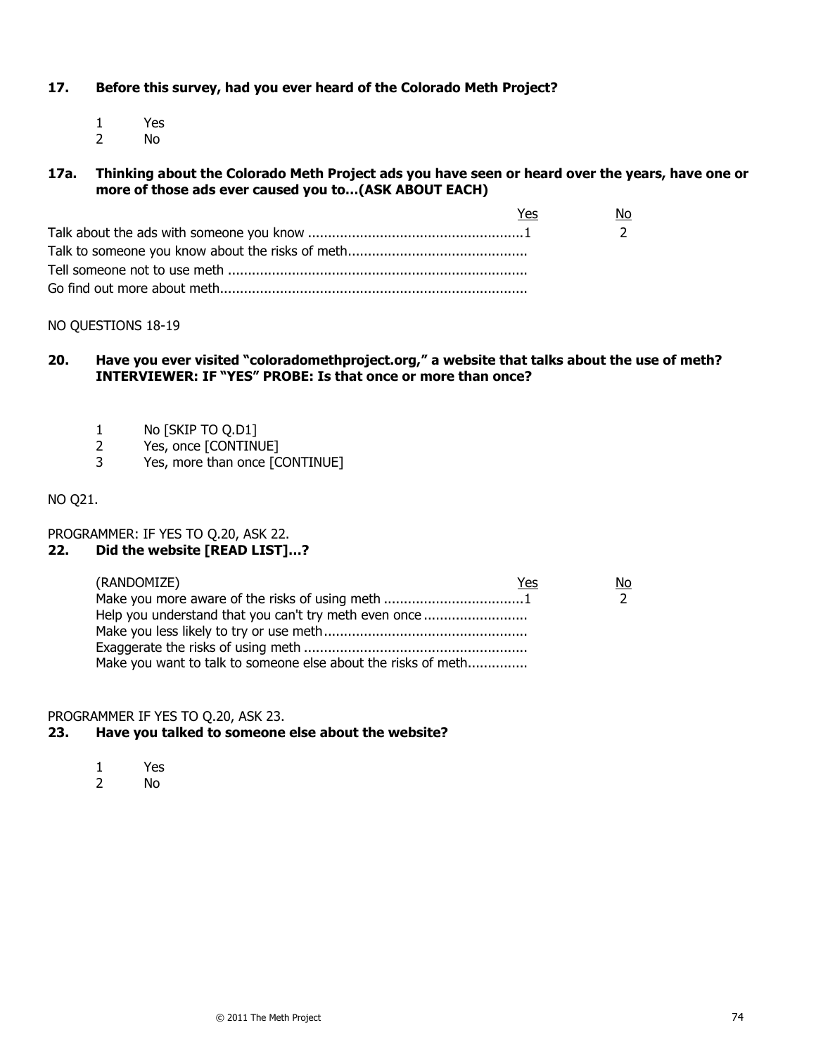# **17. Before this survey, had you ever heard of the Colorado Meth Project?**

1 Yes 2 No

## **17a. Thinking about the Colorado Meth Project ads you have seen or heard over the years, have one or more of those ads ever caused you to…(ASK ABOUT EACH)**

| Yes | No |
|-----|----|
|     |    |
|     |    |
|     |    |
|     |    |

## NO QUESTIONS 18-19

# 20. **Have you ever visited "coloradomethproject.org," a website that talks about the use of meth? INTERVIEWER: IF "YES" PROBE: Is that once or more than once?**

- 1 No [SKIP TO Q.D1]
- 2 Yes, once [CONTINUE]
- 3 Yes, more than once [CONTINUE]

# NO Q21.

PROGRAMMER: IF YES TO Q.20, ASK 22.

# **22. Did the website [READ LIST]…?**

| (RANDOMIZE)                                                   | Yes | No |
|---------------------------------------------------------------|-----|----|
| Make you more aware of the risks of using meth 1              |     |    |
| Help you understand that you can't try meth even once         |     |    |
|                                                               |     |    |
|                                                               |     |    |
| Make you want to talk to someone else about the risks of meth |     |    |

### PROGRAMMER IF YES TO Q.20, ASK 23.

## **23. Have you talked to someone else about the website?**

- 1 Yes
- 2 No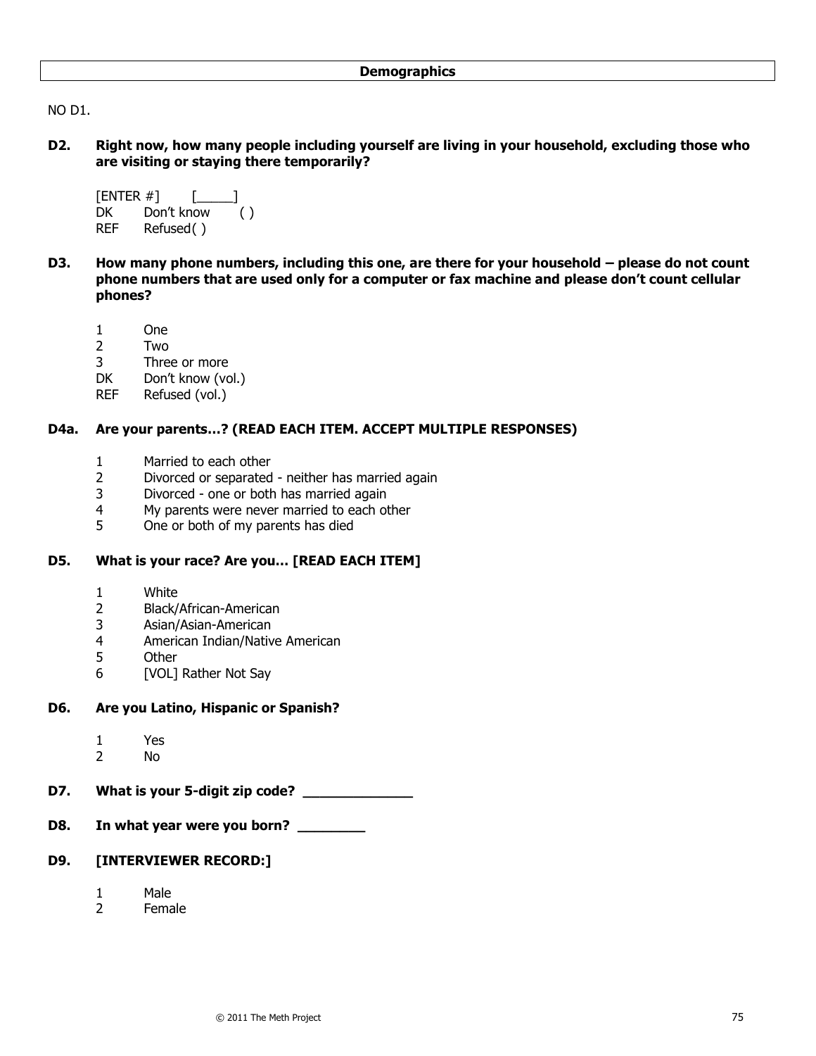NO D1.

**D2. Right now, how many people including yourself are living in your household, excluding those who are visiting or staying there temporarily?**

```
[ENTER #] [ ]
DK Don't know ()
REF Refused( )
```
- **D3. How many phone numbers, including this one, are there for your household – please do not count phone numbers that are used only for a computer or fax machine and please don't count cellular phones?**
	- 1 One
	- 2 Two
	- 3 Three or more
	- DK Don't know (vol.)
	- REF Refused (vol.)

## **D4a. Are your parents…? (READ EACH ITEM. ACCEPT MULTIPLE RESPONSES)**

- 1 Married to each other
- 2 Divorced or separated neither has married again
- 3 Divorced one or both has married again
- 4 My parents were never married to each other
- 5 One or both of my parents has died

# **D5. What is your race? Are you… [READ EACH ITEM]**

- 1 White
- 2 Black/African-American
- 3 Asian/Asian-American
- 4 American Indian/Native American
- 5 Other
- 6 [VOL] Rather Not Say

### **D6. Are you Latino, Hispanic or Spanish?**

- 1 Yes<br>2 No
- No.
- **D7. What is your 5-digit zip code? \_\_\_\_\_\_\_\_\_\_\_\_\_**
- **D8. In what year were you born? \_\_\_\_\_\_\_\_**

# **D9. [INTERVIEWER RECORD:]**

- 1 Male
- 2 Female